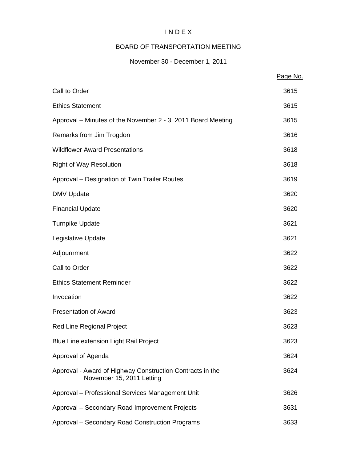# I N D E X

# BOARD OF TRANSPORTATION MEETING

# November 30 - December 1, 2011

|                                                                                        | Page No. |
|----------------------------------------------------------------------------------------|----------|
| Call to Order                                                                          | 3615     |
| <b>Ethics Statement</b>                                                                | 3615     |
| Approval – Minutes of the November 2 - 3, 2011 Board Meeting                           | 3615     |
| Remarks from Jim Trogdon                                                               | 3616     |
| <b>Wildflower Award Presentations</b>                                                  | 3618     |
| <b>Right of Way Resolution</b>                                                         | 3618     |
| Approval – Designation of Twin Trailer Routes                                          | 3619     |
| <b>DMV Update</b>                                                                      | 3620     |
| <b>Financial Update</b>                                                                | 3620     |
| <b>Turnpike Update</b>                                                                 | 3621     |
| Legislative Update                                                                     | 3621     |
| Adjournment                                                                            | 3622     |
| Call to Order                                                                          | 3622     |
| <b>Ethics Statement Reminder</b>                                                       | 3622     |
| Invocation                                                                             | 3622     |
| <b>Presentation of Award</b>                                                           | 3623     |
| <b>Red Line Regional Project</b>                                                       | 3623     |
| Blue Line extension Light Rail Project                                                 | 3623     |
| Approval of Agenda                                                                     | 3624     |
| Approval - Award of Highway Construction Contracts in the<br>November 15, 2011 Letting | 3624     |
| Approval - Professional Services Management Unit                                       | 3626     |
| Approval - Secondary Road Improvement Projects                                         | 3631     |
| Approval - Secondary Road Construction Programs                                        | 3633     |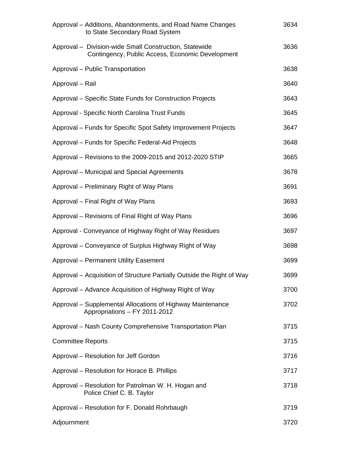| Approval – Additions, Abandonments, and Road Name Changes<br>to State Secondary Road System                | 3634 |
|------------------------------------------------------------------------------------------------------------|------|
| Approval - Division-wide Small Construction, Statewide<br>Contingency, Public Access, Economic Development | 3636 |
| Approval - Public Transportation                                                                           | 3638 |
| Approval - Rail                                                                                            | 3640 |
| Approval – Specific State Funds for Construction Projects                                                  | 3643 |
| Approval - Specific North Carolina Trust Funds                                                             | 3645 |
| Approval - Funds for Specific Spot Safety Improvement Projects                                             | 3647 |
| Approval - Funds for Specific Federal-Aid Projects                                                         | 3648 |
| Approval – Revisions to the 2009-2015 and 2012-2020 STIP                                                   | 3665 |
| Approval – Municipal and Special Agreements                                                                | 3678 |
| Approval – Preliminary Right of Way Plans                                                                  | 3691 |
| Approval – Final Right of Way Plans                                                                        | 3693 |
| Approval – Revisions of Final Right of Way Plans                                                           | 3696 |
| Approval - Conveyance of Highway Right of Way Residues                                                     | 3697 |
| Approval – Conveyance of Surplus Highway Right of Way                                                      | 3698 |
| <b>Approval - Permanent Utility Easement</b>                                                               | 3699 |
| Approval – Acquisition of Structure Partially Outside the Right of Way                                     | 3699 |
| Approval – Advance Acquisition of Highway Right of Way                                                     | 3700 |
| Approval – Supplemental Allocations of Highway Maintenance<br>Appropriations - FY 2011-2012                | 3702 |
| Approval - Nash County Comprehensive Transportation Plan                                                   | 3715 |
| <b>Committee Reports</b>                                                                                   | 3715 |
| Approval – Resolution for Jeff Gordon                                                                      | 3716 |
| Approval - Resolution for Horace B. Phillips                                                               | 3717 |
| Approval – Resolution for Patrolman W. H. Hogan and<br>Police Chief C. B. Taylor                           | 3718 |
| Approval – Resolution for F. Donald Rohrbaugh                                                              | 3719 |
| Adjournment                                                                                                | 3720 |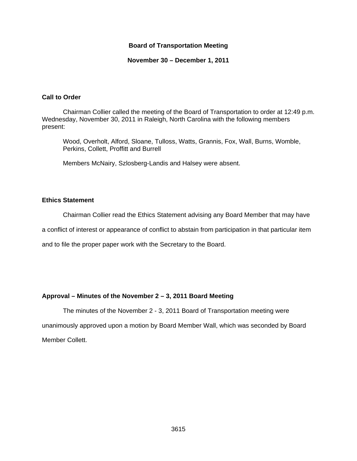#### **Board of Transportation Meeting**

**November 30 – December 1, 2011** 

#### **Call to Order**

Chairman Collier called the meeting of the Board of Transportation to order at 12:49 p.m. Wednesday, November 30, 2011 in Raleigh, North Carolina with the following members present:

Wood, Overholt, Alford, Sloane, Tulloss, Watts, Grannis, Fox, Wall, Burns, Womble, Perkins, Collett, Proffitt and Burrell

Members McNairy, Szlosberg-Landis and Halsey were absent.

#### **Ethics Statement**

Chairman Collier read the Ethics Statement advising any Board Member that may have

a conflict of interest or appearance of conflict to abstain from participation in that particular item

and to file the proper paper work with the Secretary to the Board.

## **Approval – Minutes of the November 2 – 3, 2011 Board Meeting**

The minutes of the November 2 - 3, 2011 Board of Transportation meeting were unanimously approved upon a motion by Board Member Wall, which was seconded by Board Member Collett.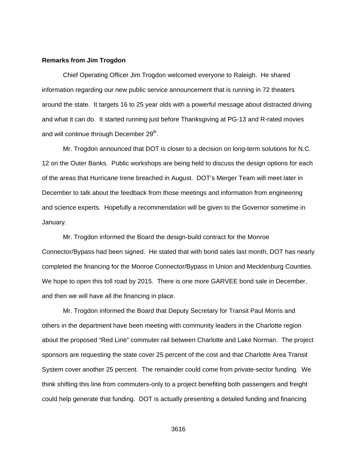#### **Remarks from Jim Trogdon**

 Chief Operating Officer Jim Trogdon welcomed everyone to Raleigh. He shared information regarding our new public service announcement that is running in 72 theaters around the state. It targets 16 to 25 year olds with a powerful message about distracted driving and what it can do. It started running just before Thanksgiving at PG-13 and R-rated movies and will continue through December 29<sup>th</sup>.

 Mr. Trogdon announced that DOT is closer to a decision on long-term solutions for N.C. 12 on the Outer Banks. Public workshops are being held to discuss the design options for each of the areas that Hurricane Irene breached in August. DOT's Merger Team will meet later in December to talk about the feedback from those meetings and information from engineering and science experts. Hopefully a recommendation will be given to the Governor sometime in January.

 Mr. Trogdon informed the Board the design-build contract for the Monroe Connector/Bypass had been signed. He stated that with bond sales last month, DOT has nearly completed the financing for the Monroe Connector/Bypass in Union and Mecklenburg Counties. We hope to open this toll road by 2015. There is one more GARVEE bond sale in December, and then we will have all the financing in place.

 Mr. Trogdon informed the Board that Deputy Secretary for Transit Paul Morris and others in the department have been meeting with community leaders in the Charlotte region about the proposed "Red Line" commuter rail between Charlotte and Lake Norman. The project sponsors are requesting the state cover 25 percent of the cost and that Charlotte Area Transit System cover another 25 percent. The remainder could come from private-sector funding. We think shifting this line from commuters-only to a project benefiting both passengers and freight could help generate that funding. DOT is actually presenting a detailed funding and financing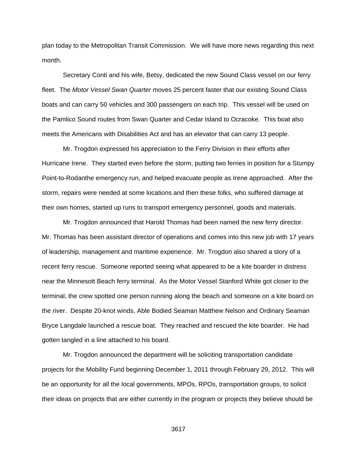plan today to the Metropolitan Transit Commission. We will have more news regarding this next month.

 Secretary Conti and his wife, Betsy, dedicated the new Sound Class vessel on our ferry fleet. The *Motor Vessel Swan Quarter* moves 25 percent faster that our existing Sound Class boats and can carry 50 vehicles and 300 passengers on each trip. This vessel will be used on the Pamlico Sound routes from Swan Quarter and Cedar Island to Ocracoke. This boat also meets the Americans with Disabilities Act and has an elevator that can carry 13 people.

 Mr. Trogdon expressed his appreciation to the Ferry Division in their efforts after Hurricane Irene. They started even before the storm, putting two ferries in position for a Stumpy Point-to-Rodanthe emergency run, and helped evacuate people as Irene approached. After the storm, repairs were needed at some locations and then these folks, who suffered damage at their own homes, started up runs to transport emergency personnel, goods and materials.

 Mr. Trogdon announced that Harold Thomas had been named the new ferry director. Mr. Thomas has been assistant director of operations and comes into this new job with 17 years of leadership, management and maritime experience. Mr. Trogdon also shared a story of a recent ferry rescue. Someone reported seeing what appeared to be a kite boarder in distress near the Minnesott Beach ferry terminal. As the Motor Vessel Stanford White got closer to the terminal, the crew spotted one person running along the beach and someone on a kite board on the river. Despite 20-knot winds, Able Bodied Seaman Matthew Nelson and Ordinary Seaman Bryce Langdale launched a rescue boat. They reached and rescued the kite boarder. He had gotten tangled in a line attached to his board.

 Mr. Trogdon announced the department will be soliciting transportation candidate projects for the Mobility Fund beginning December 1, 2011 through February 29, 2012. This will be an opportunity for all the local governments, MPOs, RPOs, transportation groups, to solicit their ideas on projects that are either currently in the program or projects they believe should be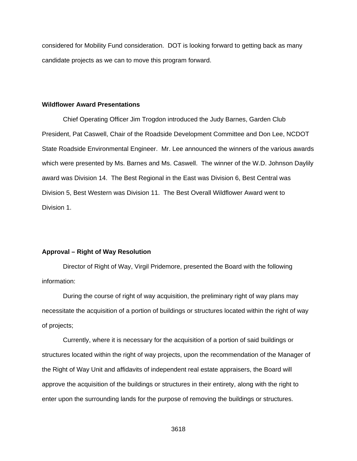considered for Mobility Fund consideration. DOT is looking forward to getting back as many candidate projects as we can to move this program forward.

#### **Wildflower Award Presentations**

Chief Operating Officer Jim Trogdon introduced the Judy Barnes, Garden Club President, Pat Caswell, Chair of the Roadside Development Committee and Don Lee, NCDOT State Roadside Environmental Engineer. Mr. Lee announced the winners of the various awards which were presented by Ms. Barnes and Ms. Caswell. The winner of the W.D. Johnson Daylily award was Division 14. The Best Regional in the East was Division 6, Best Central was Division 5, Best Western was Division 11. The Best Overall Wildflower Award went to Division 1.

#### **Approval – Right of Way Resolution**

Director of Right of Way, Virgil Pridemore, presented the Board with the following information:

 During the course of right of way acquisition, the preliminary right of way plans may necessitate the acquisition of a portion of buildings or structures located within the right of way of projects;

 Currently, where it is necessary for the acquisition of a portion of said buildings or structures located within the right of way projects, upon the recommendation of the Manager of the Right of Way Unit and affidavits of independent real estate appraisers, the Board will approve the acquisition of the buildings or structures in their entirety, along with the right to enter upon the surrounding lands for the purpose of removing the buildings or structures.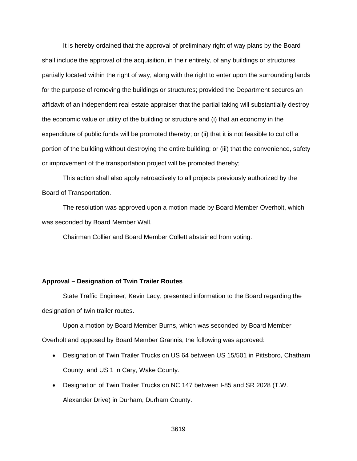It is hereby ordained that the approval of preliminary right of way plans by the Board shall include the approval of the acquisition, in their entirety, of any buildings or structures partially located within the right of way, along with the right to enter upon the surrounding lands for the purpose of removing the buildings or structures; provided the Department secures an affidavit of an independent real estate appraiser that the partial taking will substantially destroy the economic value or utility of the building or structure and (i) that an economy in the expenditure of public funds will be promoted thereby; or (ii) that it is not feasible to cut off a portion of the building without destroying the entire building; or (iii) that the convenience, safety or improvement of the transportation project will be promoted thereby;

 This action shall also apply retroactively to all projects previously authorized by the Board of Transportation.

 The resolution was approved upon a motion made by Board Member Overholt, which was seconded by Board Member Wall.

Chairman Collier and Board Member Collett abstained from voting.

#### **Approval – Designation of Twin Trailer Routes**

State Traffic Engineer, Kevin Lacy, presented information to the Board regarding the designation of twin trailer routes.

 Upon a motion by Board Member Burns, which was seconded by Board Member Overholt and opposed by Board Member Grannis, the following was approved:

- Designation of Twin Trailer Trucks on US 64 between US 15/501 in Pittsboro, Chatham County, and US 1 in Cary, Wake County.
- Designation of Twin Trailer Trucks on NC 147 between I-85 and SR 2028 (T.W. Alexander Drive) in Durham, Durham County.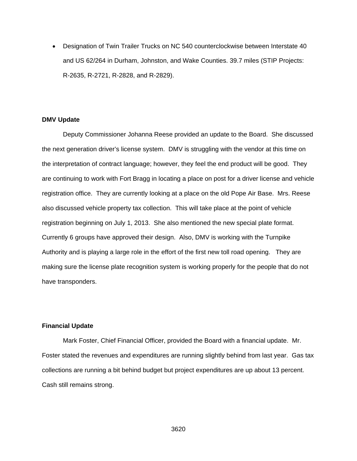Designation of Twin Trailer Trucks on NC 540 counterclockwise between Interstate 40 and US 62/264 in Durham, Johnston, and Wake Counties. 39.7 miles (STIP Projects: R-2635, R-2721, R-2828, and R-2829).

#### **DMV Update**

Deputy Commissioner Johanna Reese provided an update to the Board. She discussed the next generation driver's license system. DMV is struggling with the vendor at this time on the interpretation of contract language; however, they feel the end product will be good. They are continuing to work with Fort Bragg in locating a place on post for a driver license and vehicle registration office. They are currently looking at a place on the old Pope Air Base. Mrs. Reese also discussed vehicle property tax collection. This will take place at the point of vehicle registration beginning on July 1, 2013. She also mentioned the new special plate format. Currently 6 groups have approved their design. Also, DMV is working with the Turnpike Authority and is playing a large role in the effort of the first new toll road opening. They are making sure the license plate recognition system is working properly for the people that do not have transponders.

#### **Financial Update**

Mark Foster, Chief Financial Officer, provided the Board with a financial update. Mr. Foster stated the revenues and expenditures are running slightly behind from last year. Gas tax collections are running a bit behind budget but project expenditures are up about 13 percent. Cash still remains strong.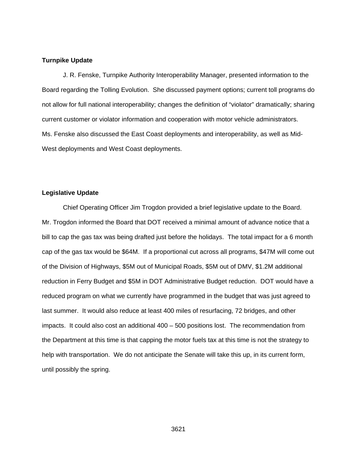#### **Turnpike Update**

J. R. Fenske, Turnpike Authority Interoperability Manager, presented information to the Board regarding the Tolling Evolution. She discussed payment options; current toll programs do not allow for full national interoperability; changes the definition of "violator" dramatically; sharing current customer or violator information and cooperation with motor vehicle administrators. Ms. Fenske also discussed the East Coast deployments and interoperability, as well as Mid-West deployments and West Coast deployments.

#### **Legislative Update**

Chief Operating Officer Jim Trogdon provided a brief legislative update to the Board. Mr. Trogdon informed the Board that DOT received a minimal amount of advance notice that a bill to cap the gas tax was being drafted just before the holidays. The total impact for a 6 month cap of the gas tax would be \$64M. If a proportional cut across all programs, \$47M will come out of the Division of Highways, \$5M out of Municipal Roads, \$5M out of DMV, \$1.2M additional reduction in Ferry Budget and \$5M in DOT Administrative Budget reduction. DOT would have a reduced program on what we currently have programmed in the budget that was just agreed to last summer. It would also reduce at least 400 miles of resurfacing, 72 bridges, and other impacts. It could also cost an additional 400 – 500 positions lost. The recommendation from the Department at this time is that capping the motor fuels tax at this time is not the strategy to help with transportation. We do not anticipate the Senate will take this up, in its current form, until possibly the spring.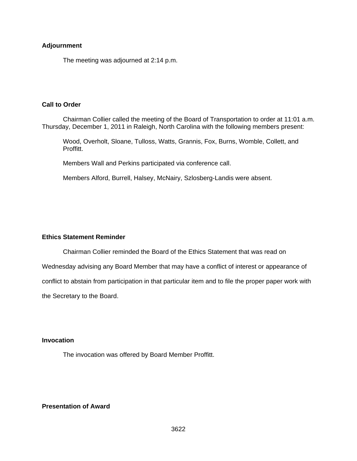#### **Adjournment**

The meeting was adjourned at 2:14 p.m.

#### **Call to Order**

Chairman Collier called the meeting of the Board of Transportation to order at 11:01 a.m. Thursday, December 1, 2011 in Raleigh, North Carolina with the following members present:

Wood, Overholt, Sloane, Tulloss, Watts, Grannis, Fox, Burns, Womble, Collett, and Proffitt.

Members Wall and Perkins participated via conference call.

Members Alford, Burrell, Halsey, McNairy, Szlosberg-Landis were absent.

## **Ethics Statement Reminder**

 Chairman Collier reminded the Board of the Ethics Statement that was read on Wednesday advising any Board Member that may have a conflict of interest or appearance of conflict to abstain from participation in that particular item and to file the proper paper work with the Secretary to the Board.

#### **Invocation**

The invocation was offered by Board Member Proffitt.

## **Presentation of Award**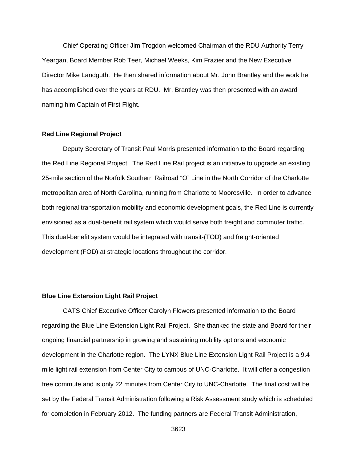Chief Operating Officer Jim Trogdon welcomed Chairman of the RDU Authority Terry Yeargan, Board Member Rob Teer, Michael Weeks, Kim Frazier and the New Executive Director Mike Landguth. He then shared information about Mr. John Brantley and the work he has accomplished over the years at RDU. Mr. Brantley was then presented with an award naming him Captain of First Flight.

#### **Red Line Regional Project**

Deputy Secretary of Transit Paul Morris presented information to the Board regarding the Red Line Regional Project. The Red Line Rail project is an initiative to upgrade an existing 25-mile section of the Norfolk Southern Railroad "O" Line in the North Corridor of the Charlotte metropolitan area of North Carolina, running from Charlotte to Mooresville. In order to advance both regional transportation mobility and economic development goals, the Red Line is currently envisioned as a dual-benefit rail system which would serve both freight and commuter traffic. This dual-benefit system would be integrated with transit-(TOD) and freight-oriented development (FOD) at strategic locations throughout the corridor.

#### **Blue Line Extension Light Rail Project**

CATS Chief Executive Officer Carolyn Flowers presented information to the Board regarding the Blue Line Extension Light Rail Project. She thanked the state and Board for their ongoing financial partnership in growing and sustaining mobility options and economic development in the Charlotte region. The LYNX Blue Line Extension Light Rail Project is a 9.4 mile light rail extension from Center City to campus of UNC-Charlotte. It will offer a congestion free commute and is only 22 minutes from Center City to UNC-Charlotte. The final cost will be set by the Federal Transit Administration following a Risk Assessment study which is scheduled for completion in February 2012. The funding partners are Federal Transit Administration,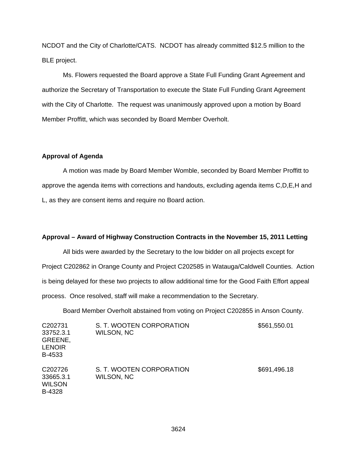NCDOT and the City of Charlotte/CATS. NCDOT has already committed \$12.5 million to the BLE project.

Ms. Flowers requested the Board approve a State Full Funding Grant Agreement and authorize the Secretary of Transportation to execute the State Full Funding Grant Agreement with the City of Charlotte. The request was unanimously approved upon a motion by Board Member Proffitt, which was seconded by Board Member Overholt.

#### **Approval of Agenda**

 A motion was made by Board Member Womble, seconded by Board Member Proffitt to approve the agenda items with corrections and handouts, excluding agenda items C,D,E,H and L, as they are consent items and require no Board action.

#### **Approval – Award of Highway Construction Contracts in the November 15, 2011 Letting**

All bids were awarded by the Secretary to the low bidder on all projects except for Project C202862 in Orange County and Project C202585 in Watauga/Caldwell Counties. Action is being delayed for these two projects to allow additional time for the Good Faith Effort appeal process. Once resolved, staff will make a recommendation to the Secretary.

Board Member Overholt abstained from voting on Project C202855 in Anson County.

| C <sub>202731</sub><br>33752.3.1<br>GREENE,<br><b>LENOIR</b><br>B-4533 | S. T. WOOTEN CORPORATION<br>WILSON, NC | \$561,550.01 |
|------------------------------------------------------------------------|----------------------------------------|--------------|
| C <sub>202726</sub><br>33665.3.1<br><b>WILSON</b><br>B-4328            | S. T. WOOTEN CORPORATION<br>WILSON, NC | \$691,496.18 |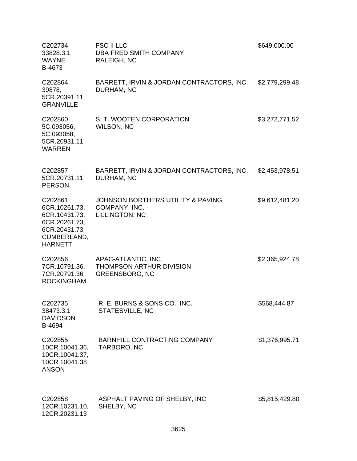| C202734<br>33828.3.1<br><b>WAYNE</b><br>B-4673                                                              | <b>FSC II LLC</b><br>DBA FRED SMITH COMPANY<br><b>RALEIGH, NC</b>               | \$649,000.00   |
|-------------------------------------------------------------------------------------------------------------|---------------------------------------------------------------------------------|----------------|
| C202864<br>39878,<br>5CR.20391.11<br><b>GRANVILLE</b>                                                       | BARRETT, IRVIN & JORDAN CONTRACTORS, INC.<br>DURHAM, NC                         | \$2,779,299.48 |
| C202860<br>5C.093056,<br>5C.093058,<br>5CR.20931.11<br><b>WARREN</b>                                        | S. T. WOOTEN CORPORATION<br><b>WILSON, NC</b>                                   | \$3,272,771.52 |
| C202857<br>5CR.20731.11<br><b>PERSON</b>                                                                    | BARRETT, IRVIN & JORDAN CONTRACTORS, INC.<br>DURHAM, NC                         | \$2,453,978.51 |
| C202861<br>6CR.10261.73,<br>6CR.10431.73,<br>6CR.20261.73,<br>6CR.20431.73<br>CUMBERLAND,<br><b>HARNETT</b> | JOHNSON BORTHERS UTILITY & PAVING<br>COMPANY, INC.<br>LILLINGTON, NC            | \$9,612,481.20 |
| C202856<br>7CR.10791.36,<br>7CR.20791.36<br><b>ROCKINGHAM</b>                                               | APAC-ATLANTIC, INC.<br><b>THOMPSON ARTHUR DIVISION</b><br><b>GREENSBORO, NC</b> | \$2,365,924.78 |
| C202735<br>38473.3.1<br><b>DAVIDSON</b><br>B-4694                                                           | R. E. BURNS & SONS CO., INC.<br>STATESVILLE, NC                                 | \$568,444.87   |
| C202855<br>10CR.10041.36,<br>10CR.10041.37,<br>10CR.10041.38<br><b>ANSON</b>                                | <b>BARNHILL CONTRACTING COMPANY</b><br>TARBORO, NC                              | \$1,376,995.71 |
| C202858<br>12CR.10231.10,<br>12CR.20231.13                                                                  | ASPHALT PAVING OF SHELBY, INC<br>SHELBY, NC                                     | \$5,815,429.80 |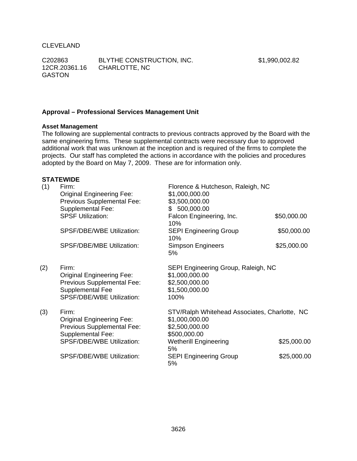CLEVELAND

C202863 12CR.20361.16 GASTON BLYTHE CONSTRUCTION, INC. CHARLOTTE, NC

\$1,990,002.82

# **Approval – Professional Services Management Unit**

#### **Asset Management**

The following are supplemental contracts to previous contracts approved by the Board with the same engineering firms. These supplemental contracts were necessary due to approved additional work that was unknown at the inception and is required of the firms to complete the projects. Our staff has completed the actions in accordance with the policies and procedures adopted by the Board on May 7, 2009. These are for information only.

## **STATEWIDE**

| (1) | Firm:<br><b>Original Engineering Fee:</b><br>Previous Supplemental Fee:<br><b>Supplemental Fee:</b>                             | Florence & Hutcheson, Raleigh, NC<br>\$1,000,000.00<br>\$3,500,000.00<br>\$500,000.00             |             |
|-----|---------------------------------------------------------------------------------------------------------------------------------|---------------------------------------------------------------------------------------------------|-------------|
|     | <b>SPSF Utilization:</b>                                                                                                        | Falcon Engineering, Inc.<br>10%                                                                   | \$50,000.00 |
|     | SPSF/DBE/WBE Utilization:                                                                                                       | <b>SEPI Engineering Group</b><br>10%                                                              | \$50,000.00 |
|     | <b>SPSF/DBE/MBE Utilization:</b>                                                                                                | <b>Simpson Engineers</b><br>5%                                                                    | \$25,000.00 |
| (2) | Firm:<br><b>Original Engineering Fee:</b><br>Previous Supplemental Fee:<br>Supplemental Fee<br><b>SPSF/DBE/WBE Utilization:</b> | SEPI Engineering Group, Raleigh, NC<br>\$1,000,000.00<br>\$2,500,000.00<br>\$1,500,000.00<br>100% |             |
| (3) | Firm:<br><b>Original Engineering Fee:</b><br>Previous Supplemental Fee:<br><b>Supplemental Fee:</b>                             | STV/Ralph Whitehead Associates, Charlotte, NC<br>\$1,000,000.00<br>\$2,500,000.00<br>\$500,000.00 |             |
|     | SPSF/DBE/WBE Utilization:                                                                                                       | <b>Wetherill Engineering</b><br>5%                                                                | \$25,000.00 |
|     | SPSF/DBE/WBE Utilization:                                                                                                       | <b>SEPI Engineering Group</b><br>5%                                                               | \$25,000.00 |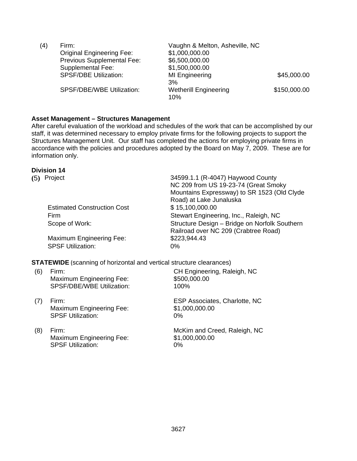| (4) | Firm:                            | Vaughn & Melton, Asheville, NC      |              |
|-----|----------------------------------|-------------------------------------|--------------|
|     | <b>Original Engineering Fee:</b> | \$1,000,000.00                      |              |
|     | Previous Supplemental Fee:       | \$6,500,000.00                      |              |
|     | Supplemental Fee:                | \$1,500,000.00                      |              |
|     | <b>SPSF/DBE Utilization:</b>     | <b>MI Engineering</b>               | \$45,000.00  |
|     |                                  | 3%                                  |              |
|     | <b>SPSF/DBE/WBE Utilization:</b> | <b>Wetherill Engineering</b><br>10% | \$150,000.00 |

#### **Asset Management – Structures Management**

After careful evaluation of the workload and schedules of the work that can be accomplished by our staff, it was determined necessary to employ private firms for the following projects to support the Structures Management Unit. Our staff has completed the actions for employing private firms in accordance with the policies and procedures adopted by the Board on May 7, 2009. These are for information only.

#### **Division 14**

| (5) | Project                            | 34599.1.1 (R-4047) Haywood County             |
|-----|------------------------------------|-----------------------------------------------|
|     |                                    | NC 209 from US 19-23-74 (Great Smoky          |
|     |                                    | Mountains Expressway) to SR 1523 (Old Clyde   |
|     |                                    | Road) at Lake Junaluska                       |
|     | <b>Estimated Construction Cost</b> | \$15,100,000.00                               |
|     | Firm                               | Stewart Engineering, Inc., Raleigh, NC        |
|     | Scope of Work:                     | Structure Design - Bridge on Norfolk Southern |
|     |                                    | Railroad over NC 209 (Crabtree Road)          |
|     | <b>Maximum Engineering Fee:</b>    | \$223,944.43                                  |
|     | <b>SPSF Utilization:</b>           | $0\%$                                         |
|     |                                    |                                               |

**STATEWIDE** (scanning of horizontal and vertical structure clearances)

- (6) Firm: CH Engineering, Raleigh, NC Maximum Engineering Fee: \$500,000.00 SPSF/DBE/WBE Utilization: 100%
- (7) Firm: Firm: ESP Associates, Charlotte, NC<br>Maximum Engineering Fee: \$1,000,000.00 Maximum Engineering Fee: SPSF Utilization: 0%
- (8) Firm: McKim and Creed, Raleigh, NC Maximum Engineering Fee: \$1,000,000.00 SPSF Utilization: 0%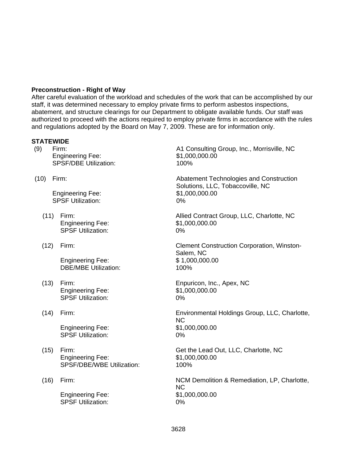## **Preconstruction - Right of Way**

After careful evaluation of the workload and schedules of the work that can be accomplished by our staff, it was determined necessary to employ private firms to perform asbestos inspections, abatement, and structure clearings for our Department to obligate available funds. Our staff was authorized to proceed with the actions required to employ private firms in accordance with the rules and regulations adopted by the Board on May 7, 2009. These are for information only.

#### **STATEWIDE**

Engineering Fee: \$1,000,000.00 SPSF/DBE Utilization: 100%

Engineering Fee: \$1,000,000.00 SPSF Utilization: 0%

- Engineering Fee: \$1,000,000.00 SPSF Utilization: 0%
- 

 Engineering Fee: \$ 1,000,000.00 DBE/MBE Utilization: 100%

- Engineering Fee: \$1,000,000.00<br>SPSF Utilization: \$2,000,000.00 SPSF Utilization:
- 

 Engineering Fee: \$1,000,000.00 SPSF Utilization: 0%

- Engineering Fee: \$1,000,000.00 SPSF/DBE/WBE Utilization: 100%
- 

 Engineering Fee: \$1,000,000.00 SPSF Utilization: 0%

(9) Firm: A1 Consulting Group, Inc., Morrisville, NC

(10) Firm: Abatement Technologies and Construction Solutions, LLC, Tobaccoville, NC

(11) Firm: Allied Contract Group, LLC, Charlotte, NC

(12) Firm: Clement Construction Corporation, Winston-Salem, NC

(13) Firm: Enpuricon, Inc., Apex, NC

(14) Firm: Environmental Holdings Group, LLC, Charlotte, NC

(15) Firm: Get the Lead Out, LLC, Charlotte, NC

(16) Firm: NCM Demolition & Remediation, LP, Charlotte, NC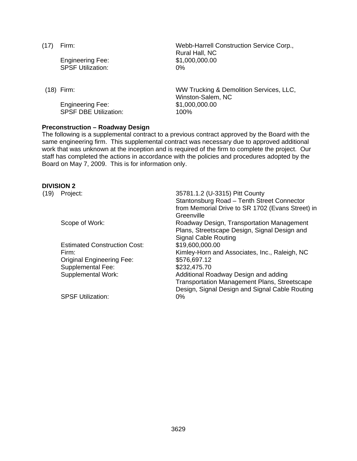Engineering Fee: \$1,000,000.00 SPSF Utilization: 0%

 Engineering Fee: \$1,000,000.00 SPSF DBE Utilization: 100%

(17) Firm: Webb-Harrell Construction Service Corp., Rural Hall, NC

(18) Firm: WW Trucking & Demolition Services, LLC, Winston-Salem, NC

#### **Preconstruction – Roadway Design**

The following is a supplemental contract to a previous contract approved by the Board with the same engineering firm. This supplemental contract was necessary due to approved additional work that was unknown at the inception and is required of the firm to complete the project. Our staff has completed the actions in accordance with the policies and procedures adopted by the Board on May 7, 2009. This is for information only.

#### **DIVISION 2**

| (19) | Project:                            | 35781.1.2 (U-3315) Pitt County                      |
|------|-------------------------------------|-----------------------------------------------------|
|      |                                     | Stantonsburg Road - Tenth Street Connector          |
|      |                                     | from Memorial Drive to SR 1702 (Evans Street) in    |
|      |                                     | Greenville                                          |
|      | Scope of Work:                      | Roadway Design, Transportation Management           |
|      |                                     | Plans, Streetscape Design, Signal Design and        |
|      |                                     | <b>Signal Cable Routing</b>                         |
|      | <b>Estimated Construction Cost:</b> | \$19,600,000.00                                     |
|      | Firm:                               | Kimley-Horn and Associates, Inc., Raleigh, NC       |
|      | <b>Original Engineering Fee:</b>    | \$576,697.12                                        |
|      | Supplemental Fee:                   | \$232,475.70                                        |
|      | <b>Supplemental Work:</b>           | Additional Roadway Design and adding                |
|      |                                     | <b>Transportation Management Plans, Streetscape</b> |
|      |                                     | Design, Signal Design and Signal Cable Routing      |
|      | <b>SPSF Utilization:</b>            | $0\%$                                               |
|      |                                     |                                                     |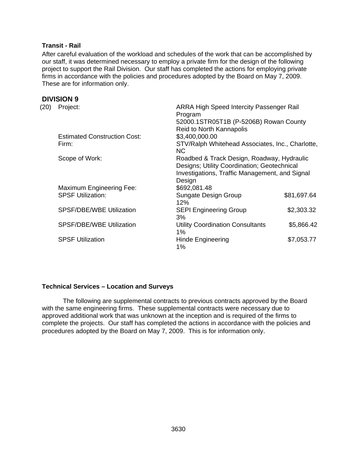## **Transit - Rail**

After careful evaluation of the workload and schedules of the work that can be accomplished by our staff, it was determined necessary to employ a private firm for the design of the following project to support the Rail Division. Our staff has completed the actions for employing private firms in accordance with the policies and procedures adopted by the Board on May 7, 2009. These are for information only.

## **DIVISION 9**

| (20) | Project:                            | <b>ARRA High Speed Intercity Passenger Rail</b>                                                                                             |             |
|------|-------------------------------------|---------------------------------------------------------------------------------------------------------------------------------------------|-------------|
|      |                                     | Program<br>52000.1STR05T1B (P-5206B) Rowan County                                                                                           |             |
|      |                                     | <b>Reid to North Kannapolis</b>                                                                                                             |             |
|      | <b>Estimated Construction Cost:</b> | \$3,400,000.00                                                                                                                              |             |
|      | Firm:                               | STV/Ralph Whitehead Associates, Inc., Charlotte,<br>NC.                                                                                     |             |
|      | Scope of Work:                      | Roadbed & Track Design, Roadway, Hydraulic<br>Designs; Utility Coordination; Geotechnical<br>Investigations, Traffic Management, and Signal |             |
|      |                                     | Design                                                                                                                                      |             |
|      | <b>Maximum Engineering Fee:</b>     | \$692,081.48                                                                                                                                |             |
|      | <b>SPSF Utilization:</b>            | Sungate Design Group<br>12%                                                                                                                 | \$81,697.64 |
|      | <b>SPSF/DBE/WBE Utilization</b>     | <b>SEPI Engineering Group</b><br>3%                                                                                                         | \$2,303.32  |
|      | SPSF/DBE/WBE Utilization            | <b>Utility Coordination Consultants</b><br>1%                                                                                               | \$5,866.42  |
|      | <b>SPSF Utilization</b>             | Hinde Engineering<br>1%                                                                                                                     | \$7,053.77  |
|      |                                     |                                                                                                                                             |             |

#### **Technical Services – Location and Surveys**

The following are supplemental contracts to previous contracts approved by the Board with the same engineering firms. These supplemental contracts were necessary due to approved additional work that was unknown at the inception and is required of the firms to complete the projects. Our staff has completed the actions in accordance with the policies and procedures adopted by the Board on May 7, 2009. This is for information only.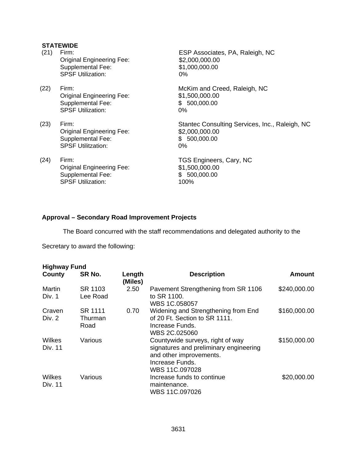# **STATEWIDE**

| (21) | Firm:<br><b>Original Engineering Fee:</b><br><b>Supplemental Fee:</b><br><b>SPSF Utilization:</b> | ESP Associates, PA, Raleigh, NC<br>\$2,000,000.00<br>\$1,000,000.00<br>0%              |
|------|---------------------------------------------------------------------------------------------------|----------------------------------------------------------------------------------------|
| (22) | Firm:<br><b>Original Engineering Fee:</b><br>Supplemental Fee:<br><b>SPSF Utilization:</b>        | McKim and Creed, Raleigh, NC<br>\$1,500,000.00<br>500,000.00<br>SS.<br>0%              |
| (23) | Firm:<br><b>Original Engineering Fee:</b><br>Supplemental Fee:<br><b>SPSF Utilitzation:</b>       | Stantec Consulting Services, Inc., Raleigh, NC<br>\$2,000,000.00<br>\$500,000.00<br>0% |
| (24) | Firm:<br><b>Original Engineering Fee:</b><br>Supplemental Fee:<br><b>SPSF Utilization:</b>        | TGS Engineers, Cary, NC<br>\$1,500,000.00<br>\$500,000.00<br>100%                      |

# **Approval – Secondary Road Improvement Projects**

The Board concurred with the staff recommendations and delegated authority to the

Secretary to award the following:

| <b>Highway Fund</b> |                            |                   |                                                                                                                                            |               |
|---------------------|----------------------------|-------------------|--------------------------------------------------------------------------------------------------------------------------------------------|---------------|
| County              | SR No.                     | Length<br>(Miles) | <b>Description</b>                                                                                                                         | <b>Amount</b> |
| Martin<br>Div. 1    | SR 1103<br>Lee Road        | 2.50              | Pavement Strengthening from SR 1106<br>to SR 1100.<br>WBS 1C.058057                                                                        | \$240,000.00  |
| Craven<br>Div. 2    | SR 1111<br>Thurman<br>Road | 0.70              | Widening and Strengthening from End<br>of 20 Ft. Section to SR 1111.<br>Increase Funds.<br>WBS 2C.025060                                   | \$160,000.00  |
| Wilkes<br>Div. 11   | Various                    |                   | Countywide surveys, right of way<br>signatures and preliminary engineering<br>and other improvements.<br>Increase Funds.<br>WBS 11C.097028 | \$150,000.00  |
| Wilkes<br>Div. 11   | Various                    |                   | Increase funds to continue<br>maintenance.<br>WBS 11C.097026                                                                               | \$20,000.00   |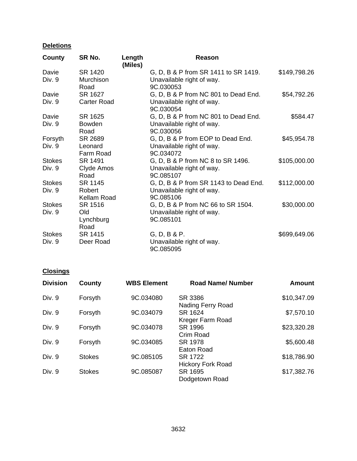# **Deletions**

| County        | SR No.                | Length<br>(Miles) | Reason                                 |              |
|---------------|-----------------------|-------------------|----------------------------------------|--------------|
| Davie         | SR 1420               |                   | G, D, B & P from SR 1411 to SR 1419.   | \$149,798.26 |
| Div. 9        | Murchison<br>Road     |                   | Unavailable right of way.<br>9C.030053 |              |
| Davie         | SR 1627               |                   | G, D, B & P from NC 801 to Dead End.   | \$54,792.26  |
| Div. 9        | Carter Road           |                   | Unavailable right of way.<br>9C.030054 |              |
| Davie         | SR 1625               |                   | G, D, B & P from NC 801 to Dead End.   | \$584.47     |
| Div. 9        | <b>Bowden</b><br>Road |                   | Unavailable right of way.<br>9C.030056 |              |
| Forsyth       | SR 2689               |                   | G, D, B & P from EOP to Dead End.      | \$45,954.78  |
| Div. 9        | Leonard<br>Farm Road  |                   | Unavailable right of way.<br>9C.034072 |              |
| <b>Stokes</b> | SR 1491               |                   | G, D, B & P from NC 8 to SR 1496.      | \$105,000.00 |
| Div. 9        | Clyde Amos<br>Road    |                   | Unavailable right of way.<br>9C.085107 |              |
| <b>Stokes</b> | SR 1145               |                   | G, D, B & P from SR 1143 to Dead End.  | \$112,000.00 |
| Div. 9        | Robert<br>Kellam Road |                   | Unavailable right of way.<br>9C.085106 |              |
| <b>Stokes</b> | SR 1516               |                   | G, D, B & P from NC 66 to SR 1504.     | \$30,000.00  |
| Div. 9        | <b>Old</b>            |                   | Unavailable right of way.              |              |
|               | Lynchburg<br>Road     |                   | 9C.085101                              |              |
| <b>Stokes</b> | SR 1415               |                   | G, D, B & P.                           | \$699,649.06 |
| Div. 9        | Deer Road             |                   | Unavailable right of way.<br>9C.085095 |              |

# **Closings**

| <b>Division</b> | County        | <b>WBS Element</b> | <b>Road Name/Number</b>             | <b>Amount</b> |
|-----------------|---------------|--------------------|-------------------------------------|---------------|
| Div. 9          | Forsyth       | 9C.034080          | SR 3386<br>Nading Ferry Road        | \$10,347.09   |
| Div. 9          | Forsyth       | 9C.034079          | SR 1624<br>Kreger Farm Road         | \$7,570.10    |
| Div. 9          | Forsyth       | 9C.034078          | SR 1996<br>Crim Road                | \$23,320.28   |
| Div. 9          | Forsyth       | 9C.034085          | SR 1978<br>Eaton Road               | \$5,600.48    |
| Div. 9          | <b>Stokes</b> | 9C.085105          | SR 1722<br><b>Hickory Fork Road</b> | \$18,786.90   |
| Div. 9          | <b>Stokes</b> | 9C.085087          | SR 1695<br>Dodgetown Road           | \$17,382.76   |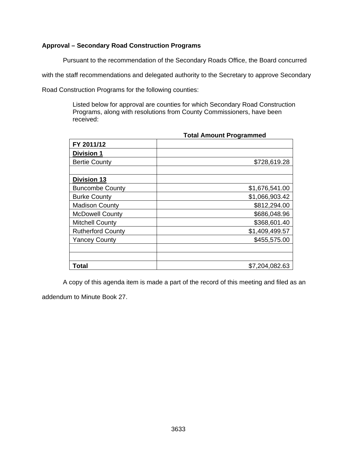# **Approval – Secondary Road Construction Programs**

Pursuant to the recommendation of the Secondary Roads Office, the Board concurred

with the staff recommendations and delegated authority to the Secretary to approve Secondary

Road Construction Programs for the following counties:

Listed below for approval are counties for which Secondary Road Construction Programs, along with resolutions from County Commissioners, have been received:

| FY 2011/12               |                |
|--------------------------|----------------|
| <b>Division 1</b>        |                |
| <b>Bertie County</b>     | \$728,619.28   |
|                          |                |
| <b>Division 13</b>       |                |
| <b>Buncombe County</b>   | \$1,676,541.00 |
| <b>Burke County</b>      | \$1,066,903.42 |
| <b>Madison County</b>    | \$812,294.00   |
| <b>McDowell County</b>   | \$686,048.96   |
| <b>Mitchell County</b>   | \$368,601.40   |
| <b>Rutherford County</b> | \$1,409,499.57 |
| <b>Yancey County</b>     | \$455,575.00   |
|                          |                |
|                          |                |
| Total                    | \$7,204,082.63 |

**Total Amount Programmed** 

A copy of this agenda item is made a part of the record of this meeting and filed as an

addendum to Minute Book 27.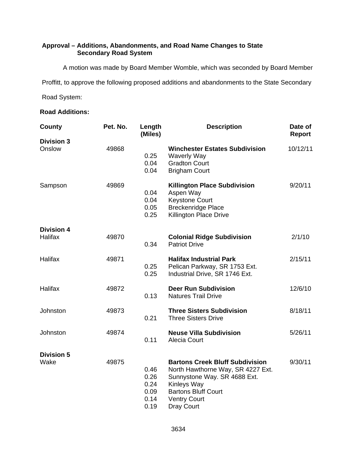# **Approval – Additions, Abandonments, and Road Name Changes to State Secondary Road System**

A motion was made by Board Member Womble, which was seconded by Board Member

Proffitt, to approve the following proposed additions and abandonments to the State Secondary

Road System:

## **Road Additions:**

| County                       | Pet. No. | Length<br>(Miles)                            | <b>Description</b>                                                                                                                                                                            | Date of<br>Report |
|------------------------------|----------|----------------------------------------------|-----------------------------------------------------------------------------------------------------------------------------------------------------------------------------------------------|-------------------|
| <b>Division 3</b><br>Onslow  | 49868    | 0.25<br>0.04<br>0.04                         | <b>Winchester Estates Subdivision</b><br><b>Waverly Way</b><br><b>Gradton Court</b><br><b>Brigham Court</b>                                                                                   | 10/12/11          |
| Sampson                      | 49869    | 0.04<br>0.04<br>0.05<br>0.25                 | <b>Killington Place Subdivision</b><br>Aspen Way<br><b>Keystone Court</b><br><b>Breckenridge Place</b><br><b>Killington Place Drive</b>                                                       | 9/20/11           |
| <b>Division 4</b><br>Halifax | 49870    | 0.34                                         | <b>Colonial Ridge Subdivision</b><br><b>Patriot Drive</b>                                                                                                                                     | 2/1/10            |
| Halifax                      | 49871    | 0.25<br>0.25                                 | <b>Halifax Industrial Park</b><br>Pelican Parkway, SR 1753 Ext.<br>Industrial Drive, SR 1746 Ext.                                                                                             | 2/15/11           |
| Halifax                      | 49872    | 0.13                                         | <b>Deer Run Subdivision</b><br><b>Natures Trail Drive</b>                                                                                                                                     | 12/6/10           |
| Johnston                     | 49873    | 0.21                                         | <b>Three Sisters Subdivision</b><br><b>Three Sisters Drive</b>                                                                                                                                | 8/18/11           |
| Johnston                     | 49874    | 0.11                                         | <b>Neuse Villa Subdivision</b><br>Alecia Court                                                                                                                                                | 5/26/11           |
| <b>Division 5</b><br>Wake    | 49875    | 0.46<br>0.26<br>0.24<br>0.09<br>0.14<br>0.19 | <b>Bartons Creek Bluff Subdivision</b><br>North Hawthorne Way, SR 4227 Ext.<br>Sunnystone Way. SR 4688 Ext.<br>Kinleys Way<br><b>Bartons Bluff Court</b><br><b>Ventry Court</b><br>Dray Court | 9/30/11           |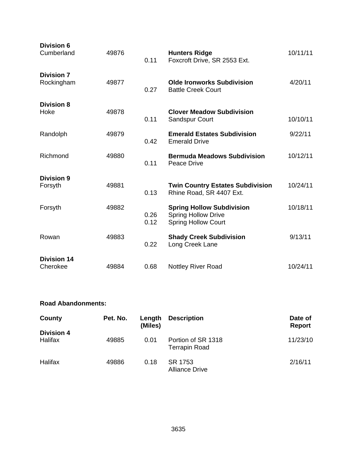| <b>Division 6</b><br>Cumberland | 49876 | 0.11         | <b>Hunters Ridge</b><br>Foxcroft Drive, SR 2553 Ext.                                         | 10/11/11 |
|---------------------------------|-------|--------------|----------------------------------------------------------------------------------------------|----------|
| <b>Division 7</b><br>Rockingham | 49877 | 0.27         | <b>Olde Ironworks Subdivision</b><br><b>Battle Creek Court</b>                               | 4/20/11  |
| <b>Division 8</b><br>Hoke       | 49878 | 0.11         | <b>Clover Meadow Subdivision</b><br><b>Sandspur Court</b>                                    | 10/10/11 |
| Randolph                        | 49879 | 0.42         | <b>Emerald Estates Subdivision</b><br><b>Emerald Drive</b>                                   | 9/22/11  |
| Richmond                        | 49880 | 0.11         | <b>Bermuda Meadows Subdivision</b><br>Peace Drive                                            | 10/12/11 |
| <b>Division 9</b><br>Forsyth    | 49881 | 0.13         | <b>Twin Country Estates Subdivision</b><br>Rhine Road, SR 4407 Ext.                          | 10/24/11 |
| Forsyth                         | 49882 | 0.26<br>0.12 | <b>Spring Hollow Subdivision</b><br><b>Spring Hollow Drive</b><br><b>Spring Hollow Court</b> | 10/18/11 |
| Rowan                           | 49883 | 0.22         | <b>Shady Creek Subdivision</b><br>Long Creek Lane                                            | 9/13/11  |
| <b>Division 14</b><br>Cherokee  | 49884 | 0.68         | <b>Nottley River Road</b>                                                                    | 10/24/11 |

## **Road Abandonments:**

| County                       | Pet. No. | Length<br>(Miles) | <b>Description</b>                         | Date of<br><b>Report</b> |
|------------------------------|----------|-------------------|--------------------------------------------|--------------------------|
| <b>Division 4</b><br>Halifax | 49885    | 0.01              | Portion of SR 1318<br><b>Terrapin Road</b> | 11/23/10                 |
| Halifax                      | 49886    | 0.18              | SR 1753<br><b>Alliance Drive</b>           | 2/16/11                  |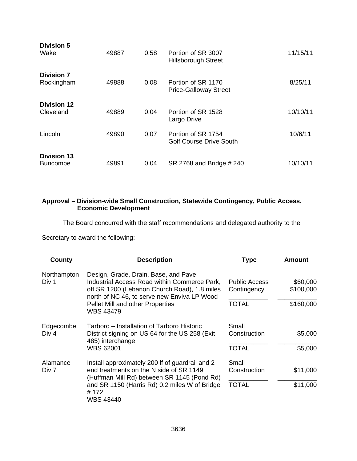| <b>Division 5</b><br>Wake             | 49887 | 0.58 | Portion of SR 3007<br><b>Hillsborough Street</b>     | 11/15/11 |
|---------------------------------------|-------|------|------------------------------------------------------|----------|
| <b>Division 7</b><br>Rockingham       | 49888 | 0.08 | Portion of SR 1170<br><b>Price-Galloway Street</b>   | 8/25/11  |
| <b>Division 12</b><br>Cleveland       | 49889 | 0.04 | Portion of SR 1528<br>Largo Drive                    | 10/10/11 |
| Lincoln                               | 49890 | 0.07 | Portion of SR 1754<br><b>Golf Course Drive South</b> | 10/6/11  |
| <b>Division 13</b><br><b>Buncombe</b> | 49891 | 0.04 | SR 2768 and Bridge # 240                             | 10/10/11 |

## **Approval – Division-wide Small Construction, Statewide Contingency, Public Access, Economic Development**

The Board concurred with the staff recommendations and delegated authority to the

Secretary to award the following:

| County               | <b>Description</b>                                                                                                                                                                  | <b>Type</b>                         | Amount                |
|----------------------|-------------------------------------------------------------------------------------------------------------------------------------------------------------------------------------|-------------------------------------|-----------------------|
| Northampton<br>Div 1 | Design, Grade, Drain, Base, and Pave<br>Industrial Access Road within Commerce Park,<br>off SR 1200 (Lebanon Church Road), 1.8 miles<br>north of NC 46, to serve new Enviva LP Wood | <b>Public Access</b><br>Contingency | \$60,000<br>\$100,000 |
|                      | <b>Pellet Mill and other Properties</b><br><b>WBS 43479</b>                                                                                                                         | <b>TOTAL</b>                        | \$160,000             |
| Edgecombe            | Tarboro – Installation of Tarboro Historic                                                                                                                                          | Small                               |                       |
| Div 4                | District signing on US 64 for the US 258 (Exit)<br>485) interchange<br><b>WBS 62001</b>                                                                                             | Construction                        | \$5,000               |
|                      |                                                                                                                                                                                     | <b>TOTAL</b>                        | \$5,000               |
| Alamance<br>Div 7    | Install approximately 200 If of guardrail and 2<br>end treatments on the N side of SR 1149<br>(Huffman Mill Rd) between SR 1145 (Pond Rd)                                           | Small<br>Construction               | \$11,000              |
|                      | and SR 1150 (Harris Rd) 0.2 miles W of Bridge<br>#172<br>WBS 43440                                                                                                                  | <b>TOTAL</b>                        | \$11,000              |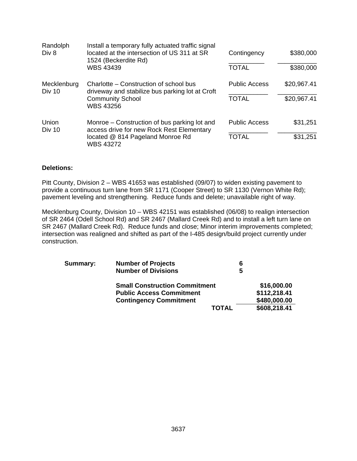| Randolph<br>Div 8     | Install a temporary fully actuated traffic signal<br>located at the intersection of US 311 at SR<br>1524 (Beckerdite Rd)<br>WBS 43439             | Contingency<br><b>TOTAL</b>          | \$380,000<br>\$380,000     |
|-----------------------|---------------------------------------------------------------------------------------------------------------------------------------------------|--------------------------------------|----------------------------|
| Mecklenburg<br>Div 10 | Charlotte - Construction of school bus<br>driveway and stabilize bus parking lot at Croft<br><b>Community School</b><br><b>WBS 43256</b>          | <b>Public Access</b><br><b>TOTAL</b> | \$20,967.41<br>\$20,967.41 |
| Union<br>Div 10       | Monroe – Construction of bus parking lot and<br>access drive for new Rock Rest Elementary<br>located @ 814 Pageland Monroe Rd<br><b>WBS 43272</b> | <b>Public Access</b><br><b>TOTAL</b> | \$31,251<br>\$31,251       |

#### **Deletions:**

Pitt County, Division 2 – WBS 41653 was established (09/07) to widen existing pavement to provide a continuous turn lane from SR 1171 (Cooper Street) to SR 1130 (Vernon White Rd); pavement leveling and strengthening. Reduce funds and delete; unavailable right of way.

Mecklenburg County, Division 10 – WBS 42151 was established (06/08) to realign intersection of SR 2464 (Odell School Rd) and SR 2467 (Mallard Creek Rd) and to install a left turn lane on SR 2467 (Mallard Creek Rd). Reduce funds and close; Minor interim improvements completed; intersection was realigned and shifted as part of the I-485 design/build project currently under construction.

| Summary: | <b>Number of Projects</b>            | 6 |              |
|----------|--------------------------------------|---|--------------|
|          | <b>Number of Divisions</b>           | 5 |              |
|          | <b>Small Construction Commitment</b> |   | \$16,000.00  |
|          | <b>Public Access Commitment</b>      |   | \$112,218.41 |
|          | <b>Contingency Commitment</b>        |   | \$480,000.00 |
|          | <b>TOTAL</b>                         |   | \$608,218.41 |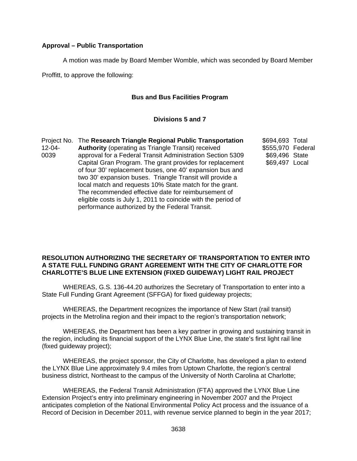## **Approval – Public Transportation**

A motion was made by Board Member Womble, which was seconded by Board Member

Proffitt, to approve the following:

## **Bus and Bus Facilities Program**

#### **Divisions 5 and 7**

Project No. The **Research Triangle Regional Public Transportation**  12-04- 0039 **Authority** (operating as Triangle Transit) received approval for a Federal Transit Administration Section 5309 Capital Gran Program. The grant provides for replacement of four 30' replacement buses, one 40' expansion bus and two 30' expansion buses. Triangle Transit will provide a local match and requests 10% State match for the grant. The recommended effective date for reimbursement of eligible costs is July 1, 2011 to coincide with the period of performance authorized by the Federal Transit.

\$694,693 Total \$555,970 Federal \$69,496 State \$69,497 Local

#### **RESOLUTION AUTHORIZING THE SECRETARY OF TRANSPORTATION TO ENTER INTO A STATE FULL FUNDING GRANT AGREEMENT WITH THE CITY OF CHARLOTTE FOR CHARLOTTE'S BLUE LINE EXTENSION (FIXED GUIDEWAY) LIGHT RAIL PROJECT**

 WHEREAS, G.S. 136-44.20 authorizes the Secretary of Transportation to enter into a State Full Funding Grant Agreement (SFFGA) for fixed guideway projects;

 WHEREAS, the Department recognizes the importance of New Start (rail transit) projects in the Metrolina region and their impact to the region's transportation network;

 WHEREAS, the Department has been a key partner in growing and sustaining transit in the region, including its financial support of the LYNX Blue Line, the state's first light rail line (fixed guideway project);

 WHEREAS, the project sponsor, the City of Charlotte, has developed a plan to extend the LYNX Blue Line approximately 9.4 miles from Uptown Charlotte, the region's central business district, Northeast to the campus of the University of North Carolina at Charlotte;

 WHEREAS, the Federal Transit Administration (FTA) approved the LYNX Blue Line Extension Project's entry into preliminary engineering in November 2007 and the Project anticipates completion of the National Environmental Policy Act process and the issuance of a Record of Decision in December 2011, with revenue service planned to begin in the year 2017;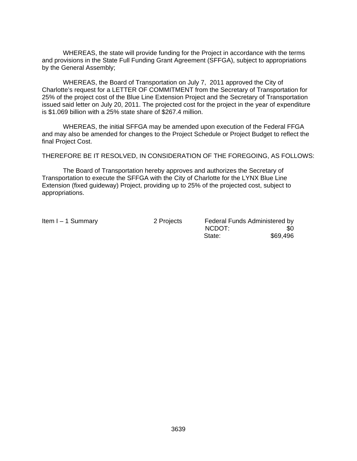WHEREAS, the state will provide funding for the Project in accordance with the terms and provisions in the State Full Funding Grant Agreement (SFFGA), subject to appropriations by the General Assembly;

 WHEREAS, the Board of Transportation on July 7, 2011 approved the City of Charlotte's request for a LETTER OF COMMITMENT from the Secretary of Transportation for 25% of the project cost of the Blue Line Extension Project and the Secretary of Transportation issued said letter on July 20, 2011. The projected cost for the project in the year of expenditure is \$1.069 billion with a 25% state share of \$267.4 million.

 WHEREAS, the initial SFFGA may be amended upon execution of the Federal FFGA and may also be amended for changes to the Project Schedule or Project Budget to reflect the final Project Cost.

THEREFORE BE IT RESOLVED, IN CONSIDERATION OF THE FOREGOING, AS FOLLOWS:

 The Board of Transportation hereby approves and authorizes the Secretary of Transportation to execute the SFFGA with the City of Charlotte for the LYNX Blue Line Extension (fixed guideway) Project, providing up to 25% of the projected cost, subject to appropriations.

Item I – 1 Summary 2 Projects Federal Funds Administered by NCDOT: \$0 external state:  $$69,496$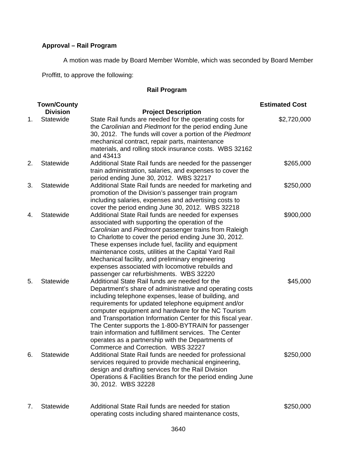# **Approval – Rail Program**

A motion was made by Board Member Womble, which was seconded by Board Member

Proffitt, to approve the following:

# **Rail Program**

|    | <b>Town/County</b> |                                                                                                                                                                                                                                                                                                                                                                                                                                                                                                                                                            | <b>Estimated Cost</b> |
|----|--------------------|------------------------------------------------------------------------------------------------------------------------------------------------------------------------------------------------------------------------------------------------------------------------------------------------------------------------------------------------------------------------------------------------------------------------------------------------------------------------------------------------------------------------------------------------------------|-----------------------|
|    | <b>Division</b>    | <b>Project Description</b>                                                                                                                                                                                                                                                                                                                                                                                                                                                                                                                                 |                       |
| 1. | Statewide          | State Rail funds are needed for the operating costs for<br>the Carolinian and Piedmont for the period ending June<br>30, 2012. The funds will cover a portion of the Piedmont<br>mechanical contract, repair parts, maintenance<br>materials, and rolling stock insurance costs. WBS 32162<br>and 43413                                                                                                                                                                                                                                                    | \$2,720,000           |
| 2. | Statewide          | Additional State Rail funds are needed for the passenger<br>train administration, salaries, and expenses to cover the<br>period ending June 30, 2012. WBS 32217                                                                                                                                                                                                                                                                                                                                                                                            | \$265,000             |
| 3. | Statewide          | Additional State Rail funds are needed for marketing and<br>promotion of the Division's passenger train program<br>including salaries, expenses and advertising costs to<br>cover the period ending June 30, 2012. WBS 32218                                                                                                                                                                                                                                                                                                                               | \$250,000             |
| 4. | Statewide          | Additional State Rail funds are needed for expenses<br>associated with supporting the operation of the<br>Carolinian and Piedmont passenger trains from Raleigh<br>to Charlotte to cover the period ending June 30, 2012.<br>These expenses include fuel, facility and equipment<br>maintenance costs, utilities at the Capital Yard Rail<br>Mechanical facility, and preliminary engineering<br>expenses associated with locomotive rebuilds and<br>passenger car refurbishments. WBS 32220                                                               | \$900,000             |
| 5. | Statewide          | Additional State Rail funds are needed for the<br>Department's share of administrative and operating costs<br>including telephone expenses, lease of building, and<br>requirements for updated telephone equipment and/or<br>computer equipment and hardware for the NC Tourism<br>and Transportation Information Center for this fiscal year.<br>The Center supports the 1-800-BYTRAIN for passenger<br>train information and fulfillment services. The Center<br>operates as a partnership with the Departments of<br>Commerce and Correction. WBS 32227 | \$45,000              |
| 6. | Statewide          | Additional State Rail funds are needed for professional<br>services required to provide mechanical engineering,<br>design and drafting services for the Rail Division<br>Operations & Facilities Branch for the period ending June<br>30, 2012. WBS 32228                                                                                                                                                                                                                                                                                                  | \$250,000             |
| 7. | Statewide          | Additional State Rail funds are needed for station<br>operating costs including shared maintenance costs,                                                                                                                                                                                                                                                                                                                                                                                                                                                  | \$250,000             |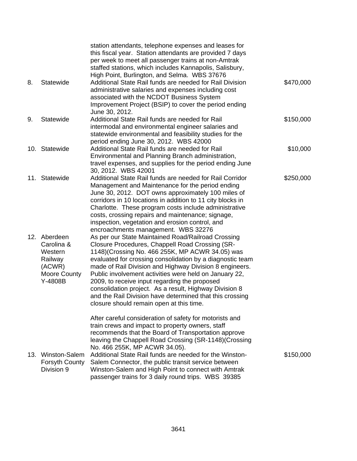|     |                                                                                       | station attendants, telephone expenses and leases for<br>this fiscal year. Station attendants are provided 7 days<br>per week to meet all passenger trains at non-Amtrak<br>staffed stations, which includes Kannapolis, Salisbury,<br>High Point, Burlington, and Selma. WBS 37676                                                                                                                                                                                                                                                                            |           |
|-----|---------------------------------------------------------------------------------------|----------------------------------------------------------------------------------------------------------------------------------------------------------------------------------------------------------------------------------------------------------------------------------------------------------------------------------------------------------------------------------------------------------------------------------------------------------------------------------------------------------------------------------------------------------------|-----------|
| 8.  | Statewide                                                                             | Additional State Rail funds are needed for Rail Division<br>administrative salaries and expenses including cost<br>associated with the NCDOT Business System<br>Improvement Project (BSIP) to cover the period ending<br>June 30, 2012.                                                                                                                                                                                                                                                                                                                        | \$470,000 |
| 9.  | Statewide                                                                             | Additional State Rail funds are needed for Rail<br>intermodal and environmental engineer salaries and<br>statewide environmental and feasibility studies for the<br>period ending June 30, 2012. WBS 42000                                                                                                                                                                                                                                                                                                                                                     | \$150,000 |
|     | 10. Statewide                                                                         | Additional State Rail funds are needed for Rail<br>Environmental and Planning Branch administration,<br>travel expenses, and supplies for the period ending June<br>30, 2012. WBS 42001                                                                                                                                                                                                                                                                                                                                                                        | \$10,000  |
|     | 11. Statewide                                                                         | Additional State Rail funds are needed for Rail Corridor<br>Management and Maintenance for the period ending<br>June 30, 2012. DOT owns approximately 100 miles of<br>corridors in 10 locations in addition to 11 city blocks in<br>Charlotte. These program costs include administrative<br>costs, crossing repairs and maintenance; signage,<br>inspection, vegetation and erosion control, and<br>encroachments management. WBS 32276                                                                                                                       | \$250,000 |
|     | 12. Aberdeen<br>Carolina &<br>Western<br>Railway<br>(ACWR)<br>Moore County<br>Y-4808B | As per our State Maintained Road/Railroad Crossing<br>Closure Procedures, Chappell Road Crossing (SR-<br>1148) (Crossing No. 466 255K, MP ACWR 34.05) was<br>evaluated for crossing consolidation by a diagnostic team<br>made of Rail Division and Highway Division 8 engineers.<br>Public involvement activities were held on January 22,<br>2009, to receive input regarding the proposed<br>consolidation project. As a result, Highway Division 8<br>and the Rail Division have determined that this crossing<br>closure should remain open at this time. |           |
| 13. | Winston-Salem<br>Forsyth County<br>Division 9                                         | After careful consideration of safety for motorists and<br>train crews and impact to property owners, staff<br>recommends that the Board of Transportation approve<br>leaving the Chappell Road Crossing (SR-1148) (Crossing<br>No. 466 255K, MP ACWR 34.05).<br>Additional State Rail funds are needed for the Winston-<br>Salem Connector, the public transit service between<br>Winston-Salem and High Point to connect with Amtrak                                                                                                                         | \$150,000 |
|     |                                                                                       | passenger trains for 3 daily round trips. WBS 39385                                                                                                                                                                                                                                                                                                                                                                                                                                                                                                            |           |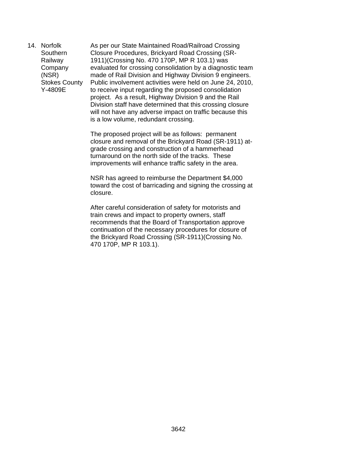14. Norfolk Southern Railway Company (NSR) Stokes County Y-4809E

As per our State Maintained Road/Railroad Crossing Closure Procedures, Brickyard Road Crossing (SR-1911)(Crossing No. 470 170P, MP R 103.1) was evaluated for crossing consolidation by a diagnostic team made of Rail Division and Highway Division 9 engineers. Public involvement activities were held on June 24, 2010, to receive input regarding the proposed consolidation project. As a result, Highway Division 9 and the Rail Division staff have determined that this crossing closure will not have any adverse impact on traffic because this is a low volume, redundant crossing.

The proposed project will be as follows: permanent closure and removal of the Brickyard Road (SR-1911) atgrade crossing and construction of a hammerhead turnaround on the north side of the tracks. These improvements will enhance traffic safety in the area.

NSR has agreed to reimburse the Department \$4,000 toward the cost of barricading and signing the crossing at closure.

After careful consideration of safety for motorists and train crews and impact to property owners, staff recommends that the Board of Transportation approve continuation of the necessary procedures for closure of the Brickyard Road Crossing (SR-1911)(Crossing No. 470 170P, MP R 103.1).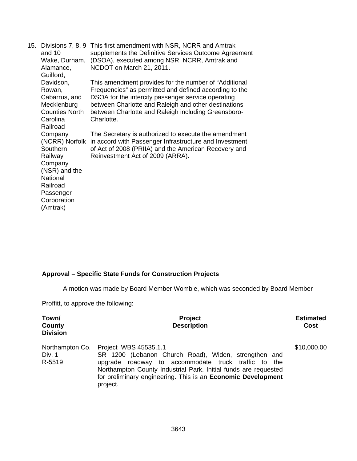| 15. | Divisions 7, 8, 9<br>and 10<br>Wake, Durham,<br>Alamance,<br>Guilford,                                                                       | This first amendment with NSR, NCRR and Amtrak<br>supplements the Definitive Services Outcome Agreement<br>(DSOA), executed among NSR, NCRR, Amtrak and<br>NCDOT on March 21, 2011.                                                                                                                |
|-----|----------------------------------------------------------------------------------------------------------------------------------------------|----------------------------------------------------------------------------------------------------------------------------------------------------------------------------------------------------------------------------------------------------------------------------------------------------|
|     | Davidson,<br>Rowan,<br>Cabarrus, and<br>Mecklenburg<br><b>Counties North</b><br>Carolina<br>Railroad                                         | This amendment provides for the number of "Additional<br>Frequencies" as permitted and defined according to the<br>DSOA for the intercity passenger service operating<br>between Charlotte and Raleigh and other destinations<br>between Charlotte and Raleigh including Greensboro-<br>Charlotte. |
|     | Company<br>(NCRR) Norfolk<br>Southern<br>Railway<br>Company<br>(NSR) and the<br>National<br>Railroad<br>Passenger<br>Corporation<br>(Amtrak) | The Secretary is authorized to execute the amendment<br>in accord with Passenger Infrastructure and Investment<br>of Act of 2008 (PRIIA) and the American Recovery and<br>Reinvestment Act of 2009 (ARRA).                                                                                         |

# **Approval – Specific State Funds for Construction Projects**

A motion was made by Board Member Womble, which was seconded by Board Member

Proffitt, to approve the following:

| Town/<br>County<br><b>Division</b>  | <b>Project</b><br><b>Description</b>                                                                                                                                                                                                                                                          | <b>Estimated</b><br>Cost |
|-------------------------------------|-----------------------------------------------------------------------------------------------------------------------------------------------------------------------------------------------------------------------------------------------------------------------------------------------|--------------------------|
| Northampton Co.<br>Div. 1<br>R-5519 | Project WBS 45535.1.1<br>SR 1200 (Lebanon Church Road), Widen, strengthen and<br>upgrade roadway to accommodate truck traffic to<br>the<br>Northampton County Industrial Park. Initial funds are requested<br>for preliminary engineering. This is an <b>Economic Development</b><br>project. | \$10,000.00              |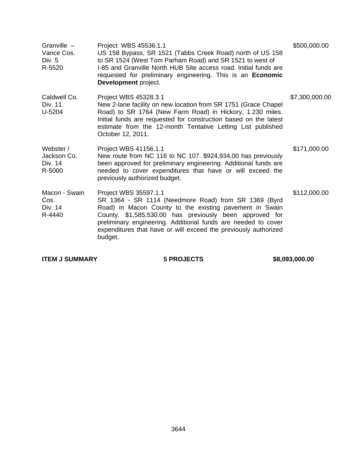| Granville -<br>Vance Cos.<br>Div. $5$<br>R-5520 | Project WBS 45536.1.1<br>US 158 Bypass, SR 1521 (Tabbs Creek Road) north of US 158<br>to SR 1524 (West Tom Parham Road) and SR 1521 to west of<br>I-85 and Granville North HUB Site access road. Initial funds are<br>requested for preliminary engineering. This is an <b>Economic</b><br>Development project.                                    | \$500,000.00   |
|-------------------------------------------------|----------------------------------------------------------------------------------------------------------------------------------------------------------------------------------------------------------------------------------------------------------------------------------------------------------------------------------------------------|----------------|
| Caldwell Co.<br>Div. 11<br>U-5204               | Project WBS 45328.3.1<br>New 2-lane facility on new location from SR 1751 (Grace Chapel<br>Road) to SR 1764 (New Farm Road) in Hickory, 1.230 miles.<br>Initial funds are requested for construction based on the latest<br>estimate from the 12-month Tentative Letting List published<br>October 12, 2011.                                       | \$7,300,000.00 |
| Webster /<br>Jackson Co.<br>Div. 14<br>R-5000   | Project WBS 41156.1.1<br>New route from NC 116 to NC 107. \$924,934.00 has previously<br>been approved for preliminary engineering. Additional funds are<br>needed to cover expenditures that have or will exceed the<br>previously authorized budget.                                                                                             | \$171,000.00   |
| Macon - Swain<br>Cos.<br>Div. 14<br>R-4440      | Project WBS 35597.1.1<br>SR 1364 - SR 1114 (Needmore Road) from SR 1369 (Byrd<br>Road) in Macon County to the existing pavement in Swain<br>County. \$1,585,530.00 has previously been approved for<br>preliminary engineering. Additional funds are needed to cover<br>expenditures that have or will exceed the previously authorized<br>budget. | \$112,000.00   |

**ITEM J SUMMARY 5 PROJECTS \$8,093,000.00**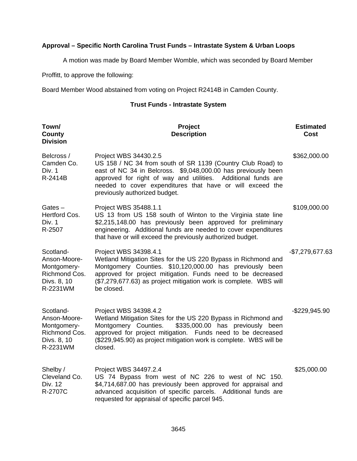# **Approval – Specific North Carolina Trust Funds – Intrastate System & Urban Loops**

A motion was made by Board Member Womble, which was seconded by Board Member

Proffitt, to approve the following:

Board Member Wood abstained from voting on Project R2414B in Camden County.

# **Trust Funds - Intrastate System**

| Town/<br>County<br><b>Division</b>                                                   | Project<br><b>Description</b>                                                                                                                                                                                                                                                                                        | <b>Estimated</b><br><b>Cost</b> |
|--------------------------------------------------------------------------------------|----------------------------------------------------------------------------------------------------------------------------------------------------------------------------------------------------------------------------------------------------------------------------------------------------------------------|---------------------------------|
| Belcross /<br>Camden Co.<br>Div. 1<br>R-2414B                                        | Project WBS 34430.2.5<br>US 158 / NC 34 from south of SR 1139 (Country Club Road) to<br>east of NC 34 in Belcross. \$9,048,000.00 has previously been<br>approved for right of way and utilities. Additional funds are<br>needed to cover expenditures that have or will exceed the<br>previously authorized budget. | \$362,000.00                    |
| Gates $-$<br>Hertford Cos.<br>Div. 1<br>R-2507                                       | Project WBS 35488.1.1<br>US 13 from US 158 south of Winton to the Virginia state line<br>\$2,215,148.00 has previously been approved for preliminary<br>engineering. Additional funds are needed to cover expenditures<br>that have or will exceed the previously authorized budget.                                 | \$109,000.00                    |
| Scotland-<br>Anson-Moore-<br>Montgomery-<br>Richmond Cos.<br>Divs. 8, 10<br>R-2231WM | Project WBS 34398.4.1<br>Wetland Mitigation Sites for the US 220 Bypass in Richmond and<br>Montgomery Counties. \$10,120,000.00 has previously been<br>approved for project mitigation. Funds need to be decreased<br>(\$7,279,677.63) as project mitigation work is complete. WBS will<br>be closed.                | -\$7,279,677.63                 |
| Scotland-<br>Anson-Moore-<br>Montgomery-<br>Richmond Cos.<br>Divs. 8, 10<br>R-2231WM | Project WBS 34398.4.2<br>Wetland Mitigation Sites for the US 220 Bypass in Richmond and<br>Montgomery Counties.<br>\$335,000.00 has previously been<br>approved for project mitigation. Funds need to be decreased<br>(\$229,945.90) as project mitigation work is complete. WBS will be<br>closed.                  | $-$229,945.90$                  |
| Shelby /<br>Cleveland Co.<br>Div. 12<br>R-2707C                                      | Project WBS 34497.2.4<br>US 74 Bypass from west of NC 226 to west of NC 150.<br>\$4,714,687.00 has previously been approved for appraisal and<br>advanced acquisition of specific parcels. Additional funds are<br>requested for appraisal of specific parcel 945.                                                   | \$25,000.00                     |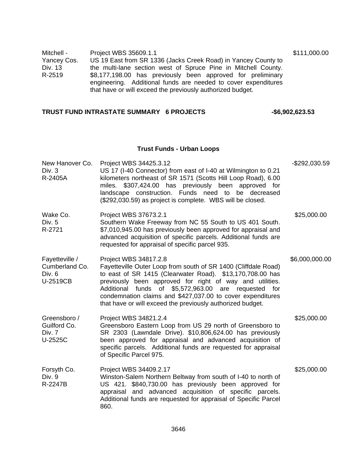| Mitchell -  | Project WBS 35609.1.1                                          | \$111,000.00 |
|-------------|----------------------------------------------------------------|--------------|
| Yancey Cos. | US 19 East from SR 1336 (Jacks Creek Road) in Yancey County to |              |
| Div. 13     | the multi-lane section west of Spruce Pine in Mitchell County. |              |
| R-2519      | \$8,177,198.00 has previously been approved for preliminary    |              |
|             | engineering. Additional funds are needed to cover expenditures |              |
|             | that have or will exceed the previously authorized budget.     |              |

# TRUST FUND INTRASTATE SUMMARY 6 PROJECTS 46,902,623.53

# **Trust Funds - Urban Loops**

| New Hanover Co.<br>Div. 3<br>R-2405A                     | Project WBS 34425.3.12<br>US 17 (I-40 Connector) from east of I-40 at Wilmington to 0.21<br>kilometers northeast of SR 1571 (Scotts Hill Loop Road), 6.00<br>miles. \$307,424.00 has previously been approved for<br>landscape construction. Funds need to<br>be decreased<br>(\$292,030.59) as project is complete. WBS will be closed.                                                             | -\$292,030.59  |
|----------------------------------------------------------|------------------------------------------------------------------------------------------------------------------------------------------------------------------------------------------------------------------------------------------------------------------------------------------------------------------------------------------------------------------------------------------------------|----------------|
| Wake Co.<br>Div. 5<br>R-2721                             | Project WBS 37673.2.1<br>Southern Wake Freeway from NC 55 South to US 401 South.<br>\$7,010,945.00 has previously been approved for appraisal and<br>advanced acquisition of specific parcels. Additional funds are<br>requested for appraisal of specific parcel 935.                                                                                                                               | \$25,000.00    |
| Fayetteville /<br>Cumberland Co.<br>Div. $6$<br>U-2519CB | Project WBS 34817.2.8<br>Fayetteville Outer Loop from south of SR 1400 (Cliffdale Road)<br>to east of SR 1415 (Clearwater Road). \$13,170,708.00 has<br>previously been approved for right of way and utilities.<br>Additional funds of \$5,572,963.00 are requested for<br>condemnation claims and \$427,037.00 to cover expenditures<br>that have or will exceed the previously authorized budget. | \$6,000,000.00 |
| Greensboro /<br>Guilford Co.<br>Div. 7<br>U-2525C        | Project WBS 34821.2.4<br>Greensboro Eastern Loop from US 29 north of Greensboro to<br>SR 2303 (Lawndale Drive). \$10,806,624.00 has previously<br>been approved for appraisal and advanced acquisition of<br>specific parcels. Additional funds are requested for appraisal<br>of Specific Parcel 975.                                                                                               | \$25,000.00    |
| Forsyth Co.<br>Div. 9<br>R-2247B                         | Project WBS 34409.2.17<br>Winston-Salem Northern Beltway from south of I-40 to north of<br>US 421. \$840,730.00 has previously been approved for<br>appraisal and advanced acquisition of specific parcels.<br>Additional funds are requested for appraisal of Specific Parcel<br>860.                                                                                                               | \$25,000.00    |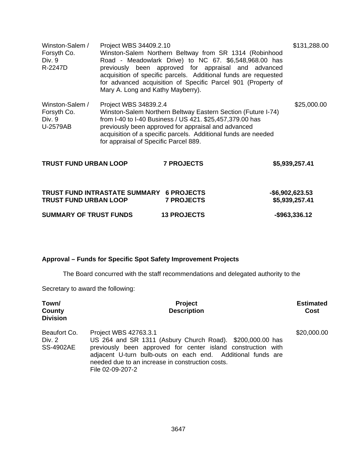| Winston-Salem /<br>Forsyth Co.<br>Div. 9<br>R-2247D  | Project WBS 34409.2.10 | Winston-Salem Northern Beltway from SR 1314 (Robinhood<br>Road - Meadowlark Drive) to NC 67. \$6,548,968.00 has<br>previously been approved for appraisal and advanced<br>acquisition of specific parcels. Additional funds are requested<br>for advanced acquisition of Specific Parcel 901 (Property of<br>Mary A. Long and Kathy Mayberry). |                | \$131,288.00 |
|------------------------------------------------------|------------------------|------------------------------------------------------------------------------------------------------------------------------------------------------------------------------------------------------------------------------------------------------------------------------------------------------------------------------------------------|----------------|--------------|
| Winston-Salem /<br>Forsyth Co.<br>Div. 9<br>U-2579AB | Project WBS 34839.2.4  | Winston-Salem Northern Beltway Eastern Section (Future I-74)<br>from I-40 to I-40 Business / US 421. \$25,457,379.00 has<br>previously been approved for appraisal and advanced<br>acquisition of a specific parcels. Additional funds are needed<br>for appraisal of Specific Parcel 889.                                                     |                | \$25,000.00  |
| <b>TRUST FUND URBAN LOOP</b>                         |                        | <b>7 PROJECTS</b>                                                                                                                                                                                                                                                                                                                              | \$5,939,257.41 |              |

| TRUST FUND INTRASTATE SUMMARY 6 PROJECTS<br><b>TRUST FUND URBAN LOOP</b> | <b>7 PROJECTS</b>  | -\$6,902,623.53<br>\$5,939,257.41 |
|--------------------------------------------------------------------------|--------------------|-----------------------------------|
| <b>SUMMARY OF TRUST FUNDS</b>                                            | <b>13 PROJECTS</b> | -\$963,336.12                     |

# **Approval – Funds for Specific Spot Safety Improvement Projects**

The Board concurred with the staff recommendations and delegated authority to the

Secretary to award the following:

| Town/<br>County<br><b>Division</b>         | <b>Project</b><br><b>Description</b>                                                                                                                                                                                                                                                      | <b>Estimated</b><br>Cost |
|--------------------------------------------|-------------------------------------------------------------------------------------------------------------------------------------------------------------------------------------------------------------------------------------------------------------------------------------------|--------------------------|
| Beaufort Co.<br>Div. 2<br><b>SS-4902AE</b> | Project WBS 42763.3.1<br>US 264 and SR 1311 (Asbury Church Road). \$200,000.00 has<br>previously been approved for center island construction with<br>adjacent U-turn bulb-outs on each end. Additional funds are<br>needed due to an increase in construction costs.<br>File 02-09-207-2 | \$20,000.00              |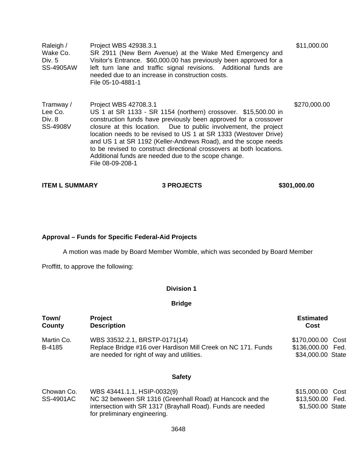| Raleigh /<br>Wake Co.<br>Div. 5<br><b>SS-4905AW</b> | Project WBS 42938.3.1<br>SR 2911 (New Bern Avenue) at the Wake Med Emergency and<br>Visitor's Entrance. \$60,000.00 has previously been approved for a<br>left turn lane and traffic signal revisions. Additional funds are<br>needed due to an increase in construction costs.<br>File 05-10-4881-1                                                                                                                                                                                                                      | \$11,000.00  |
|-----------------------------------------------------|---------------------------------------------------------------------------------------------------------------------------------------------------------------------------------------------------------------------------------------------------------------------------------------------------------------------------------------------------------------------------------------------------------------------------------------------------------------------------------------------------------------------------|--------------|
| Tramway /<br>Lee Co.<br>Div. 8<br>SS-4908V          | Project WBS 42708.3.1<br>US 1 at SR 1133 - SR 1154 (northern) crossover. \$15,500.00 in<br>construction funds have previously been approved for a crossover<br>closure at this location. Due to public involvement, the project<br>location needs to be revised to US 1 at SR 1333 (Westover Drive)<br>and US 1 at SR 1192 (Keller-Andrews Road), and the scope needs<br>to be revised to construct directional crossovers at both locations.<br>Additional funds are needed due to the scope change.<br>File 08-09-208-1 | \$270,000.00 |

| <b>ITEM L SUMMARY</b> |
|-----------------------|
|-----------------------|

**ITEM STROJECTS** \$301,000.00

# **Approval – Funds for Specific Federal-Aid Projects**

A motion was made by Board Member Womble, which was seconded by Board Member

Proffitt, to approve the following:

#### **Division 1**

**Bridge** 

| Town/<br>County                | <b>Project</b><br><b>Description</b>                                                                                                        | <b>Estimated</b><br>Cost                                       |
|--------------------------------|---------------------------------------------------------------------------------------------------------------------------------------------|----------------------------------------------------------------|
| Martin Co.<br>B-4185           | WBS 33532.2.1, BRSTP-0171(14)<br>Replace Bridge #16 over Hardison Mill Creek on NC 171. Funds<br>are needed for right of way and utilities. | \$170,000.00<br>Cost<br>\$136,000.00 Fed.<br>\$34,000.00 State |
|                                | <b>Safety</b>                                                                                                                               |                                                                |
| Chowan Co.<br><b>SS-4901AC</b> | WBS 43441.1.1, HSIP-0032(9)<br>NC 32 between SR 1316 (Greenhall Road) at Hancock and the                                                    | \$15,000.00<br>Cost<br>\$13,500.00 Fed.                        |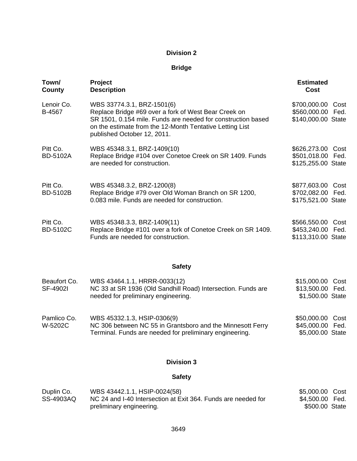## **Bridge**

| Town/<br>County             | Project<br><b>Description</b>                                                                                                                                                                                                                 | <b>Estimated</b><br>Cost                                     |
|-----------------------------|-----------------------------------------------------------------------------------------------------------------------------------------------------------------------------------------------------------------------------------------------|--------------------------------------------------------------|
| Lenoir Co.<br>B-4567        | WBS 33774.3.1, BRZ-1501(6)<br>Replace Bridge #69 over a fork of West Bear Creek on<br>SR 1501, 0.154 mile. Funds are needed for construction based<br>on the estimate from the 12-Month Tentative Letting List<br>published October 12, 2011. | \$700,000.00 Cost<br>\$560,000.00 Fed.<br>\$140,000.00 State |
| Pitt Co.<br><b>BD-5102A</b> | WBS 45348.3.1, BRZ-1409(10)<br>Replace Bridge #104 over Conetoe Creek on SR 1409. Funds<br>are needed for construction.                                                                                                                       | \$626,273.00 Cost<br>\$501,018.00 Fed.<br>\$125,255.00 State |
| Pitt Co.<br><b>BD-5102B</b> | WBS 45348.3.2, BRZ-1200(8)<br>Replace Bridge #79 over Old Woman Branch on SR 1200,<br>0.083 mile. Funds are needed for construction.                                                                                                          | \$877,603.00 Cost<br>\$702,082.00 Fed.<br>\$175,521.00 State |
| Pitt Co.<br><b>BD-5102C</b> | WBS 45348.3.3, BRZ-1409(11)<br>Replace Bridge #101 over a fork of Conetoe Creek on SR 1409.<br>Funds are needed for construction.                                                                                                             | \$566,550.00 Cost<br>\$453,240.00 Fed.<br>\$113,310.00 State |
|                             | <b>Safety</b>                                                                                                                                                                                                                                 |                                                              |
| Beaufort Co.<br>SF-4902I    | WBS 43464.1.1, HRRR-0033(12)<br>NC 33 at SR 1936 (Old Sandhill Road) Intersection. Funds are<br>needed for preliminary engineering.                                                                                                           | \$15,000.00 Cost<br>\$13,500.00 Fed.<br>\$1,500.00 State     |
| Pamlico Co.<br>W-5202C      | WBS 45332.1.3, HSIP-0306(9)<br>NC 306 between NC 55 in Grantsboro and the Minnesott Ferry<br>Terminal. Funds are needed for preliminary engineering.                                                                                          | \$50,000.00 Cost<br>\$45,000.00 Fed.<br>\$5,000.00 State     |

## **Division 3**

## **Safety**

| Duplin Co. | WBS 43442.1.1, HSIP-0024(58)                                  | \$5,000.00 Cost |  |
|------------|---------------------------------------------------------------|-----------------|--|
| SS-4903AQ  | NC 24 and I-40 Intersection at Exit 364. Funds are needed for | \$4,500.00 Fed. |  |
|            | preliminary engineering.                                      | \$500.00 State  |  |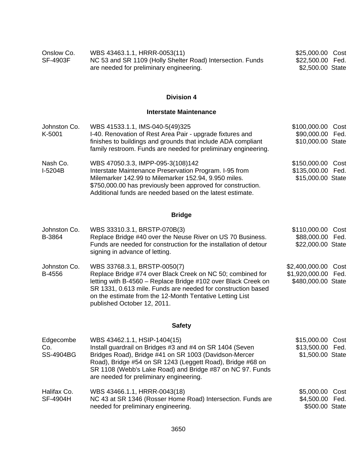| Onslow Co.      | WBS 43463.1.1, HRRR-0053(11)                               | \$25,000.00 Cost |  |
|-----------------|------------------------------------------------------------|------------------|--|
| <b>SF-4903F</b> | NC 53 and SR 1109 (Holly Shelter Road) Intersection. Funds | \$22,500.00 Fed. |  |
|                 | are needed for preliminary engineering.                    | \$2,500.00 State |  |

#### **Interstate Maintenance**

| Johnston Co. | WBS 41533.1.1, IMS-040-5(49)325                                | \$100,000.00 Cost |  |
|--------------|----------------------------------------------------------------|-------------------|--|
| K-5001       | I-40. Renovation of Rest Area Pair - upgrade fixtures and      | \$90,000.00 Fed.  |  |
|              | finishes to buildings and grounds that include ADA compliant   | \$10,000.00 State |  |
|              | family restroom. Funds are needed for preliminary engineering. |                   |  |
| Nash Co.     | WBS 47050.3.3, IMPP-095-3(108)142                              | \$150,000.00 Cost |  |
| $I-5204B$    | Interstate Maintenance Preservation Program. I-95 from         | \$135,000.00 Fed. |  |
|              | Milemarker 142.99 to Milemarker 152.94, 9.950 miles.           | \$15,000.00 State |  |
|              | \$750,000.00 has previously been approved for construction.    |                   |  |
|              | Additional funds are needed based on the latest estimate.      |                   |  |

# **Bridge**

| Johnston Co. | WBS 33310.3.1, BRSTP-070B(3)                                                                                                                                                              | \$110,000.00 Cost   |  |
|--------------|-------------------------------------------------------------------------------------------------------------------------------------------------------------------------------------------|---------------------|--|
| B-3864       | Replace Bridge #40 over the Neuse River on US 70 Business.                                                                                                                                | \$88,000.00 Fed.    |  |
|              | Funds are needed for construction for the installation of detour<br>signing in advance of letting.                                                                                        | \$22,000.00 State   |  |
| Johnston Co. | WBS 33768.3.1, BRSTP-0050(7)                                                                                                                                                              | \$2,400,000.00 Cost |  |
| B-4556       | Replace Bridge #74 over Black Creek on NC 50; combined for                                                                                                                                | \$1,920,000.00 Fed. |  |
|              | letting with B-4560 - Replace Bridge #102 over Black Creek on<br>SR 1331, 0.613 mile. Funds are needed for construction based<br>on the estimate from the 12-Month Tentative Letting List | \$480,000.00 State  |  |

## **Safety**

published October 12, 2011.

| Edgecombe               | WBS 43462.1.1, HSIP-1404(15)                                                                                                                                                                                                | \$15,000.00 Cost                   |
|-------------------------|-----------------------------------------------------------------------------------------------------------------------------------------------------------------------------------------------------------------------------|------------------------------------|
| Co.                     | Install guardrail on Bridges #3 and #4 on SR 1404 (Seven                                                                                                                                                                    | \$13,500.00 Fed.                   |
| <b>SS-4904BG</b>        | Bridges Road), Bridge #41 on SR 1003 (Davidson-Mercer<br>Road), Bridge #54 on SR 1243 (Leggett Road), Bridge #68 on<br>SR 1108 (Webb's Lake Road) and Bridge #87 on NC 97. Funds<br>are needed for preliminary engineering. | \$1,500.00 State                   |
| Halifax Co.<br>SF-4904H | WBS 43466.1.1, HRRR-0043(18)<br>NC 43 at SR 1346 (Rosser Home Road) Intersection. Funds are                                                                                                                                 | \$5,000.00 Cost<br>\$4,500.00 Fed. |
|                         | needed for preliminary engineering.                                                                                                                                                                                         | \$500.00 State                     |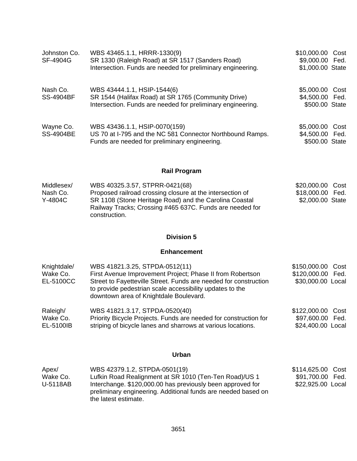| Johnston Co.<br>SF-4904G      | WBS 43465.1.1, HRRR-1330(9)<br>SR 1330 (Raleigh Road) at SR 1517 (Sanders Road)<br>Intersection. Funds are needed for preliminary engineering.    | \$10,000.00 Cost<br>\$9,000.00 Fed.<br>\$1,000.00 State |  |
|-------------------------------|---------------------------------------------------------------------------------------------------------------------------------------------------|---------------------------------------------------------|--|
| Nash Co.<br><b>SS-4904BF</b>  | WBS 43444.1.1, HSIP-1544(6)<br>SR 1544 (Halifax Road) at SR 1765 (Community Drive)<br>Intersection. Funds are needed for preliminary engineering. | \$5,000.00 Cost<br>\$4,500.00 Fed.<br>\$500.00 State    |  |
| Wayne Co.<br><b>SS-4904BE</b> | WBS 43436.1.1, HSIP-0070(159)<br>US 70 at I-795 and the NC 581 Connector Northbound Ramps.<br>Funds are needed for preliminary engineering.       | \$5,000.00 Cost<br>\$4,500.00 Fed.<br>\$500.00 State    |  |

## **Rail Program**

| Middlesex/ | WBS 40325.3.57, STPRR-0421(68)                            | \$20,000.00 Cost |  |
|------------|-----------------------------------------------------------|------------------|--|
| Nash Co.   | Proposed railroad crossing closure at the intersection of | \$18,000.00 Fed. |  |
| Y-4804C    | SR 1108 (Stone Heritage Road) and the Carolina Coastal    | \$2,000.00 State |  |
|            | Railway Tracks; Crossing #465 637C. Funds are needed for  |                  |  |
|            | construction.                                             |                  |  |

## **Division 5**

#### **Enhancement**

| Knightdale/ | WBS 41821.3.25, STPDA-0512(11)                                                                                                                                         | \$150,000.00 Cost |
|-------------|------------------------------------------------------------------------------------------------------------------------------------------------------------------------|-------------------|
| Wake Co.    | First Avenue Improvement Project; Phase II from Robertson                                                                                                              | \$120,000.00 Fed. |
| EL-5100CC   | Street to Fayetteville Street. Funds are needed for construction<br>to provide pedestrian scale accessibility updates to the<br>downtown area of Knightdale Boulevard. | \$30,000.00 Local |
| Raleigh/    | WBS 41821.3.17, STPDA-0520(40)                                                                                                                                         | \$122,000.00 Cost |
| Wake Co.    | Priority Bicycle Projects. Funds are needed for construction for                                                                                                       | \$97,600.00 Fed.  |
| EL-5100IB   | striping of bicycle lanes and sharrows at various locations.                                                                                                           | \$24,400.00 Local |

## **Urban**

| Apex/    | WBS 42379.1.2, STPDA-0501(19)                                                                                               | \$114,625.00 Cost |  |
|----------|-----------------------------------------------------------------------------------------------------------------------------|-------------------|--|
| Wake Co. | Lufkin Road Realignment at SR 1010 (Ten-Ten Road)/US 1                                                                      | \$91,700.00 Fed.  |  |
| U-5118AB | Interchange. \$120,000.00 has previously been approved for<br>preliminary engineering. Additional funds are needed based on | \$22,925.00 Local |  |
|          | the latest estimate.                                                                                                        |                   |  |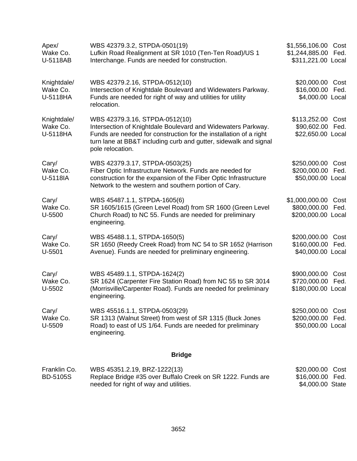| Apex/<br>Wake Co.<br>U-5118AB | WBS 42379.3.2, STPDA-0501(19)<br>Lufkin Road Realignment at SR 1010 (Ten-Ten Road)/US 1<br>Interchange. Funds are needed for construction.                | \$1,556,106.00 Cost<br>\$1,244,885.00<br>Fed.<br>\$311,221.00 Local |
|-------------------------------|-----------------------------------------------------------------------------------------------------------------------------------------------------------|---------------------------------------------------------------------|
|                               |                                                                                                                                                           |                                                                     |
| Knightdale/<br>Wake Co.       | WBS 42379.2.16, STPDA-0512(10)<br>Intersection of Knightdale Boulevard and Widewaters Parkway.                                                            | \$20,000.00 Cost<br>\$16,000.00<br>Fed.                             |
| U-5118HA                      | Funds are needed for right of way and utilities for utility<br>relocation.                                                                                | \$4,000.00 Local                                                    |
| Knightdale/<br>Wake Co.       | WBS 42379.3.16, STPDA-0512(10)<br>Intersection of Knightdale Boulevard and Widewaters Parkway.                                                            | \$113,252.00 Cost<br>\$90,602.00 Fed.                               |
| U-5118HA                      | Funds are needed for construction for the installation of a right<br>turn lane at BB&T including curb and gutter, sidewalk and signal<br>pole relocation. | \$22,650.00 Local                                                   |
| Cary/<br>Wake Co.             | WBS 42379.3.17, STPDA-0503(25)<br>Fiber Optic Infrastructure Network. Funds are needed for                                                                | \$250,000.00<br>Cost<br>\$200,000.00<br>Fed.                        |
| U-5118IA                      | construction for the expansion of the Fiber Optic Infrastructure<br>Network to the western and southern portion of Cary.                                  | \$50,000.00 Local                                                   |
| Cary/<br>Wake Co.             | WBS 45487.1.1, STPDA-1605(6)<br>SR 1605/1615 (Green Level Road) from SR 1600 (Green Level                                                                 | \$1,000,000.00<br>Cost<br>\$800,000.00<br>Fed.                      |
| U-5500                        | Church Road) to NC 55. Funds are needed for preliminary<br>engineering.                                                                                   | \$200,000.00 Local                                                  |
| Cary/<br>Wake Co.             | WBS 45488.1.1, STPDA-1650(5)<br>SR 1650 (Reedy Creek Road) from NC 54 to SR 1652 (Harrison                                                                | \$200,000.00<br>Cost<br>\$160,000.00<br>Fed.                        |
| U-5501                        | Avenue). Funds are needed for preliminary engineering.                                                                                                    | \$40,000.00 Local                                                   |
| Cary/<br>Wake Co.             | WBS 45489.1.1, STPDA-1624(2)<br>SR 1624 (Carpenter Fire Station Road) from NC 55 to SR 3014                                                               | \$900,000.00<br>Cost<br>\$720,000.00<br>Fed.                        |
| $U-5502$                      | (Morrisville/Carpenter Road). Funds are needed for preliminary<br>engineering.                                                                            | \$180,000.00 Local                                                  |
| Cary/<br>Wake Co.             | WBS 45516.1.1, STPDA-0503(29)<br>SR 1313 (Walnut Street) from west of SR 1315 (Buck Jones                                                                 | \$250,000.00<br>Cost<br>\$200,000.00<br>Fed.                        |
| U-5509                        | Road) to east of US 1/64. Funds are needed for preliminary<br>engineering.                                                                                | \$50,000.00 Local                                                   |
|                               | <b>Bridge</b>                                                                                                                                             |                                                                     |
| Franklin Co.                  | WBS 45351.2.19, BRZ-1222(13)                                                                                                                              | \$20,000.00<br>Cost                                                 |
| <b>BD-5105S</b>               | Replace Bridge #35 over Buffalo Creek on SR 1222. Funds are<br>needed for right of way and utilities.                                                     | \$16,000.00<br>Fed.<br>\$4,000.00 State                             |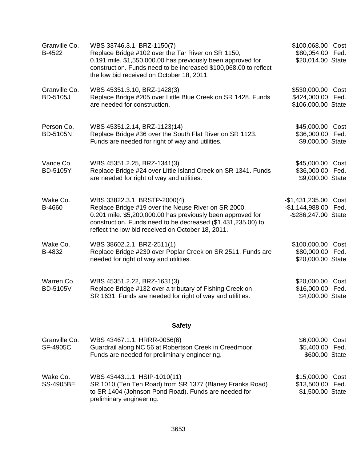| Granville Co.<br>B-4522          | WBS 33746.3.1, BRZ-1150(7)<br>Replace Bridge #102 over the Tar River on SR 1150,<br>0.191 mile. \$1,550,000.00 has previously been approved for<br>construction. Funds need to be increased \$100,068.00 to reflect<br>the low bid received on October 18, 2011.        | \$100,068.00<br>\$80,054.00 Fed.<br>\$20,014.00 State       | Cost         |
|----------------------------------|-------------------------------------------------------------------------------------------------------------------------------------------------------------------------------------------------------------------------------------------------------------------------|-------------------------------------------------------------|--------------|
| Granville Co.<br><b>BD-5105J</b> | WBS 45351.3.10, BRZ-1428(3)<br>Replace Bridge #205 over Little Blue Creek on SR 1428. Funds<br>are needed for construction.                                                                                                                                             | \$530,000.00 Cost<br>\$424,000.00<br>\$106,000.00 State     | Fed.         |
| Person Co.<br><b>BD-5105N</b>    | WBS 45351.2.14, BRZ-1123(14)<br>Replace Bridge #36 over the South Flat River on SR 1123.<br>Funds are needed for right of way and utilities.                                                                                                                            | \$45,000.00<br>\$36,000.00<br>\$9,000.00 State              | Cost<br>Fed. |
| Vance Co.<br><b>BD-5105Y</b>     | WBS 45351.2.25, BRZ-1341(3)<br>Replace Bridge #24 over Little Island Creek on SR 1341. Funds<br>are needed for right of way and utilities.                                                                                                                              | \$45,000.00 Cost<br>\$36,000.00 Fed.<br>\$9,000.00 State    |              |
| Wake Co.<br>B-4660               | WBS 33822.3.1, BRSTP-2000(4)<br>Replace Bridge #19 over the Neuse River on SR 2000,<br>0.201 mile. \$5,200,000.00 has previously been approved for<br>construction. Funds need to be decreased (\$1,431,235.00) to<br>reflect the low bid received on October 18, 2011. | $-$1,431,235.00$<br>$-$1,144,988.00$<br>-\$286,247.00 State | Cost<br>Fed. |
| Wake Co.<br>B-4832               | WBS 38602.2.1, BRZ-2511(1)<br>Replace Bridge #230 over Poplar Creek on SR 2511. Funds are<br>needed for right of way and utilities.                                                                                                                                     | \$100,000.00<br>\$80,000.00<br>\$20,000.00 State            | Cost<br>Fed. |
| Warren Co.<br><b>BD-5105V</b>    | WBS 45351.2.22, BRZ-1631(3)<br>Replace Bridge #132 over a tributary of Fishing Creek on<br>SR 1631. Funds are needed for right of way and utilities.                                                                                                                    | \$20,000.00<br>\$16,000.00 Fed.<br>\$4,000.00 State         | Cost         |
|                                  | <b>Safety</b>                                                                                                                                                                                                                                                           |                                                             |              |
| Granville Co.<br><b>SF-4905C</b> | WBS 43467.1.1, HRRR-0056(6)<br>Guardrail along NC 56 at Robertson Creek in Creedmoor.<br>Funds are needed for preliminary engineering.                                                                                                                                  | \$6,000.00<br>\$5,400.00 Fed.<br>\$600.00 State             | Cost         |
| Wake Co.<br><b>SS-4905BE</b>     | WBS 43443.1.1, HSIP-1010(11)<br>SR 1010 (Ten Ten Road) from SR 1377 (Blaney Franks Road)<br>to SR 1404 (Johnson Pond Road). Funds are needed for<br>preliminary engineering.                                                                                            | \$15,000.00<br>\$13,500.00 Fed.<br>\$1,500.00 State         | Cost         |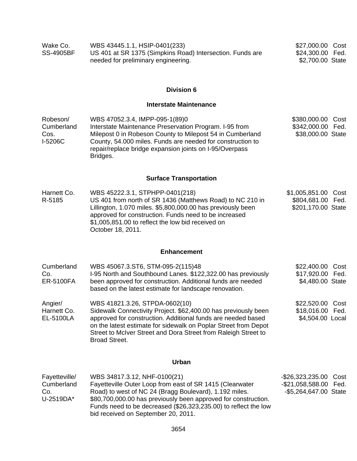| Wake Co.         | WBS 43445.1.1, HSIP-0401(233)                             | \$27,000.00 Cost |  |
|------------------|-----------------------------------------------------------|------------------|--|
| <b>SS-4905BF</b> | US 401 at SR 1375 (Simpkins Road) Intersection. Funds are | \$24,300.00 Fed. |  |
|                  | needed for preliminary engineering.                       | \$2,700.00 State |  |

## **Interstate Maintenance**

| Robeson/<br>Cumberland<br>Cos.<br>I-5206C       | WBS 47052.3.4, IMPP-095-1(89)0<br>Interstate Maintenance Preservation Program. I-95 from<br>Milepost 0 in Robeson County to Milepost 54 in Cumberland<br>County, 54.000 miles. Funds are needed for construction to<br>repair/replace bridge expansion joints on I-95/Overpass<br>Bridges.                                     | \$380,000.00 Cost<br>\$342,000.00<br>Fed.<br>\$38,000.00 State                |
|-------------------------------------------------|--------------------------------------------------------------------------------------------------------------------------------------------------------------------------------------------------------------------------------------------------------------------------------------------------------------------------------|-------------------------------------------------------------------------------|
|                                                 | <b>Surface Transportation</b>                                                                                                                                                                                                                                                                                                  |                                                                               |
| Harnett Co.<br>R-5185                           | WBS 45222.3.1, STPHPP-0401(218)<br>US 401 from north of SR 1436 (Matthews Road) to NC 210 in<br>Lillington, 1.070 miles. \$5,800,000.00 has previously been<br>approved for construction. Funds need to be increased<br>\$1,005,851.00 to reflect the low bid received on<br>October 18, 2011.                                 | \$1,005,851.00<br>Cost<br>\$804,681.00 Fed.<br>\$201,170.00 State             |
|                                                 | <b>Enhancement</b>                                                                                                                                                                                                                                                                                                             |                                                                               |
| Cumberland<br>Co.<br><b>ER-5100FA</b>           | WBS 45067.3.ST6, STM-095-2(115)48<br>I-95 North and Southbound Lanes. \$122,322.00 has previously<br>been approved for construction. Additional funds are needed<br>based on the latest estimate for landscape renovation.                                                                                                     | \$22,400.00<br>Cost<br>\$17,920.00 Fed.<br>\$4,480.00 State                   |
| Angier/<br>Harnett Co.<br>EL-5100LA             | WBS 41821.3.26, STPDA-0602(10)<br>Sidewalk Connectivity Project. \$62,400.00 has previously been<br>approved for construction. Additional funds are needed based<br>on the latest estimate for sidewalk on Poplar Street from Depot<br>Street to McIver Street and Dora Street from Raleigh Street to<br><b>Broad Street.</b>  | \$22,520.00 Cost<br>\$18,016.00 Fed.<br>\$4,504.00 Local                      |
|                                                 | <b>Urban</b>                                                                                                                                                                                                                                                                                                                   |                                                                               |
| Fayetteville/<br>Cumberland<br>Co.<br>U-2519DA* | WBS 34817.3.12, NHF-0100(21)<br>Fayetteville Outer Loop from east of SR 1415 (Clearwater<br>Road) to west of NC 24 (Bragg Boulevard), 1.192 miles.<br>\$80,700,000.00 has previously been approved for construction.<br>Funds need to be decreased (\$26,323,235.00) to reflect the low<br>bid received on September 20, 2011. | -\$26,323,235.00<br>Cost<br>-\$21,058,588.00<br>Fed.<br>-\$5,264,647.00 State |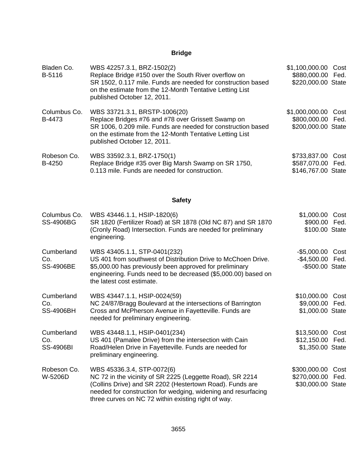## **Bridge**

| Bladen Co.<br>B-5116                  | WBS 42257.3.1, BRZ-1502(2)<br>Replace Bridge #150 over the South River overflow on<br>SR 1502, 0.117 mile. Funds are needed for construction based<br>on the estimate from the 12-Month Tentative Letting List<br>published October 12, 2011.                               | \$1,100,000.00<br>\$880,000.00<br>\$220,000.00 State    | Cost<br>Fed. |
|---------------------------------------|-----------------------------------------------------------------------------------------------------------------------------------------------------------------------------------------------------------------------------------------------------------------------------|---------------------------------------------------------|--------------|
| Columbus Co.<br>B-4473                | WBS 33721.3.1, BRSTP-1006(20)<br>Replace Bridges #76 and #78 over Grissett Swamp on<br>SR 1006, 0.209 mile. Funds are needed for construction based<br>on the estimate from the 12-Month Tentative Letting List<br>published October 12, 2011.                              | \$1,000,000.00<br>\$800,000.00<br>\$200,000.00 State    | Cost<br>Fed. |
| Robeson Co.<br>B-4250                 | WBS 33592.3.1, BRZ-1750(1)<br>Replace Bridge #35 over Big Marsh Swamp on SR 1750,<br>0.113 mile. Funds are needed for construction.                                                                                                                                         | \$733,837.00<br>\$587,070.00 Fed.<br>\$146,767.00 State | Cost         |
|                                       | <b>Safety</b>                                                                                                                                                                                                                                                               |                                                         |              |
| Columbus Co.<br><b>SS-4906BG</b>      | WBS 43446.1.1, HSIP-1820(6)<br>SR 1820 (Fertilizer Road) at SR 1878 (Old NC 87) and SR 1870<br>(Cronly Road) Intersection. Funds are needed for preliminary<br>engineering.                                                                                                 | \$1,000.00<br>\$900.00<br>\$100.00 State                | Cost<br>Fed. |
| Cumberland<br>Co.<br><b>SS-4906BE</b> | WBS 43405.1.1, STP-0401(232)<br>US 401 from southwest of Distribution Drive to McChoen Drive.<br>\$5,000.00 has previously been approved for preliminary<br>engineering. Funds need to be decreased (\$5,000.00) based on<br>the latest cost estimate.                      | $-$ \$5,000.00<br>$-$4,500.00$<br>-\$500.00 State       | Cost<br>Fed. |
| Cumberland<br>Co.<br><b>SS-4906BH</b> | WBS 43447.1.1, HSIP-0024(59)<br>NC 24/87/Bragg Boulevard at the intersections of Barrington<br>Cross and McPherson Avenue in Fayetteville. Funds are<br>needed for preliminary engineering.                                                                                 | \$10,000.00<br>\$9,000.00 Fed.<br>\$1,000.00 State      | Cost         |
| Cumberland<br>Co.<br><b>SS-4906BI</b> | WBS 43448.1.1, HSIP-0401(234)<br>US 401 (Pamalee Drive) from the intersection with Cain<br>Road/Helen Drive in Fayetteville. Funds are needed for<br>preliminary engineering.                                                                                               | \$13,500.00<br>\$12,150.00<br>\$1,350.00 State          | Cost<br>Fed. |
| Robeson Co.<br>W-5206D                | WBS 45336.3.4, STP-0072(6)<br>NC 72 in the vicinity of SR 2225 (Leggette Road), SR 2214<br>(Collins Drive) and SR 2202 (Hestertown Road). Funds are<br>needed for construction for wedging, widening and resurfacing<br>three curves on NC 72 within existing right of way. | \$300,000.00<br>\$270,000.00<br>\$30,000.00 State       | Cost<br>Fed. |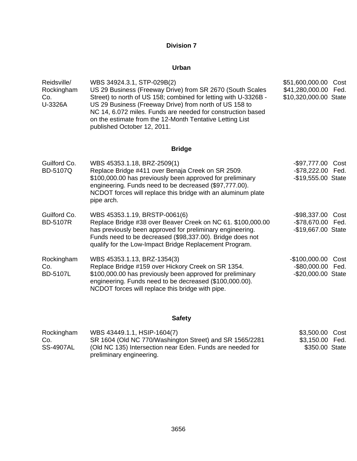## **Urban**

| Reidsville/<br>Rockingham<br>Co.<br>U-3326A | WBS 34924.3.1, STP-029B(2)<br>US 29 Business (Freeway Drive) from SR 2670 (South Scales<br>Street) to north of US 158; combined for letting with U-3326B -<br>US 29 Business (Freeway Drive) from north of US 158 to<br>NC 14, 6.072 miles. Funds are needed for construction based<br>on the estimate from the 12-Month Tentative Letting List<br>published October 12, 2011. | \$51,600,000.00<br>\$41,280,000.00<br>\$10,320,000.00 State | Cost<br>Fed. |
|---------------------------------------------|--------------------------------------------------------------------------------------------------------------------------------------------------------------------------------------------------------------------------------------------------------------------------------------------------------------------------------------------------------------------------------|-------------------------------------------------------------|--------------|
|                                             | <b>Bridge</b>                                                                                                                                                                                                                                                                                                                                                                  |                                                             |              |
| Guilford Co.<br><b>BD-5107Q</b>             | WBS 45353.1.18, BRZ-2509(1)<br>Replace Bridge #411 over Benaja Creek on SR 2509.<br>\$100,000.00 has previously been approved for preliminary<br>engineering. Funds need to be decreased (\$97,777.00).<br>NCDOT forces will replace this bridge with an aluminum plate<br>pipe arch.                                                                                          | -\$97,777.00<br>$ $78,222.00$<br>-\$19,555.00 State         | Cost<br>Fed. |
| Guilford Co.<br><b>BD-5107R</b>             | WBS 45353.1.19, BRSTP-0061(6)<br>Replace Bridge #38 over Beaver Creek on NC 61. \$100,000.00<br>has previously been approved for preliminary engineering.<br>Funds need to be decreased (\$98,337.00). Bridge does not<br>qualify for the Low-Impact Bridge Replacement Program.                                                                                               | $-$ \$98,337.00<br>-\$78,670.00 Fed.<br>-\$19,667.00 State  | Cost         |
| Rockingham<br>Co.<br><b>BD-5107L</b>        | WBS 45353.1.13, BRZ-1354(3)<br>Replace Bridge #159 over Hickory Creek on SR 1354.<br>\$100,000.00 has previously been approved for preliminary<br>engineering. Funds need to be decreased (\$100,000.00).<br>NCDOT forces will replace this bridge with pipe.                                                                                                                  | $-$100,000.00$<br>$-$ \$80,000.00<br>-\$20,000.00 State     | Cost<br>Fed. |

## **Safety**

| Rockingham       | WBS 43449.1.1, HSIP-1604(7)                                                           | \$3,500.00 Cost |  |
|------------------|---------------------------------------------------------------------------------------|-----------------|--|
| Co.              | SR 1604 (Old NC 770/Washington Street) and SR 1565/2281                               | \$3,150.00 Fed. |  |
| <b>SS-4907AL</b> | (Old NC 135) Intersection near Eden. Funds are needed for<br>preliminary engineering. | \$350.00 State  |  |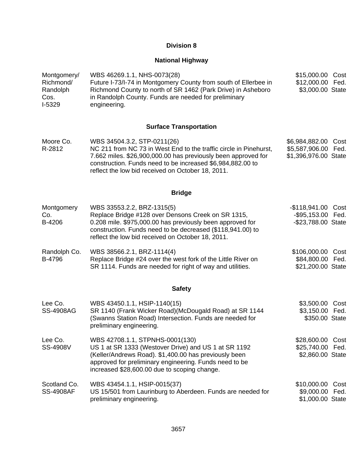## **National Highway**

| Montgomery/<br>Richmond/<br>Randolph<br>Cos.<br>I-5329 | WBS 46269.1.1, NHS-0073(28)<br>Future I-73/I-74 in Montgomery County from south of Ellerbee in<br>Richmond County to north of SR 1462 (Park Drive) in Asheboro<br>in Randolph County. Funds are needed for preliminary<br>engineering.                                               | \$15,000.00<br>\$12,000.00<br>\$3,000.00 State                | Cost<br>Fed. |
|--------------------------------------------------------|--------------------------------------------------------------------------------------------------------------------------------------------------------------------------------------------------------------------------------------------------------------------------------------|---------------------------------------------------------------|--------------|
|                                                        | <b>Surface Transportation</b>                                                                                                                                                                                                                                                        |                                                               |              |
| Moore Co.<br>R-2812                                    | WBS 34504.3.2, STP-0211(26)<br>NC 211 from NC 73 in West End to the traffic circle in Pinehurst,<br>7.662 miles. \$26,900,000.00 has previously been approved for<br>construction. Funds need to be increased \$6,984,882.00 to<br>reflect the low bid received on October 18, 2011. | \$6,984,882.00<br>\$5,587,906.00<br>\$1,396,976.00 State      | Cost<br>Fed. |
|                                                        | <b>Bridge</b>                                                                                                                                                                                                                                                                        |                                                               |              |
| Montgomery<br>Co.<br>B-4206                            | WBS 33553.2.2, BRZ-1315(5)<br>Replace Bridge #128 over Densons Creek on SR 1315,<br>0.208 mile. \$975,000.00 has previously been approved for<br>construction. Funds need to be decreased (\$118,941.00) to<br>reflect the low bid received on October 18, 2011.                     | -\$118,941.00 Cost<br>-\$95,153.00 Fed.<br>-\$23,788.00 State |              |
| Randolph Co.<br>B-4796                                 | WBS 38566.2.1, BRZ-1114(4)<br>Replace Bridge #24 over the west fork of the Little River on<br>SR 1114. Funds are needed for right of way and utilities.                                                                                                                              | \$106,000.00<br>\$84,800.00 Fed.<br>\$21,200.00 State         | Cost         |
|                                                        | <b>Safety</b>                                                                                                                                                                                                                                                                        |                                                               |              |
| Lee Co.<br><b>SS-4908AG</b>                            | WBS 43450.1.1, HSIP-1140(15)<br>SR 1140 (Frank Wicker Road) (McDougald Road) at SR 1144<br>(Swanns Station Road) Intersection. Funds are needed for<br>preliminary engineering.                                                                                                      | \$3,500.00 Cost<br>\$3,150.00 Fed.<br>\$350.00 State          |              |
| Lee Co.<br>SS-4908V                                    | WBS 42708.1.1, STPNHS-0001(130)<br>US 1 at SR 1333 (Westover Drive) and US 1 at SR 1192<br>(Keller/Andrews Road). \$1,400.00 has previously been<br>approved for preliminary engineering. Funds need to be<br>increased \$28,600.00 due to scoping change.                           | \$28,600.00<br>\$25,740.00<br>\$2,860.00 State                | Cost<br>Fed. |
| Scotland Co.<br><b>SS-4908AF</b>                       | WBS 43454.1.1, HSIP-0015(37)<br>US 15/501 from Laurinburg to Aberdeen. Funds are needed for<br>preliminary engineering.                                                                                                                                                              | \$10,000.00 Cost<br>\$9,000.00 Fed.<br>\$1,000.00 State       |              |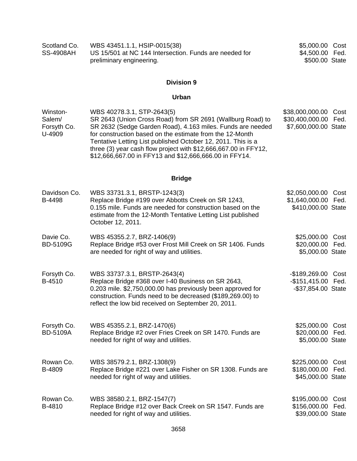| Scotland Co. | WBS 43451.1.1, HSIP-0015(38)                           | \$5,000.00 Cost |  |
|--------------|--------------------------------------------------------|-----------------|--|
| SS-4908AH    | US 15/501 at NC 144 Intersection. Funds are needed for | \$4,500.00 Fed. |  |
|              | preliminary engineering.                               | \$500.00 State  |  |

## **Urban**

| Winston-    | WBS 40278.3.1, STP-2643(5)                                      | \$38,000,000.00 Cost |  |
|-------------|-----------------------------------------------------------------|----------------------|--|
| Salem/      | SR 2643 (Union Cross Road) from SR 2691 (Wallburg Road) to      | \$30,400,000.00 Fed. |  |
| Forsyth Co. | SR 2632 (Sedge Garden Road), 4.163 miles. Funds are needed      | \$7,600,000.00 State |  |
| U-4909      | for construction based on the estimate from the 12-Month        |                      |  |
|             | Tentative Letting List published October 12, 2011. This is a    |                      |  |
|             | three (3) year cash flow project with \$12,666,667.00 in FFY12, |                      |  |
|             | \$12,666,667.00 in FFY13 and \$12,666,666.00 in FFY14.          |                      |  |

## **Bridge**

| Davidson Co.<br>B-4498         | WBS 33731.3.1, BRSTP-1243(3)<br>Replace Bridge #199 over Abbotts Creek on SR 1243,<br>0.155 mile. Funds are needed for construction based on the<br>estimate from the 12-Month Tentative Letting List published<br>October 12, 2011.                                   | \$2,050,000.00 Cost<br>\$1,640,000.00 Fed.<br>\$410,000.00 State |              |
|--------------------------------|------------------------------------------------------------------------------------------------------------------------------------------------------------------------------------------------------------------------------------------------------------------------|------------------------------------------------------------------|--------------|
| Davie Co.<br><b>BD-5109G</b>   | WBS 45355.2.7, BRZ-1406(9)<br>Replace Bridge #53 over Frost Mill Creek on SR 1406. Funds<br>are needed for right of way and utilities.                                                                                                                                 | \$25,000.00 Cost<br>\$20,000.00 Fed.<br>\$5,000.00 State         |              |
| Forsyth Co.<br>B-4510          | WBS 33737.3.1, BRSTP-2643(4)<br>Replace Bridge #368 over I-40 Business on SR 2643,<br>0.203 mile. \$2,750,000.00 has previously been approved for<br>construction. Funds need to be decreased (\$189,269.00) to<br>reflect the low bid received on September 20, 2011. | -\$189,269.00 Cost<br>-\$151,415.00 Fed.<br>-\$37,854.00 State   |              |
| Forsyth Co.<br><b>BD-5109A</b> | WBS 45355.2.1, BRZ-1470(6)<br>Replace Bridge #2 over Fries Creek on SR 1470. Funds are<br>needed for right of way and utilities.                                                                                                                                       | \$25,000.00<br>\$20,000.00<br>\$5,000.00 State                   | Cost<br>Fed. |
| Rowan Co.<br>B-4809            | WBS 38579.2.1, BRZ-1308(9)<br>Replace Bridge #221 over Lake Fisher on SR 1308. Funds are<br>needed for right of way and utilities.                                                                                                                                     | \$225,000.00<br>\$180,000.00<br>\$45,000.00 State                | Cost<br>Fed. |
| Rowan Co.<br>B-4810            | WBS 38580.2.1, BRZ-1547(7)<br>Replace Bridge #12 over Back Creek on SR 1547. Funds are<br>needed for right of way and utilities.                                                                                                                                       | \$195,000.00<br>\$156,000.00<br>\$39,000.00 State                | Cost<br>Fed. |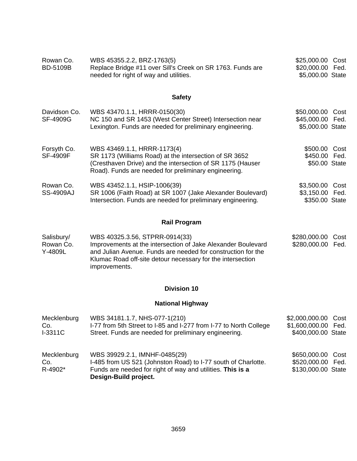| Rowan Co.<br><b>BD-5109B</b>   | WBS 45355.2.2, BRZ-1763(5)<br>Replace Bridge #11 over Sill's Creek on SR 1763. Funds are<br>needed for right of way and utilities.                                                                          | \$25,000.00<br>\$20,000.00 Fed.<br>\$5,000.00 State      | Cost |
|--------------------------------|-------------------------------------------------------------------------------------------------------------------------------------------------------------------------------------------------------------|----------------------------------------------------------|------|
|                                | <b>Safety</b>                                                                                                                                                                                               |                                                          |      |
| Davidson Co.<br>SF-4909G       | WBS 43470.1.1, HRRR-0150(30)<br>NC 150 and SR 1453 (West Center Street) Intersection near<br>Lexington. Funds are needed for preliminary engineering.                                                       | \$50,000.00 Cost<br>\$45,000.00 Fed.<br>\$5,000.00 State |      |
| Forsyth Co.<br><b>SF-4909F</b> | WBS 43469.1.1, HRRR-1173(4)<br>SR 1173 (Williams Road) at the intersection of SR 3652<br>(Cresthaven Drive) and the intersection of SR 1175 (Hauser<br>Road). Funds are needed for preliminary engineering. | \$500.00<br>\$450.00 Fed.<br>\$50.00 State               | Cost |
| Rowan Co.<br><b>SS-4909AJ</b>  | WBS 43452.1.1, HSIP-1006(39)<br>SR 1006 (Faith Road) at SR 1007 (Jake Alexander Boulevard)<br>Intersection. Funds are needed for preliminary engineering.                                                   | \$3,500.00 Cost<br>\$3,150.00 Fed.<br>\$350.00 State     |      |

## **Rail Program**

| Salisbury/ | WBS 40325.3.56, STPRR-0914(33)                                                                                                              | \$280,000.00 Cost |  |
|------------|---------------------------------------------------------------------------------------------------------------------------------------------|-------------------|--|
| Rowan Co.  | Improvements at the intersection of Jake Alexander Boulevard                                                                                | \$280,000.00 Fed. |  |
| Y-4809L    | and Julian Avenue. Funds are needed for construction for the<br>Klumac Road off-site detour necessary for the intersection<br>improvements. |                   |  |

## **Division 10**

## **National Highway**

| Mecklenburg                   | WBS 34181.1.7, NHS-077-1(210)                                                                                                                                                         | \$2,000,000.00 Cost                                          |  |
|-------------------------------|---------------------------------------------------------------------------------------------------------------------------------------------------------------------------------------|--------------------------------------------------------------|--|
| Co.                           | I-77 from 5th Street to I-85 and I-277 from I-77 to North College                                                                                                                     | \$1,600,000.00 Fed.                                          |  |
| $I-3311C$                     | Street. Funds are needed for preliminary engineering.                                                                                                                                 | \$400,000.00 State                                           |  |
| Mecklenburg<br>Co.<br>R-4902* | WBS 39929.2.1, IMNHF-0485(29)<br>I-485 from US 521 (Johnston Road) to I-77 south of Charlotte.<br>Funds are needed for right of way and utilities. This is a<br>Design-Build project. | \$650,000.00 Cost<br>\$520,000.00 Fed.<br>\$130,000.00 State |  |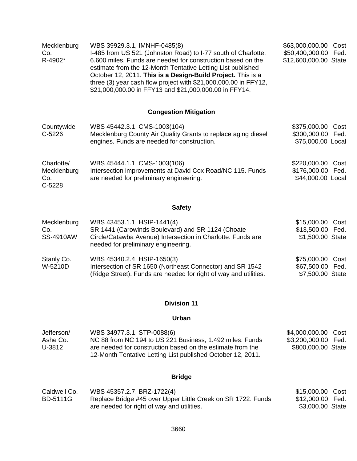| Mecklenburg<br>Co.<br>R-4902*                | WBS 39929.3.1, IMNHF-0485(8)<br>I-485 from US 521 (Johnston Road) to I-77 south of Charlotte,<br>6.600 miles. Funds are needed for construction based on the<br>estimate from the 12-Month Tentative Letting List published<br>October 12, 2011. This is a Design-Build Project. This is a<br>three (3) year cash flow project with \$21,000,000.00 in FFY12,<br>\$21,000,000.00 in FFY13 and \$21,000,000.00 in FFY14. | \$63,000,000.00<br>Cost<br>\$50,400,000.00 Fed.<br>\$12,600,000.00 State |
|----------------------------------------------|-------------------------------------------------------------------------------------------------------------------------------------------------------------------------------------------------------------------------------------------------------------------------------------------------------------------------------------------------------------------------------------------------------------------------|--------------------------------------------------------------------------|
|                                              | <b>Congestion Mitigation</b>                                                                                                                                                                                                                                                                                                                                                                                            |                                                                          |
| Countywide<br>$C-5226$                       | WBS 45442.3.1, CMS-1003(104)<br>Mecklenburg County Air Quality Grants to replace aging diesel<br>engines. Funds are needed for construction.                                                                                                                                                                                                                                                                            | \$375,000.00<br>Cost<br>\$300,000.00 Fed.<br>\$75,000.00 Local           |
| Charlotte/<br>Mecklenburg<br>Co.<br>$C-5228$ | WBS 45444.1.1, CMS-1003(106)<br>Intersection improvements at David Cox Road/NC 115. Funds<br>are needed for preliminary engineering.                                                                                                                                                                                                                                                                                    | \$220,000.00<br>Cost<br>\$176,000.00 Fed.<br>\$44,000.00 Local           |

## **Safety**

| Mecklenburg<br>Co.<br><b>SS-4910AW</b> | WBS 43453.1.1, HSIP-1441(4)<br>SR 1441 (Carowinds Boulevard) and SR 1124 (Choate<br>Circle/Catawba Avenue) Intersection in Charlotte. Funds are<br>needed for preliminary engineering. | \$15,000.00 Cost<br>\$13,500.00 Fed.<br>\$1,500.00 State |  |
|----------------------------------------|----------------------------------------------------------------------------------------------------------------------------------------------------------------------------------------|----------------------------------------------------------|--|
| Stanly Co.<br>W-5210D                  | WBS 45340.2.4, HSIP-1650(3)<br>Intersection of SR 1650 (Northeast Connector) and SR 1542<br>(Ridge Street). Funds are needed for right of way and utilities.                           | \$75,000.00 Cost<br>\$67,500.00 Fed.<br>\$7,500.00 State |  |

## **Division 11**

## **Urban**

| Jefferson/ | WBS 34977.3.1, STP-0088(6)                                                                                                | \$4,000,000.00 Cost |
|------------|---------------------------------------------------------------------------------------------------------------------------|---------------------|
| Ashe Co.   | NC 88 from NC 194 to US 221 Business, 1.492 miles. Funds                                                                  | \$3,200,000.00 Fed. |
| U-3812     | are needed for construction based on the estimate from the<br>12-Month Tentative Letting List published October 12, 2011. | \$800,000.00 State  |

## **Bridge**

| Caldwell Co. | WBS 45357.2.7, BRZ-1722(4)                                   | \$15,000.00 Cost |  |
|--------------|--------------------------------------------------------------|------------------|--|
| BD-5111G     | Replace Bridge #45 over Upper Little Creek on SR 1722. Funds | \$12,000.00 Fed. |  |
|              | are needed for right of way and utilities.                   | \$3,000.00 State |  |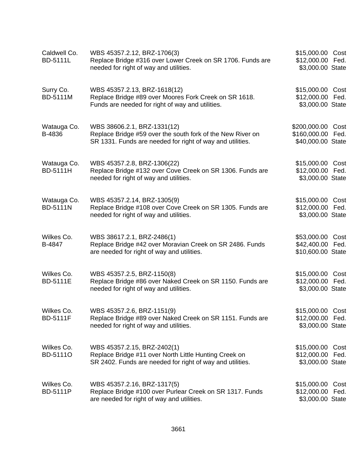| Caldwell Co.<br><b>BD-5111L</b> | WBS 45357.2.12, BRZ-1706(3)<br>Replace Bridge #316 over Lower Creek on SR 1706. Funds are<br>needed for right of way and utilities.                    | \$15,000.00 Cost<br>\$12,000.00<br>\$3,000.00 State      | Fed.         |
|---------------------------------|--------------------------------------------------------------------------------------------------------------------------------------------------------|----------------------------------------------------------|--------------|
| Surry Co.<br><b>BD-5111M</b>    | WBS 45357.2.13, BRZ-1618(12)<br>Replace Bridge #89 over Moores Fork Creek on SR 1618.<br>Funds are needed for right of way and utilities.              | \$15,000.00 Cost<br>\$12,000.00 Fed.<br>\$3,000.00 State |              |
| Watauga Co.<br>B-4836           | WBS 38606.2.1, BRZ-1331(12)<br>Replace Bridge #59 over the south fork of the New River on<br>SR 1331. Funds are needed for right of way and utilities. | \$200,000.00<br>\$160,000.00<br>\$40,000.00 State        | Cost<br>Fed. |
| Watauga Co.<br><b>BD-5111H</b>  | WBS 45357.2.8, BRZ-1306(22)<br>Replace Bridge #132 over Cove Creek on SR 1306. Funds are<br>needed for right of way and utilities.                     | \$15,000.00 Cost<br>\$12,000.00<br>\$3,000.00 State      | Fed.         |
| Watauga Co.<br><b>BD-5111N</b>  | WBS 45357.2.14, BRZ-1305(9)<br>Replace Bridge #108 over Cove Creek on SR 1305. Funds are<br>needed for right of way and utilities.                     | \$15,000.00 Cost<br>\$12,000.00<br>\$3,000.00 State      | Fed.         |
| Wilkes Co.<br>B-4847            | WBS 38617.2.1, BRZ-2486(1)<br>Replace Bridge #42 over Moravian Creek on SR 2486. Funds<br>are needed for right of way and utilities.                   | \$53,000.00<br>\$42,400.00<br>\$10,600.00 State          | Cost<br>Fed. |
| Wilkes Co.<br><b>BD-5111E</b>   | WBS 45357.2.5, BRZ-1150(8)<br>Replace Bridge #86 over Naked Creek on SR 1150. Funds are<br>needed for right of way and utilities.                      | \$15,000.00 Cost<br>\$12,000.00 Fed.<br>\$3,000.00 State |              |
| Wilkes Co.<br><b>BD-5111F</b>   | WBS 45357.2.6, BRZ-1151(9)<br>Replace Bridge #89 over Naked Creek on SR 1151. Funds are<br>needed for right of way and utilities.                      | \$15,000.00 Cost<br>\$12,000.00<br>\$3,000.00 State      | Fed.         |
| Wilkes Co.<br>BD-51110          | WBS 45357.2.15, BRZ-2402(1)<br>Replace Bridge #11 over North Little Hunting Creek on<br>SR 2402. Funds are needed for right of way and utilities.      | \$15,000.00<br>\$12,000.00<br>\$3,000.00 State           | Cost<br>Fed. |
| Wilkes Co.<br><b>BD-5111P</b>   | WBS 45357.2.16, BRZ-1317(5)<br>Replace Bridge #100 over Purlear Creek on SR 1317. Funds<br>are needed for right of way and utilities.                  | \$15,000.00 Cost<br>\$12,000.00<br>\$3,000.00 State      | Fed.         |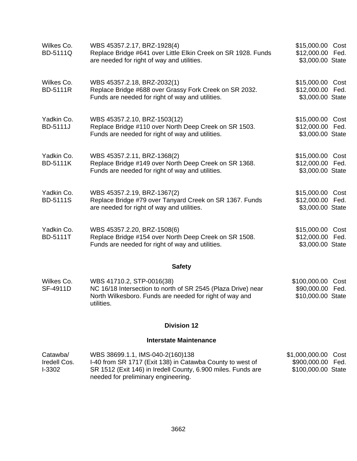| Wilkes Co.<br><b>BD-5111Q</b> | WBS 45357.2.17, BRZ-1928(4)<br>Replace Bridge #641 over Little Elkin Creek on SR 1928. Funds<br>are needed for right of way and utilities. | \$15,000.00 Cost<br>\$12,000.00 Fed.<br>\$3,000.00 State |
|-------------------------------|--------------------------------------------------------------------------------------------------------------------------------------------|----------------------------------------------------------|
| Wilkes Co.<br><b>BD-5111R</b> | WBS 45357.2.18, BRZ-2032(1)<br>Replace Bridge #688 over Grassy Fork Creek on SR 2032.<br>Funds are needed for right of way and utilities.  | \$15,000.00 Cost<br>\$12,000.00 Fed.<br>\$3,000.00 State |
| Yadkin Co.<br><b>BD-5111J</b> | WBS 45357.2.10, BRZ-1503(12)<br>Replace Bridge #110 over North Deep Creek on SR 1503.<br>Funds are needed for right of way and utilities.  | \$15,000.00 Cost<br>\$12,000.00 Fed.<br>\$3,000.00 State |
| Yadkin Co.<br><b>BD-5111K</b> | WBS 45357.2.11, BRZ-1368(2)<br>Replace Bridge #149 over North Deep Creek on SR 1368.<br>Funds are needed for right of way and utilities.   | \$15,000.00 Cost<br>\$12,000.00 Fed.<br>\$3,000.00 State |
| Yadkin Co.<br><b>BD-5111S</b> | WBS 45357.2.19, BRZ-1367(2)<br>Replace Bridge #79 over Tanyard Creek on SR 1367. Funds<br>are needed for right of way and utilities.       | \$15,000.00 Cost<br>\$12,000.00 Fed.<br>\$3,000.00 State |
| Yadkin Co.<br><b>BD-5111T</b> | WBS 45357.2.20, BRZ-1508(6)<br>Replace Bridge #154 over North Deep Creek on SR 1508.<br>Funds are needed for right of way and utilities.   | \$15,000.00 Cost<br>\$12,000.00 Fed.<br>\$3,000.00 State |
|                               | <b>Safety</b>                                                                                                                              |                                                          |
| Wilkes Co.                    | WBS 41710.2, STP-0016(38)                                                                                                                  | \$100,000.00 Cost                                        |

SF-4911D NC 16/18 Intersection to north of SR 2545 (Plaza Drive) near North Wilkesboro. Funds are needed for right of way and utilities. \$90,000.00 Fed. \$10,000.00 State

## **Division 12**

## **Interstate Maintenance**

| Catawba/     | WBS 38699.1.1, IMS-040-2(160)138                                                                    | \$1,000,000.00 Cost |  |
|--------------|-----------------------------------------------------------------------------------------------------|---------------------|--|
| Iredell Cos. | 1-40 from SR 1717 (Exit 138) in Catawba County to west of                                           | \$900,000.00 Fed.   |  |
| I-3302       | SR 1512 (Exit 146) in Iredell County, 6.900 miles. Funds are<br>needed for preliminary engineering. | \$100,000.00 State  |  |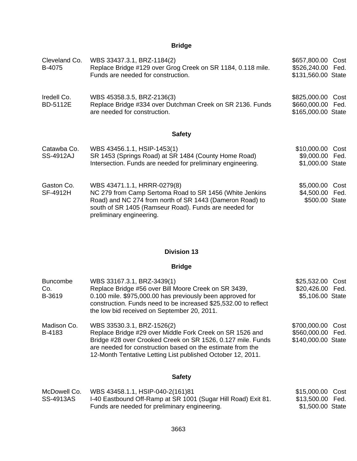## **Bridge**

| Cleveland Co.<br>B-4075         | WBS 33437.3.1, BRZ-1184(2)<br>Replace Bridge #129 over Grog Creek on SR 1184, 0.118 mile.<br>Funds are needed for construction.                                                                                                         | \$657,800.00<br>Cost<br>\$526,240.00 Fed.<br>\$131,560.00 State |
|---------------------------------|-----------------------------------------------------------------------------------------------------------------------------------------------------------------------------------------------------------------------------------------|-----------------------------------------------------------------|
| Iredell Co.<br><b>BD-5112E</b>  | WBS 45358.3.5, BRZ-2136(3)<br>Replace Bridge #334 over Dutchman Creek on SR 2136. Funds<br>are needed for construction.                                                                                                                 | \$825,000.00<br>Cost<br>\$660,000.00 Fed.<br>\$165,000.00 State |
|                                 | <b>Safety</b>                                                                                                                                                                                                                           |                                                                 |
| Catawba Co.<br><b>SS-4912AJ</b> | WBS 43456.1.1, HSIP-1453(1)<br>SR 1453 (Springs Road) at SR 1484 (County Home Road)<br>Intersection. Funds are needed for preliminary engineering.                                                                                      | \$10,000.00 Cost<br>\$9,000.00 Fed.<br>\$1,000.00 State         |
| Gaston Co.<br>SF-4912H          | WBS 43471.1.1, HRRR-0279(8)<br>NC 279 from Camp Sertoma Road to SR 1456 (White Jenkins<br>Road) and NC 274 from north of SR 1443 (Dameron Road) to<br>south of SR 1405 (Ramseur Road). Funds are needed for<br>preliminary engineering. | \$5,000.00<br>Cost<br>\$4,500.00 Fed.<br>\$500.00 State         |

## **Division 13**

## **Bridge**

| <b>Buncombe</b><br>Co.<br>B-3619 | WBS 33167.3.1, BRZ-3439(1)<br>Replace Bridge #56 over Bill Moore Creek on SR 3439,<br>0.100 mile. \$975,000.00 has previously been approved for<br>construction. Funds need to be increased \$25,532.00 to reflect<br>the low bid received on September 20, 2011.                  | \$25,532.00 Cost<br>\$20,426.00 Fed.<br>\$5,106.00 State     |
|----------------------------------|------------------------------------------------------------------------------------------------------------------------------------------------------------------------------------------------------------------------------------------------------------------------------------|--------------------------------------------------------------|
| Madison Co.<br>B-4183            | WBS 33530.3.1, BRZ-1526(2)<br>Replace Bridge #29 over Middle Fork Creek on SR 1526 and<br>Bridge #28 over Crooked Creek on SR 1526, 0.127 mile. Funds<br>are needed for construction based on the estimate from the<br>12-Month Tentative Letting List published October 12, 2011. | \$700,000.00 Cost<br>\$560,000.00 Fed.<br>\$140,000.00 State |

## **Safety**

| McDowell Co. | WBS 43458.1.1, HSIP-040-2(161)81                              | \$15,000.00 Cost |  |
|--------------|---------------------------------------------------------------|------------------|--|
| SS-4913AS    | I-40 Eastbound Off-Ramp at SR 1001 (Sugar Hill Road) Exit 81. | \$13,500.00 Fed. |  |
|              | Funds are needed for preliminary engineering.                 | \$1,500.00 State |  |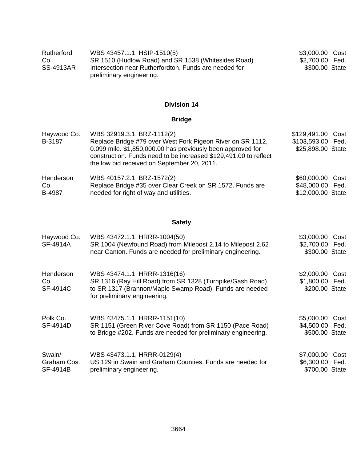| Rutherford       | WBS 43457.1.1, HSIP-1510(5)                           | \$3,000.00 Cost |
|------------------|-------------------------------------------------------|-----------------|
| Co.              | SR 1510 (Hudlow Road) and SR 1538 (Whitesides Road)   | \$2,700.00 Fed. |
| <b>SS-4913AR</b> | Intersection near Rutherfordton. Funds are needed for | \$300.00 State  |
|                  | preliminary engineering.                              |                 |

## **Bridge**

| Haywood Co.<br>B-3187 | WBS 32919.3.1, BRZ-1112(2)<br>Replace Bridge #79 over West Fork Pigeon River on SR 1112,<br>0.099 mile. \$1,850,000.00 has previously been approved for<br>construction. Funds need to be increased \$129,491.00 to reflect<br>the low bid received on September 20, 2011. | \$129,491.00 Cost<br>\$103,593.00 Fed.<br>\$25,898.00 State |  |
|-----------------------|----------------------------------------------------------------------------------------------------------------------------------------------------------------------------------------------------------------------------------------------------------------------------|-------------------------------------------------------------|--|
| Henderson             | WBS 40157.2.1, BRZ-1572(2)                                                                                                                                                                                                                                                 | \$60,000.00 Cost                                            |  |
| Co.                   | Replace Bridge #35 over Clear Creek on SR 1572. Funds are                                                                                                                                                                                                                  | \$48,000.00 Fed.                                            |  |
| B-4987                | needed for right of way and utilities.                                                                                                                                                                                                                                     | \$12,000.00 State                                           |  |

## **Safety**

| Haywood Co.<br>SF-4914A           | WBS 43472.1.1, HRRR-1004(50)<br>SR 1004 (Newfound Road) from Milepost 2.14 to Milepost 2.62<br>near Canton. Funds are needed for preliminary engineering.                            | \$3,000.00<br>\$2,700.00 Fed.<br>\$300.00 State | Cost |
|-----------------------------------|--------------------------------------------------------------------------------------------------------------------------------------------------------------------------------------|-------------------------------------------------|------|
| Henderson<br>Co.<br>SF-4914C      | WBS 43474.1.1, HRRR-1316(16)<br>SR 1316 (Ray Hill Road) from SR 1328 (Turnpike/Gash Road)<br>to SR 1317 (Brannon/Maple Swamp Road). Funds are needed<br>for preliminary engineering. | \$2,000.00<br>\$1,800.00 Fed.<br>\$200.00 State | Cost |
| Polk Co.<br>SF-4914D              | WBS 43475.1.1, HRRR-1151(10)<br>SR 1151 (Green River Cove Road) from SR 1150 (Pace Road)<br>to Bridge #202. Funds are needed for preliminary engineering.                            | \$5,000.00<br>\$4,500.00 Fed.<br>\$500.00 State | Cost |
| Swain/<br>Graham Cos.<br>SF-4914B | WBS 43473.1.1, HRRR-0129(4)<br>US 129 in Swain and Graham Counties. Funds are needed for<br>preliminary engineering.                                                                 | \$7,000.00<br>\$6,300.00 Fed.<br>\$700.00 State | Cost |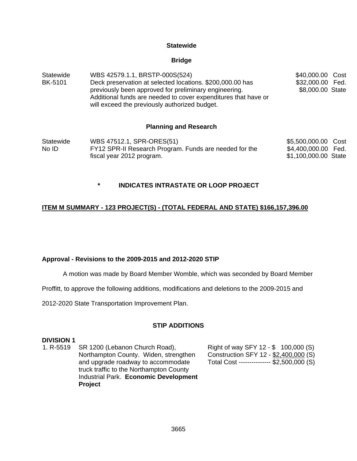#### **Statewide**

#### **Bridge**

Statewide BK-5101 WBS 42579.1.1, BRSTP-000S(524) Deck preservation at selected locations. \$200,000.00 has previously been approved for preliminary engineering. Additional funds are needed to cover expenditures that have or will exceed the previously authorized budget. \$40,000.00 Cost \$32,000.00 Fed. \$8,000.00 State

#### **Planning and Research**

**Statewide** No ID WBS 47512.1, SPR-ORES(51) FY12 SPR-II Research Program. Funds are needed for the fiscal year 2012 program. \$5,500,000.00 Cost \$4,400,000.00 Fed. \$1,100,000.00 State

## **\* INDICATES INTRASTATE OR LOOP PROJECT**

## **ITEM M SUMMARY - 123 PROJECT(S) - (TOTAL FEDERAL AND STATE) \$166,157,396.00**

#### **Approval - Revisions to the 2009-2015 and 2012-2020 STIP**

A motion was made by Board Member Womble, which was seconded by Board Member

Proffitt, to approve the following additions, modifications and deletions to the 2009-2015 and

2012-2020 State Transportation Improvement Plan.

#### **STIP ADDITIONS**

#### **DIVISION 1**

1. R-5519 SR 1200 (Lebanon Church Road), Northampton County. Widen, strengthen and upgrade roadway to accommodate truck traffic to the Northampton County Industrial Park. **Economic Development Project**

Right of way SFY 12 - \$ 100,000 (S) Construction SFY 12 - \$2,400,000 (S) Total Cost --------------- \$2,500,000 (S)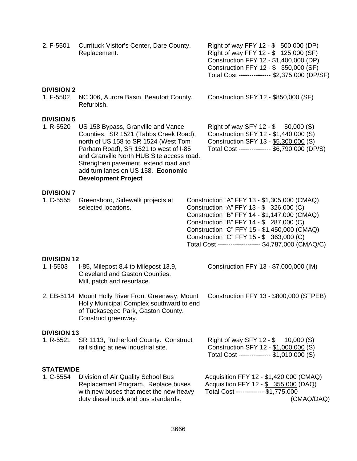| 2. F-5501                       | Currituck Visitor's Center, Dare County.<br>Replacement.                                                                                                                                                                                                                                                              | Right of way FFY 12 - \$ 500,000 (DP)<br>Right of way FFY 12 - \$ 125,000 (SF)<br>Construction FFY 12 - \$1,400,000 (DP)<br>Construction FFY 12 - \$ 350,000 (SF)<br>Total Cost -------------- \$2,375,000 (DP/SF)                                                                                                                      |
|---------------------------------|-----------------------------------------------------------------------------------------------------------------------------------------------------------------------------------------------------------------------------------------------------------------------------------------------------------------------|-----------------------------------------------------------------------------------------------------------------------------------------------------------------------------------------------------------------------------------------------------------------------------------------------------------------------------------------|
| <b>DIVISION 2</b><br>1. F-5502  | NC 306, Aurora Basin, Beaufort County.<br>Refurbish.                                                                                                                                                                                                                                                                  | Construction SFY 12 - \$850,000 (SF)                                                                                                                                                                                                                                                                                                    |
| <b>DIVISION 5</b><br>1. R-5520  | US 158 Bypass, Granville and Vance<br>Counties. SR 1521 (Tabbs Creek Road),<br>north of US 158 to SR 1524 (West Tom<br>Parham Road), SR 1521 to west of I-85<br>and Granville North HUB Site access road.<br>Strengthen pavement, extend road and<br>add turn lanes on US 158. Economic<br><b>Development Project</b> | Right of way SFY 12 - \$ 50,000 (S)<br>Construction SFY 12 - \$1,440,000 (S)<br>Construction SFY 13 - \$5,300,000 (S)<br>Total Cost -------------- \$6,790,000 (DP/S)                                                                                                                                                                   |
| <b>DIVISION 7</b><br>1. C-5555  | Greensboro, Sidewalk projects at<br>selected locations.                                                                                                                                                                                                                                                               | Construction "A" FFY 13 - \$1,305,000 (CMAQ)<br>Construction "A" FFY 13 - \$ 326,000 (C)<br>Construction "B" FFY 14 - \$1,147,000 (CMAQ)<br>Construction "B" FFY 14 - \$ 287,000 (C)<br>Construction "C" FFY 15 - \$1,450,000 (CMAQ)<br>Construction "C" FFY 15 - \$ 363,000 (C)<br>Total Cost ------------------- \$4,787,000 (CMAQ/C) |
| <b>DIVISION 12</b><br>1. I-5503 | I-85, Milepost 8.4 to Milepost 13.9,<br>Cleveland and Gaston Counties.<br>Mill, patch and resurface.                                                                                                                                                                                                                  | Construction FFY 13 - \$7,000,000 (IM)                                                                                                                                                                                                                                                                                                  |
|                                 | 2. EB-5114 Mount Holly River Front Greenway, Mount<br>Holly Municipal Complex southward to end<br>of Tuckasegee Park, Gaston County.<br>Construct greenway.                                                                                                                                                           | Construction FFY 13 - \$800,000 (STPEB)                                                                                                                                                                                                                                                                                                 |
| <b>DIVISION 13</b><br>1. R-5521 | SR 1113, Rutherford County. Construct<br>rail siding at new industrial site.                                                                                                                                                                                                                                          | Right of way SFY 12 - $$$<br>10,000(S)<br>Construction SFY 12 - \$1,000,000 (S)<br>Total Cost --------------- \$1,010,000 (S)                                                                                                                                                                                                           |
| <b>STATEWIDE</b><br>1. C-5554   | Division of Air Quality School Bus<br>Replacement Program. Replace buses<br>with new buses that meet the new heavy<br>duty diesel truck and bus standards.                                                                                                                                                            | Acquisition FFY 12 - \$1,420,000 (CMAQ)<br>Acquisition FFY 12 - \$ 355,000 (DAQ)<br>Total Cost ------------ \$1,775,000<br>(CMAQ/DAQ)                                                                                                                                                                                                   |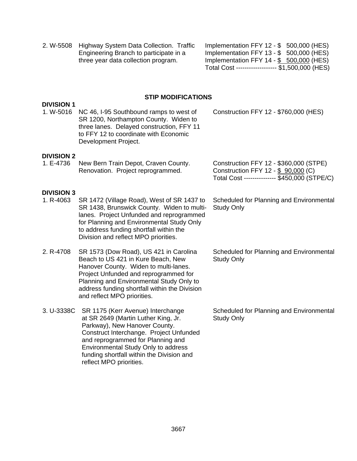2. W-5508 Highway System Data Collection. Traffic Engineering Branch to participate in a three year data collection program.

**DIVISION 1** 

Implementation FFY 12 - \$ 500,000 (HES) Implementation FFY 13 - \$ 500,000 (HES) Implementation FFY 14 -  $$ 500,000$  (HES) Total Cost ------------------- \$1,500,000 (HES)

#### **STIP MODIFICATIONS**

| 1. W-5016                      | NC 46, I-95 Southbound ramps to west of<br>SR 1200, Northampton County. Widen to<br>three lanes. Delayed construction, FFY 11<br>to FFY 12 to coordinate with Economic<br>Development Project.                                                                                                           | Construction FFY 12 - \$760,000 (HES)                                                                                         |
|--------------------------------|----------------------------------------------------------------------------------------------------------------------------------------------------------------------------------------------------------------------------------------------------------------------------------------------------------|-------------------------------------------------------------------------------------------------------------------------------|
| <b>DIVISION 2</b><br>1. E-4736 | New Bern Train Depot, Craven County.<br>Renovation. Project reprogrammed.                                                                                                                                                                                                                                | Construction FFY 12 - \$360,000 (STPE)<br>Construction FFY 12 - \$ 90,000 (C)<br>Total Cost -------------- \$450,000 (STPE/C) |
| <b>DIVISION 3</b><br>1. R-4063 | SR 1472 (Village Road), West of SR 1437 to<br>SR 1438, Brunswick County. Widen to multi-<br>lanes. Project Unfunded and reprogrammed<br>for Planning and Environmental Study Only<br>to address funding shortfall within the<br>Division and reflect MPO priorities.                                     | Scheduled for Planning and Environmental<br><b>Study Only</b>                                                                 |
| 2. R-4708                      | SR 1573 (Dow Road), US 421 in Carolina<br>Beach to US 421 in Kure Beach, New<br>Hanover County. Widen to multi-lanes.<br>Project Unfunded and reprogrammed for<br>Planning and Environmental Study Only to<br>address funding shortfall within the Division<br>and reflect MPO priorities.               | Scheduled for Planning and Environmental<br><b>Study Only</b>                                                                 |
| 3. U-3338C                     | SR 1175 (Kerr Avenue) Interchange<br>at SR 2649 (Martin Luther King, Jr.<br>Parkway), New Hanover County.<br>Construct Interchange. Project Unfunded<br>and reprogrammed for Planning and<br>Environmental Study Only to address<br>funding shortfall within the Division and<br>reflect MPO priorities. | Scheduled for Planning and Environmental<br><b>Study Only</b>                                                                 |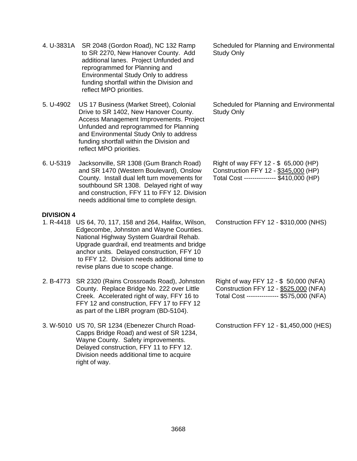|  | opgraac gaaruran, cha treatments and bhage<br>anchor units. Delayed construction, FFY 10<br>to FFY 12. Division needs additional time to<br>revise plans due to scope change.                                                             |                                                                                                                             |
|--|-------------------------------------------------------------------------------------------------------------------------------------------------------------------------------------------------------------------------------------------|-----------------------------------------------------------------------------------------------------------------------------|
|  | 2. B-4773 SR 2320 (Rains Crossroads Road), Johnston<br>County. Replace Bridge No. 222 over Little<br>Creek. Accelerated right of way, FFY 16 to<br>FFY 12 and construction, FFY 17 to FFY 12<br>as part of the LIBR program (BD-5104).    | Right of way FFY 12 - \$ 50,000 (NFA)<br>Construction FFY 12 - \$525,000 (NFA)<br>Total Cost -------------- \$575,000 (NFA) |
|  | 3. W-5010 US 70, SR 1234 (Ebenezer Church Road-<br>Capps Bridge Road) and west of SR 1234,<br>Wayne County. Safety improvements.<br>Delayed construction, FFY 11 to FFY 12.<br>Division needs additional time to acquire<br>right of way. | Construction FFY 12 - \$1,450,000 (HES)                                                                                     |

|           | funding shortfall within the Division and<br>reflect MPO priorities.                                                                                                                                                                                                       |
|-----------|----------------------------------------------------------------------------------------------------------------------------------------------------------------------------------------------------------------------------------------------------------------------------|
| 6. U-5319 | Jacksonville, SR 1308 (Gum Branch Road)<br>and SR 1470 (Western Boulevard), Onslow<br>County. Install dual left turn movements for<br>southbound SR 1308. Delayed right of way<br>and construction, FFY 11 to FFY 12. Division<br>needs additional time to complete design |

4. U-3831A SR 2048 (Gordon Road), NC 132 Ramp

5. U-4902 US 17 Business (Market Street), Colonial

to SR 2270, New Hanover County. Add

Drive to SR 1402, New Hanover County. Access Management Improvements. Project Unfunded and reprogrammed for Planning and Environmental Study Only to address

- 1. R-4418 US 64, 70, 117, 158 and 264, Halifax, Wilson, Edgecombe, Johnston and Wayne Counties. National Highway System Guardrail Rehab.
- needs additional time to complete design. **DIVISION 4**  Upgrade guardrail, end treatments and bridge

additional lanes. Project Unfunded and reprogrammed for Planning and Environmental Study Only to address funding shortfall within the Division and reflect MPO priorities.

Study Only

Scheduled for Planning and Environmental Study Only

Scheduled for Planning and Environmental

Right of way FFY 12 - \$ 65,000 (HP) Construction FFY 12 - \$345,000 (HP) Total Cost --------------- \$410,000 (HP)

Construction FFY 12 - \$310,000 (NHS)

3668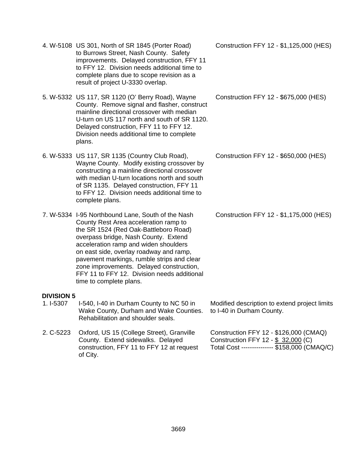- 4. W-5108 US 301, North of SR 1845 (Porter Road) to Burrows Street, Nash County. Safety improvements. Delayed construction, FFY 11 to FFY 12. Division needs additional time to complete plans due to scope revision as a result of project U-3330 overlap.
- 5. W-5332 US 117, SR 1120 (O' Berry Road), Wayne County. Remove signal and flasher, construct mainline directional crossover with median U-turn on US 117 north and south of SR 1120. Delayed construction, FFY 11 to FFY 12. Division needs additional time to complete plans.
- 6. W-5333 US 117, SR 1135 (Country Club Road), Wayne County. Modify existing crossover by constructing a mainline directional crossover with median U-turn locations north and south of SR 1135. Delayed construction, FFY 11 to FFY 12. Division needs additional time to complete plans.
- 7. W-5334 I-95 Northbound Lane, South of the Nash County Rest Area acceleration ramp to the SR 1524 (Red Oak-Battleboro Road) overpass bridge, Nash County. Extend acceleration ramp and widen shoulders on east side, overlay roadway and ramp, pavement markings, rumble strips and clear zone improvements. Delayed construction, FFY 11 to FFY 12. Division needs additional time to complete plans.

#### **DIVISION 5**

- 1. I-5307 I-540, I-40 in Durham County to NC 50 in Wake County, Durham and Wake Counties. Rehabilitation and shoulder seals.
- 2. C-5223 Oxford, US 15 (College Street), Granville County. Extend sidewalks. Delayed construction, FFY 11 to FFY 12 at request of City.

Construction FFY 12 - \$1,125,000 (HES)

Construction FFY 12 - \$675,000 (HES)

Construction FFY 12 - \$650,000 (HES)

Construction FFY 12 - \$1,175,000 (HES)

Modified description to extend project limits to I-40 in Durham County.

Construction FFY 12 - \$126,000 (CMAQ) Construction FFY 12 - \$ 32,000 (C) Total Cost --------------- \$158,000 (CMAQ/C)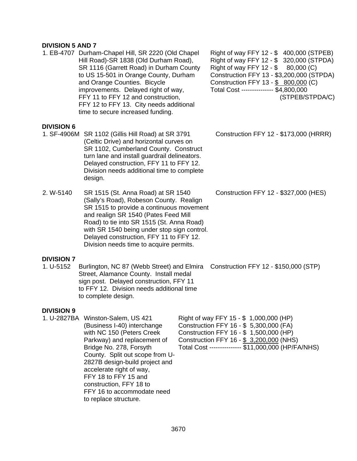#### **DIVISION 5 AND 7**

1. EB-4707 Durham-Chapel Hill, SR 2220 (Old Chapel Hill Road)-SR 1838 (Old Durham Road), SR 1116 (Garrett Road) in Durham County to US 15-501 in Orange County, Durham and Orange Counties. Bicycle improvements. Delayed right of way, FFY 11 to FFY 12 and construction, FFY 12 to FFY 13. City needs additional time to secure increased funding.

#### **DIVISION 6**

1. SF-4906M SR 1102 (Gillis Hill Road) at SR 3791 (Celtic Drive) and horizontal curves on SR 1102, Cumberland County. Construct turn lane and install guardrail delineators. Delayed construction, FFY 11 to FFY 12. Division needs additional time to complete design.

2. W-5140 SR 1515 (St. Anna Road) at SR 1540 (Sally's Road), Robeson County. Realign SR 1515 to provide a continuous movement and realign SR 1540 (Pates Feed Mill Road) to tie into SR 1515 (St. Anna Road) with SR 1540 being under stop sign control. Delayed construction, FFY 11 to FFY 12. Division needs time to acquire permits.

#### **DIVISION 7**

1. U-5152 Burlington, NC 87 (Webb Street) and Elmira Construction FFY 12 - \$150,000 (STP) Street, Alamance County. Install medal sign post. Delayed construction, FFY 11 to FFY 12. Division needs additional time to complete design.

#### **DIVISION 9**

1. U-2827BA Winston-Salem, US 421 (Business I-40) interchange with NC 150 (Peters Creek Parkway) and replacement of Bridge No. 278, Forsyth County. Split out scope from U-2827B design-build project and accelerate right of way, FFY 18 to FFY 15 and construction, FFY 18 to FFY 16 to accommodate need to replace structure.

Right of way FFY 12 - \$ 400,000 (STPEB) Right of way FFY 12 - \$ 320,000 (STPDA) Right of way FFY 12 -  $$80,000$  (C) Construction FFY 13 - \$3,200,000 (STPDA) Construction FFY 13 - \$ 800,000 (C) Total Cost --------------- \$4,800,000 (STPEB/STPDA/C)

Construction FFY 12 - \$173,000 (HRRR)

Construction FFY 12 - \$327,000 (HES)

Right of way FFY 15 - \$ 1,000,000 (HP) Construction FFY 16 - \$ 5,300,000 (FA) Construction FFY 16 - \$ 1,500,000 (HP) Construction FFY 16 - \$ 3,200,000 (NHS) Total Cost --------------- \$11,000,000 (HP/FA/NHS)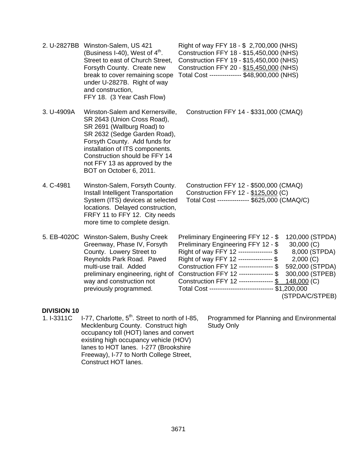|            | 2. U-2827BB Winston-Salem, US 421<br>(Business I-40), West of $4th$ .<br>Street to east of Church Street,<br>Forsyth County. Create new<br>break to cover remaining scope<br>under U-2827B. Right of way<br>and construction,<br>FFY 18. (3 Year Cash Flow)                                   | Right of way FFY 18 - \$ 2,700,000 (NHS)<br>Construction FFY 18 - \$15,450,000 (NHS)<br>Construction FFY 19 - \$15,450,000 (NHS)<br>Construction FFY 20 - \$15,450,000 (NHS)<br>Total Cost -------------- \$48,900,000 (NHS)                                                                                                                                                                                                                                                              |
|------------|-----------------------------------------------------------------------------------------------------------------------------------------------------------------------------------------------------------------------------------------------------------------------------------------------|-------------------------------------------------------------------------------------------------------------------------------------------------------------------------------------------------------------------------------------------------------------------------------------------------------------------------------------------------------------------------------------------------------------------------------------------------------------------------------------------|
| 3. U-4909A | Winston-Salem and Kernersville,<br>SR 2643 (Union Cross Road),<br>SR 2691 (Wallburg Road) to<br>SR 2632 (Sedge Garden Road),<br>Forsyth County. Add funds for<br>installation of ITS components.<br>Construction should be FFY 14<br>not FFY 13 as approved by the<br>BOT on October 6, 2011. | Construction FFY 14 - \$331,000 (CMAQ)                                                                                                                                                                                                                                                                                                                                                                                                                                                    |
| 4. C-4981  | Winston-Salem, Forsyth County.<br>Install Intelligent Transportation<br>System (ITS) devices at selected<br>locations. Delayed construction,<br>FRFY 11 to FFY 12. City needs<br>more time to complete design.                                                                                | Construction FFY 12 - \$500,000 (CMAQ)<br>Construction FFY 12 - \$125,000 (C)<br>Total Cost -------------- \$625,000 (CMAQ/C)                                                                                                                                                                                                                                                                                                                                                             |
|            | 5. EB-4020C Winston-Salem, Bushy Creek<br>Greenway, Phase IV, Forsyth<br>County. Lowery Street to<br>Reynolds Park Road. Paved<br>multi-use trail. Added<br>preliminary engineering, right of<br>way and construction not<br>previously programmed.                                           | 120,000 (STPDA)<br>Preliminary Engineering FFY 12 - \$<br>Preliminary Engineering FFY 12 - \$<br>30,000(C)<br>Right of way FFY 12 --------------- \$<br>8,000 (STPDA)<br>Right of way FFY 12 --------------- \$<br>2,000(C)<br>Construction FFY 12 --------------- \$<br>592,000 (STPDA)<br>Construction FFY 12 --------------- \$<br>300,000 (STPEB)<br>Construction FFY 12 --------------- \$<br>148,000 (C)<br>Total Cost ----------------------------- \$1,200,000<br>(STPDA/C/STPEB) |

# **DIVISION 10**

1. I-3311C I-77, Charlotte,  $5<sup>th</sup>$ . Street to north of I-85, Mecklenburg County. Construct high occupancy toll (HOT) lanes and convert existing high occupancy vehicle (HOV) lanes to HOT lanes. I-277 (Brookshire Freeway), I-77 to North College Street, Construct HOT lanes.

Programmed for Planning and Environmental Study Only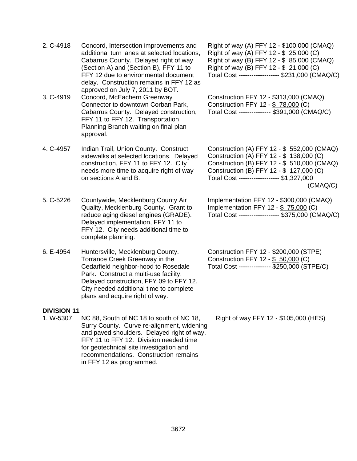- 2. C-4918 Concord, Intersection improvements and additional turn lanes at selected locations, Cabarrus County. Delayed right of way (Section A) and (Section B), FFY 11 to FFY 12 due to environmental document delay. Construction remains in FFY 12 as approved on July 7, 2011 by BOT.
- 3. C-4919 Concord, McEachern Greenway Connector to downtown Corban Park, Cabarrus County. Delayed construction, FFY 11 to FFY 12. Transportation Planning Branch waiting on final plan approval.
- 4. C-4957 Indian Trail, Union County. Construct sidewalks at selected locations. Delayed construction, FFY 11 to FFY 12. City needs more time to acquire right of way on sections A and B.
- 5. C-5226 Countywide, Mecklenburg County Air Quality, Mecklenburg County. Grant to reduce aging diesel engines (GRADE). Delayed implementation, FFY 11 to FFY 12. City needs additional time to complete planning.
- 6. E-4954 Huntersville, Mecklenburg County. Torrance Creek Greenway in the Cedarfield neighbor-hood to Rosedale Park. Construct a multi-use facility. Delayed construction, FFY 09 to FFY 12. City needed additional time to complete plans and acquire right of way.

#### **DIVISION 11**

1. W-5307 NC 88, South of NC 18 to south of NC 18, Surry County. Curve re-alignment, widening and paved shoulders. Delayed right of way, FFY 11 to FFY 12. Division needed time for geotechnical site investigation and recommendations. Construction remains in FFY 12 as programmed.

Right of way (A) FFY 12 - \$100,000 (CMAQ) Right of way (A) FFY 12 - \$ 25,000 (C) Right of way (B) FFY 12 - \$ 85,000 (CMAQ) Right of way (B) FFY 12 - \$ 21,000 (C) Total Cost ------------------- \$231,000 (CMAQ/C)

Construction FFY 12 - \$313,000 (CMAQ) Construction FFY 12 - \$ 78,000 (C) Total Cost --------------- \$391,000 (CMAQ/C)

Construction (A) FFY 12 - \$ 552,000 (CMAQ) Construction (A) FFY 12 - \$ 138,000 (C) Construction (B) FFY 12 - \$ 510,000 (CMAQ) Construction (B) FFY 12 - \$ 127,000 (C) Total Cost ------------------- \$1,327,000 (CMAQ/C)

Implementation FFY 12 - \$300,000 (CMAQ) Implementation FFY 12 - \$ 75,000 (C) Total Cost ------------------- \$375,000 (CMAQ/C)

Construction FFY 12 - \$200,000 (STPE) Construction FFY 12 - \$ 50,000 (C) Total Cost --------------- \$250,000 (STPE/C)

Right of way FFY 12 - \$105,000 (HES)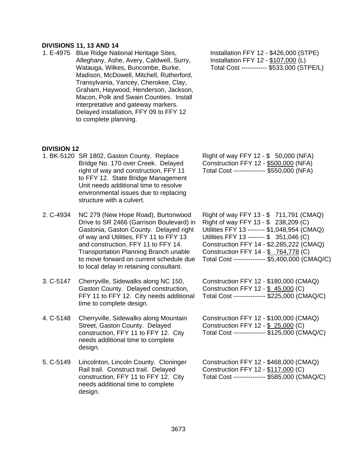#### **DIVISIONS 11, 13 AND 14**

1. E-4975 Blue Ridge National Heritage Sites, Alleghany, Ashe, Avery, Caldwell, Surry, Watauga, Wilkes, Buncombe, Burke, Madison, McDowell, Mitchell, Rutherford, Transylvania, Yancey, Cherokee, Clay, Graham, Haywood, Henderson, Jackson, Macon, Polk and Swain Counties. Install interpretative and gateway markers. Delayed installation, FFY 09 to FFY 12 to complete planning.

Installation FFY 12 - \$426,000 (STPE) Installation FFY 12 - \$107,000 (L) Total Cost ------------ \$533,000 (STPE/L)

#### **DIVISION 12**

- 1. BK-5120 SR 1802, Gaston County. Replace Bridge No. 170 over Creek. Delayed right of way and construction, FFY 11 to FFY 12. State Bridge Management Unit needs additional time to resolve environmental issues due to replacing structure with a culvert.
- 2. C-4934 NC 279 (New Hope Road), Burtonwood Drive to SR 2466 (Garrison Boulevard) in Gastonia, Gaston County. Delayed right of way and Utilities, FFY 11 to FFY 13 and construction, FFY 11 to FFY 14. Transportation Planning Branch unable to move forward on current schedule due to local delay in retaining consultant.
- 3. C-5147 Cherryville, Sidewalks along NC 150, Gaston County. Delayed construction, FFY 11 to FFY 12. City needs additional time to complete design.
- 4. C-5148 Cherryville, Sidewalks along Mountain Street, Gaston County. Delayed construction, FFY 11 to FFY 12. City needs additional time to complete design.
- 5. C-5149 Lincolnton, Lincoln County. Cloninger Rail trail. Construct trail. Delayed construction, FFY 11 to FFY 12. City needs additional time to complete design.

Right of way FFY 12 - \$ 50,000 (NFA) Construction FFY 12 - \$500,000 (NFA) Total Cost --------------- \$550,000 (NFA)

Right of way FFY 13 - \$ 711,791 (CMAQ) Right of way FFY 13 - \$ 238,209 (C) Utilities FFY 13 -------- \$1,048,954 (CMAQ) Utilities FFY 13 -------- \$ 351,046 (C) Construction FFY 14 - \$2,285,222 (CMAQ) Construction FFY 14 - \$ 764,778 (C) Total Cost --------------- \$5,400,000 (CMAQ/C)

Construction FFY 12 - \$180,000 (CMAQ) Construction FFY 12 - \$ 45,000 (C) Total Cost --------------- \$225,000 (CMAQ/C)

Construction FFY 12 - \$100,000 (CMAQ) Construction FFY 12 - \$ 25,000 (C) Total Cost --------------- \$125,000 (CMAQ/C)

Construction FFY 12 - \$468,000 (CMAQ) Construction FFY 12 - \$117,000 (C) Total Cost --------------- \$585,000 (CMAQ/C)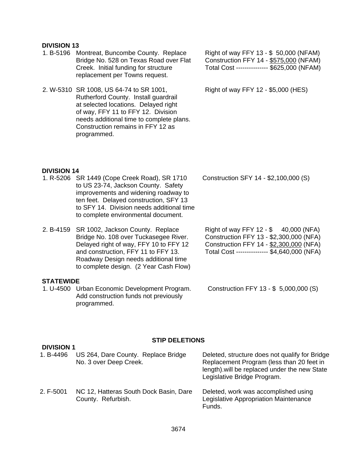#### **DIVISION 13**

1. B-5196 Montreat, Buncombe County. Replace Bridge No. 528 on Texas Road over Flat Creek. Initial funding for structure replacement per Towns request.

2. W-5310 SR 1008, US 64-74 to SR 1001, Rutherford County. Install guardrail at selected locations. Delayed right of way, FFY 11 to FFY 12. Division needs additional time to complete plans. Construction remains in FFY 12 as programmed.

1. R-5206 SR 1449 (Cope Creek Road), SR 1710

to US 23-74, Jackson County. Safety improvements and widening roadway to ten feet. Delayed construction, SFY 13 to SFY 14. Division needs additional time to complete environmental document.

Right of way FFY 13 - \$ 50,000 (NFAM) Construction FFY 14 - \$575,000 (NFAM) Total Cost --------------- \$625,000 (NFAM)

Right of way FFY 12 - \$5,000 (HES)

Construction SFY 14 - \$2,100,000 (S)

2. B-4159 SR 1002, Jackson County. Replace Bridge No. 108 over Tuckasegee River. Delayed right of way, FFY 10 to FFY 12 and construction, FFY 11 to FFY 13. Roadway Design needs additional time to complete design. (2 Year Cash Flow)

#### **STATEWIDE**

**DIVISION 14** 

1. U-4500 Urban Economic Development Program. Add construction funds not previously programmed.

Right of way FFY 12 - \$ 40,000 (NFA) Construction FFY 13 - \$2,300,000 (NFA) Construction FFY 14 - \$2,300,000 (NFA) Total Cost --------------- \$4,640,000 (NFA)

Construction FFY 13 - \$ 5,000,000 (S)

#### **STIP DELETIONS**

| <b>DIVISION 1</b> |                                                               |                                                                                                                                                                             |  |
|-------------------|---------------------------------------------------------------|-----------------------------------------------------------------------------------------------------------------------------------------------------------------------------|--|
| 1. B-4496         | US 264, Dare County. Replace Bridge<br>No. 3 over Deep Creek. | Deleted, structure does not qualify for Bridge<br>Replacement Program (less than 20 feet in<br>length). will be replaced under the new State<br>Legislative Bridge Program. |  |
| 2. F-5001         | NC 12, Hatteras South Dock Basin, Dare<br>County. Refurbish.  | Deleted, work was accomplished using<br>Legislative Appropriation Maintenance<br>Funds.                                                                                     |  |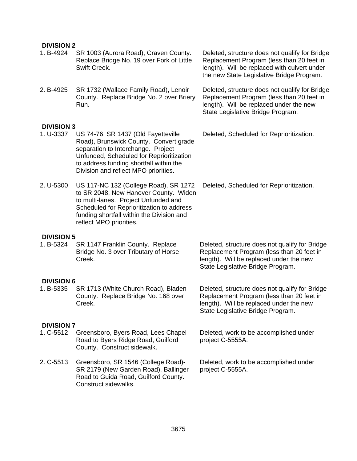#### **DIVISION 2**

- 1. B-4924 SR 1003 (Aurora Road), Craven County. Replace Bridge No. 19 over Fork of Little Swift Creek.
- 2. B-4925 SR 1732 (Wallace Family Road), Lenoir County. Replace Bridge No. 2 over Briery Run.

#### **DIVISION 3**

- 1. U-3337 US 74-76, SR 1437 (Old Fayetteville Road), Brunswick County. Convert grade separation to Interchange. Project Unfunded, Scheduled for Reprioritization to address funding shortfall within the Division and reflect MPO priorities.
- 2. U-5300 US 117-NC 132 (College Road), SR 1272 to SR 2048, New Hanover County. Widen to multi-lanes. Project Unfunded and Scheduled for Reprioritization to address funding shortfall within the Division and reflect MPO priorities.

#### **DIVISION 5**

1. B-5324 SR 1147 Franklin County. Replace Bridge No. 3 over Tributary of Horse Creek.

#### **DIVISION 6**

1. B-5335 SR 1713 (White Church Road), Bladen County. Replace Bridge No. 168 over Creek.

#### **DIVISION 7**

- 1. C-5512 Greensboro, Byers Road, Lees Chapel Road to Byers Ridge Road, Guilford County. Construct sidewalk.
- 2. C-5513 Greensboro, SR 1546 (College Road)- SR 2179 (New Garden Road), Ballinger Road to Guida Road, Guilford County. Construct sidewalks.

Deleted, structure does not qualify for Bridge Replacement Program (less than 20 feet in length). Will be replaced with culvert under the new State Legislative Bridge Program.

Deleted, structure does not qualify for Bridge Replacement Program (less than 20 feet in length). Will be replaced under the new State Legislative Bridge Program.

Deleted, Scheduled for Reprioritization.

Deleted, Scheduled for Reprioritization.

Deleted, structure does not qualify for Bridge Replacement Program (less than 20 feet in length). Will be replaced under the new State Legislative Bridge Program.

Deleted, structure does not qualify for Bridge Replacement Program (less than 20 feet in length). Will be replaced under the new State Legislative Bridge Program.

Deleted, work to be accomplished under project C-5555A.

Deleted, work to be accomplished under project C-5555A.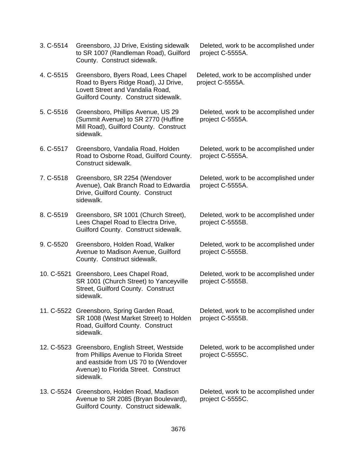3. C-5514 Greensboro, JJ Drive, Existing sidewalk to SR 1007 (Randleman Road), Guilford County. Construct sidewalk. Deleted, work to be accomplished under project C-5555A. 4. C-5515 Greensboro, Byers Road, Lees Chapel Road to Byers Ridge Road), JJ Drive, Lovett Street and Vandalia Road, Guilford County. Construct sidewalk. Deleted, work to be accomplished under project C-5555A. 5. C-5516 Greensboro, Phillips Avenue, US 29 (Summit Avenue) to SR 2770 (Huffine Mill Road), Guilford County. Construct sidewalk. Deleted, work to be accomplished under project C-5555A. 6. C-5517 Greensboro, Vandalia Road, Holden Road to Osborne Road, Guilford County. Construct sidewalk. Deleted, work to be accomplished under project C-5555A. 7. C-5518 Greensboro, SR 2254 (Wendover Avenue), Oak Branch Road to Edwardia Drive, Guilford County. Construct sidewalk. Deleted, work to be accomplished under project C-5555A. 8. C-5519 Greensboro, SR 1001 (Church Street), Lees Chapel Road to Electra Drive, Guilford County. Construct sidewalk. Deleted, work to be accomplished under project C-5555B. 9. C-5520 Greensboro, Holden Road, Walker Avenue to Madison Avenue, Guilford County. Construct sidewalk. Deleted, work to be accomplished under project C-5555B. 10. C-5521 Greensboro, Lees Chapel Road, SR 1001 (Church Street) to Yanceyville Street, Guilford County. Construct sidewalk. Deleted, work to be accomplished under project C-5555B. 11. C-5522 Greensboro, Spring Garden Road, SR 1008 (West Market Street) to Holden Road, Guilford County. Construct sidewalk. Deleted, work to be accomplished under project C-5555B. 12. C-5523 Greensboro, English Street, Westside from Phillips Avenue to Florida Street and eastside from US 70 to (Wendover Avenue) to Florida Street. Construct sidewalk. Deleted, work to be accomplished under project C-5555C. 13. C-5524 Greensboro, Holden Road, Madison Avenue to SR 2085 (Bryan Boulevard), Guilford County. Construct sidewalk. Deleted, work to be accomplished under project C-5555C.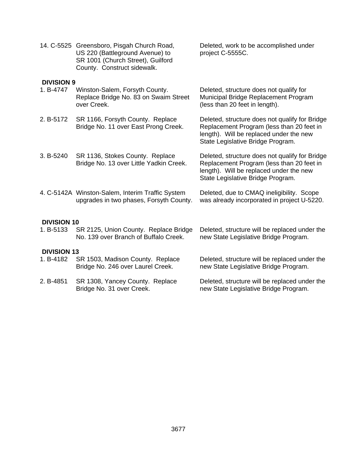|                    | 14. C-5525 Greensboro, Pisgah Church Road,<br>US 220 (Battleground Avenue) to<br>SR 1001 (Church Street), Guilford<br>County. Construct sidewalk. | Deleted, work to be accomplished under<br>project C-5555C.                                                                                                                  |  |  |
|--------------------|---------------------------------------------------------------------------------------------------------------------------------------------------|-----------------------------------------------------------------------------------------------------------------------------------------------------------------------------|--|--|
| <b>DIVISION 9</b>  |                                                                                                                                                   |                                                                                                                                                                             |  |  |
| 1. B-4747          | Winston-Salem, Forsyth County.<br>Replace Bridge No. 83 on Swaim Street<br>over Creek.                                                            | Deleted, structure does not qualify for<br>Municipal Bridge Replacement Program<br>(less than 20 feet in length).                                                           |  |  |
| 2. B-5172          | SR 1166, Forsyth County. Replace<br>Bridge No. 11 over East Prong Creek.                                                                          | Deleted, structure does not qualify for Bridge<br>Replacement Program (less than 20 feet in<br>length). Will be replaced under the new<br>State Legislative Bridge Program. |  |  |
| 3. B-5240          | SR 1136, Stokes County. Replace<br>Bridge No. 13 over Little Yadkin Creek.                                                                        | Deleted, structure does not qualify for Bridge<br>Replacement Program (less than 20 feet in<br>length). Will be replaced under the new<br>State Legislative Bridge Program. |  |  |
|                    | 4. C-5142A Winston-Salem, Interim Traffic System<br>upgrades in two phases, Forsyth County.                                                       | Deleted, due to CMAQ ineligibility. Scope<br>was already incorporated in project U-5220.                                                                                    |  |  |
| <b>DIVISION 10</b> |                                                                                                                                                   |                                                                                                                                                                             |  |  |
| 1. B-5133          | SR 2125, Union County. Replace Bridge<br>No. 139 over Branch of Buffalo Creek.                                                                    | Deleted, structure will be replaced under the<br>new State Legislative Bridge Program.                                                                                      |  |  |
| <b>DIVISION 13</b> |                                                                                                                                                   |                                                                                                                                                                             |  |  |
| 1. B-4182          | SR 1503, Madison County. Replace<br>Bridge No. 246 over Laurel Creek.                                                                             | Deleted, structure will be replaced under the<br>new State Legislative Bridge Program.                                                                                      |  |  |
| 2. B-4851          | SR 1308, Yancey County. Replace<br>Bridge No. 31 over Creek.                                                                                      | Deleted, structure will be replaced under the<br>new State Legislative Bridge Program.                                                                                      |  |  |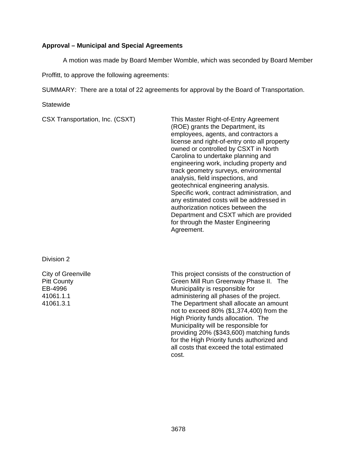## **Approval – Municipal and Special Agreements**

A motion was made by Board Member Womble, which was seconded by Board Member

Proffitt, to approve the following agreements:

SUMMARY: There are a total of 22 agreements for approval by the Board of Transportation.

**Statewide** 

CSX Transportation, Inc. (CSXT) This Master Right-of-Entry Agreement (ROE) grants the Department, its employees, agents, and contractors a license and right-of-entry onto all property owned or controlled by CSXT in North Carolina to undertake planning and engineering work, including property and track geometry surveys, environmental analysis, field inspections, and geotechnical engineering analysis. Specific work, contract administration, and any estimated costs will be addressed in authorization notices between the Department and CSXT which are provided for through the Master Engineering Agreement.

Division 2

City of Greenville Pitt County EB-4996 41061.1.1 41061.3.1

This project consists of the construction of Green Mill Run Greenway Phase II. The Municipality is responsible for administering all phases of the project. The Department shall allocate an amount not to exceed 80% (\$1,374,400) from the High Priority funds allocation. The Municipality will be responsible for providing 20% (\$343,600) matching funds for the High Priority funds authorized and all costs that exceed the total estimated cost.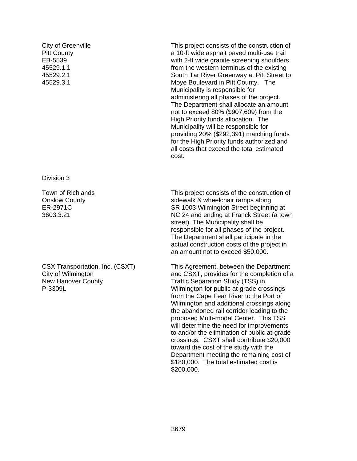City of Greenville Pitt County EB-5539 45529.1.1 45529.2.1 45529.3.1

Division 3

Town of Richlands Onslow County ER-2971C 3603.3.21

CSX Transportation, Inc. (CSXT) City of Wilmington New Hanover County P-3309L

This project consists of the construction of a 10-ft wide asphalt paved multi-use trail with 2-ft wide granite screening shoulders from the western terminus of the existing South Tar River Greenway at Pitt Street to Moye Boulevard in Pitt County. The Municipality is responsible for administering all phases of the project. The Department shall allocate an amount not to exceed 80% (\$907,609) from the High Priority funds allocation. The Municipality will be responsible for providing 20% (\$292,391) matching funds for the High Priority funds authorized and all costs that exceed the total estimated cost.

This project consists of the construction of sidewalk & wheelchair ramps along SR 1003 Wilmington Street beginning at NC 24 and ending at Franck Street (a town street). The Municipality shall be responsible for all phases of the project. The Department shall participate in the actual construction costs of the project in an amount not to exceed \$50,000.

This Agreement, between the Department and CSXT, provides for the completion of a Traffic Separation Study (TSS) in Wilmington for public at-grade crossings from the Cape Fear River to the Port of Wilmington and additional crossings along the abandoned rail corridor leading to the proposed Multi-modal Center. This TSS will determine the need for improvements to and/or the elimination of public at-grade crossings. CSXT shall contribute \$20,000 toward the cost of the study with the Department meeting the remaining cost of \$180,000. The total estimated cost is \$200,000.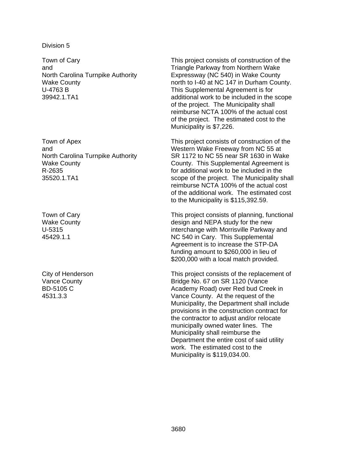Town of Cary and North Carolina Turnpike Authority Wake County U-4763 B 39942.1.TA1

Town of Apex and North Carolina Turnpike Authority Wake County R-2635 35520.1.TA1

Town of Cary Wake County U-5315 45429.1.1

City of Henderson Vance County BD-5105 C 4531.3.3

This project consists of construction of the Triangle Parkway from Northern Wake Expressway (NC 540) in Wake County north to I-40 at NC 147 in Durham County. This Supplemental Agreement is for additional work to be included in the scope of the project. The Municipality shall reimburse NCTA 100% of the actual cost of the project. The estimated cost to the Municipality is \$7,226.

This project consists of construction of the Western Wake Freeway from NC 55 at SR 1172 to NC 55 near SR 1630 in Wake County. This Supplemental Agreement is for additional work to be included in the scope of the project. The Municipality shall reimburse NCTA 100% of the actual cost of the additional work. The estimated cost to the Municipality is \$115,392.59.

This project consists of planning, functional design and NEPA study for the new interchange with Morrisville Parkway and NC 540 in Cary. This Supplemental Agreement is to increase the STP-DA funding amount to \$260,000 in lieu of \$200,000 with a local match provided.

This project consists of the replacement of Bridge No. 67 on SR 1120 (Vance Academy Road) over Red bud Creek in Vance County. At the request of the Municipality, the Department shall include provisions in the construction contract for the contractor to adjust and/or relocate municipally owned water lines. The Municipality shall reimburse the Department the entire cost of said utility work. The estimated cost to the Municipality is \$119,034.00.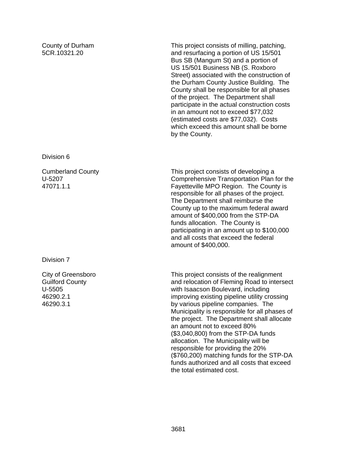County of Durham 5CR.10321.20

This project consists of milling, patching, and resurfacing a portion of US 15/501 Bus SB (Mangum St) and a portion of US 15/501 Business NB (S. Roxboro Street) associated with the construction of the Durham County Justice Building. The County shall be responsible for all phases of the project. The Department shall participate in the actual construction costs in an amount not to exceed \$77,032 (estimated costs are \$77,032). Costs which exceed this amount shall be borne by the County.

Division 6

Cumberland County U-5207 47071.1.1

Division 7

City of Greensboro Guilford County U-5505 46290.2.1 46290.3.1

This project consists of developing a Comprehensive Transportation Plan for the Fayetteville MPO Region. The County is responsible for all phases of the project. The Department shall reimburse the County up to the maximum federal award amount of \$400,000 from the STP-DA funds allocation. The County is participating in an amount up to \$100,000 and all costs that exceed the federal amount of \$400,000.

This project consists of the realignment and relocation of Fleming Road to intersect with Isaacson Boulevard, including improving existing pipeline utility crossing by various pipeline companies. The Municipality is responsible for all phases of the project. The Department shall allocate an amount not to exceed 80% (\$3,040,800) from the STP-DA funds allocation. The Municipality will be responsible for providing the 20% (\$760,200) matching funds for the STP-DA funds authorized and all costs that exceed the total estimated cost.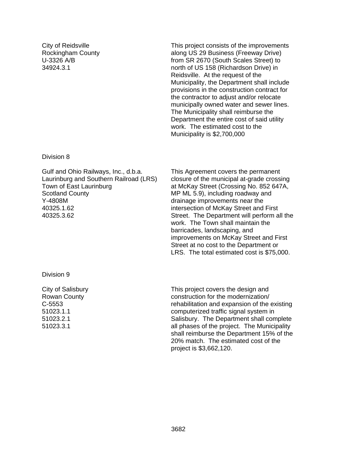City of Reidsville Rockingham County U-3326 A/B 34924.3.1

This project consists of the improvements along US 29 Business (Freeway Drive) from SR 2670 (South Scales Street) to north of US 158 (Richardson Drive) in Reidsville. At the request of the Municipality, the Department shall include provisions in the construction contract for the contractor to adjust and/or relocate municipally owned water and sewer lines. The Municipality shall reimburse the Department the entire cost of said utility work. The estimated cost to the Municipality is \$2,700,000

#### Division 8

Gulf and Ohio Railways, Inc., d.b.a. Laurinburg and Southern Railroad (LRS) Town of East Laurinburg Scotland County Y-4808M 40325.1.62 40325.3.62

This Agreement covers the permanent closure of the municipal at-grade crossing at McKay Street (Crossing No. 852 647A, MP ML 5.9), including roadway and drainage improvements near the intersection of McKay Street and First Street. The Department will perform all the work. The Town shall maintain the barricades, landscaping, and improvements on McKay Street and First Street at no cost to the Department or LRS. The total estimated cost is \$75,000.

Division 9

City of Salisbury Rowan County C-5553 51023.1.1 51023.2.1 51023.3.1

This project covers the design and construction for the modernization/ rehabilitation and expansion of the existing computerized traffic signal system in Salisbury. The Department shall complete all phases of the project. The Municipality shall reimburse the Department 15% of the 20% match. The estimated cost of the project is \$3,662,120.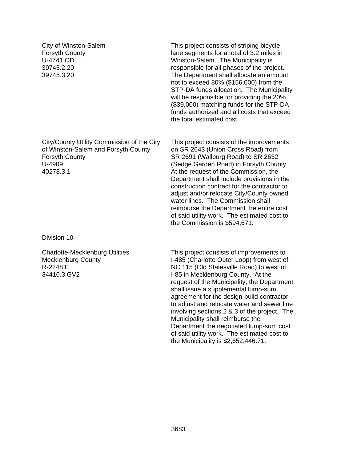City of Winston-Salem Forsyth County U-4741 OD 39745.2.20 39745.3.20

City/County Utility Commission of the City of Winston-Salem and Forsyth County Forsyth County U-4909 40278.3.1

Division 10

Charlotte-Mecklenburg Utilities Mecklenburg County R-2248 E 34410.3.GV2

This project consists of striping bicycle lane segments for a total of 3.2 miles in Winston-Salem. The Municipality is responsible for all phases of the project. The Department shall allocate an amount not to exceed 80% (\$156,000) from the STP-DA funds allocation. The Municipality will be responsible for providing the 20% (\$39,000) matching funds for the STP-DA funds authorized and all costs that exceed the total estimated cost.

This project consists of the improvements on SR 2643 (Union Cross Road) from SR 2691 (Wallburg Road) to SR 2632 (Sedge Garden Road) in Forsyth County. At the request of the Commission, the Department shall include provisions in the construction contract for the contractor to adiust and/or relocate City/County owned water lines. The Commission shall reimburse the Department the entire cost of said utility work. The estimated cost to the Commission is \$594,671.

This project consists of improvements to I-485 (Charlotte Outer Loop) from west of NC 115 (Old Statesville Road) to west of I-85 in Mecklenburg County. At the request of the Municipality, the Department shall issue a supplemental lump-sum agreement for the design-build contractor to adjust and relocate water and sewer line involving sections 2 & 3 of the project. The Municipality shall reimburse the Department the negotiated lump-sum cost of said utility work. The estimated cost to the Municipality is \$2,652,446.71.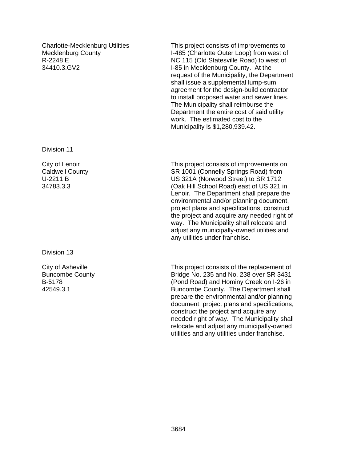Charlotte-Mecklenburg Utilities Mecklenburg County R-2248 E 34410.3.GV2

Division 11

City of Lenoir Caldwell County U-2211 B 34783.3.3

Division 13

City of Asheville Buncombe County B-5178 42549.3.1

This project consists of improvements to I-485 (Charlotte Outer Loop) from west of NC 115 (Old Statesville Road) to west of I-85 in Mecklenburg County. At the request of the Municipality, the Department shall issue a supplemental lump-sum agreement for the design-build contractor to install proposed water and sewer lines. The Municipality shall reimburse the Department the entire cost of said utility work. The estimated cost to the Municipality is \$1,280,939.42.

This project consists of improvements on SR 1001 (Connelly Springs Road) from US 321A (Norwood Street) to SR 1712 (Oak Hill School Road) east of US 321 in Lenoir. The Department shall prepare the environmental and/or planning document, project plans and specifications, construct the project and acquire any needed right of way. The Municipality shall relocate and adjust any municipally-owned utilities and any utilities under franchise.

This project consists of the replacement of Bridge No. 235 and No. 238 over SR 3431 (Pond Road) and Hominy Creek on I-26 in Buncombe County. The Department shall prepare the environmental and/or planning document, project plans and specifications, construct the project and acquire any needed right of way. The Municipality shall relocate and adjust any municipally-owned utilities and any utilities under franchise.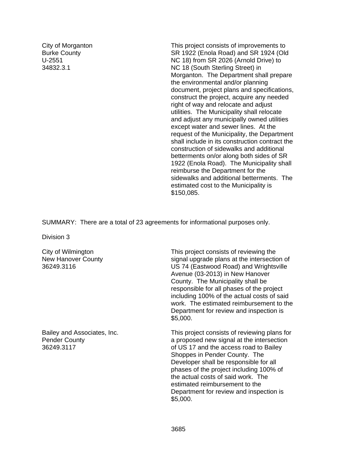City of Morganton Burke County U-2551 34832.3.1

This project consists of improvements to SR 1922 (Enola Road) and SR 1924 (Old NC 18) from SR 2026 (Arnold Drive) to NC 18 (South Sterling Street) in Morganton. The Department shall prepare the environmental and/or planning document, project plans and specifications, construct the project, acquire any needed right of way and relocate and adjust utilities. The Municipality shall relocate and adjust any municipally owned utilities except water and sewer lines. At the request of the Municipality, the Department shall include in its construction contract the construction of sidewalks and additional betterments on/or along both sides of SR 1922 (Enola Road). The Municipality shall reimburse the Department for the sidewalks and additional betterments. The estimated cost to the Municipality is \$150,085.

SUMMARY: There are a total of 23 agreements for informational purposes only.

Division 3

City of Wilmington New Hanover County 36249.3116

Bailey and Associates, Inc. Pender County 36249.3117

This project consists of reviewing the signal upgrade plans at the intersection of US 74 (Eastwood Road) and Wrightsville Avenue (03-2013) in New Hanover County. The Municipality shall be responsible for all phases of the project including 100% of the actual costs of said work. The estimated reimbursement to the Department for review and inspection is \$5,000.

This project consists of reviewing plans for a proposed new signal at the intersection of US 17 and the access road to Bailey Shoppes in Pender County. The Developer shall be responsible for all phases of the project including 100% of the actual costs of said work. The estimated reimbursement to the Department for review and inspection is \$5,000.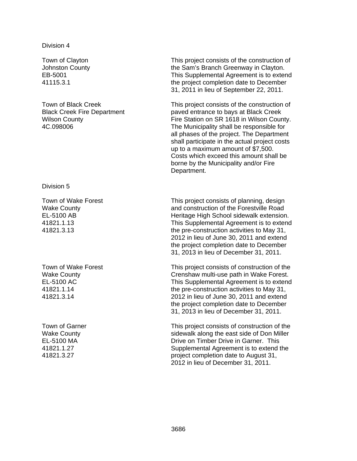#### Division 4

Town of Clayton Johnston County EB-5001 41115.3.1

Town of Black Creek Black Creek Fire Department Wilson County 4C.098006

Division 5

Town of Wake Forest Wake County EL-5100 AB 41821.1.13 41821.3.13

Town of Wake Forest Wake County EL-5100 AC 41821.1.14 41821.3.14

Town of Garner Wake County EL-5100 MA 41821.1.27 41821.3.27

This project consists of the construction of the Sam's Branch Greenway in Clayton. This Supplemental Agreement is to extend the project completion date to December 31, 2011 in lieu of September 22, 2011.

This project consists of the construction of paved entrance to bays at Black Creek Fire Station on SR 1618 in Wilson County. The Municipality shall be responsible for all phases of the project. The Department shall participate in the actual project costs up to a maximum amount of \$7,500. Costs which exceed this amount shall be borne by the Municipality and/or Fire Department.

This project consists of planning, design and construction of the Forestville Road Heritage High School sidewalk extension. This Supplemental Agreement is to extend the pre-construction activities to May 31, 2012 in lieu of June 30, 2011 and extend the project completion date to December 31, 2013 in lieu of December 31, 2011.

This project consists of construction of the Crenshaw multi-use path in Wake Forest. This Supplemental Agreement is to extend the pre-construction activities to May 31, 2012 in lieu of June 30, 2011 and extend the project completion date to December 31, 2013 in lieu of December 31, 2011.

This project consists of construction of the sidewalk along the east side of Don Miller Drive on Timber Drive in Garner. This Supplemental Agreement is to extend the project completion date to August 31, 2012 in lieu of December 31, 2011.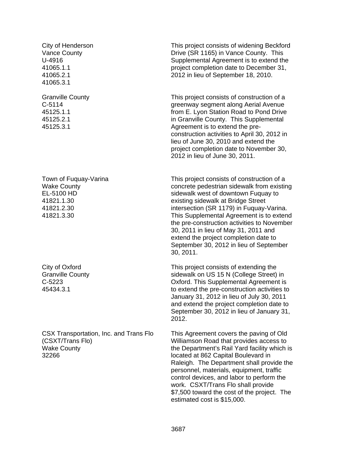City of Henderson Vance County U-4916 41065.1.1 41065.2.1 41065.3.1

Granville County C-5114 45125.1.1 45125.2.1 45125.3.1

Town of Fuquay-Varina Wake County EL-5100 HD 41821.1.30 41821.2.30 41821.3.30

City of Oxford Granville County C-5223 45434.3.1

CSX Transportation, Inc. and Trans Flo (CSXT/Trans Flo) Wake County 32266

This project consists of widening Beckford Drive (SR 1165) in Vance County. This Supplemental Agreement is to extend the project completion date to December 31, 2012 in lieu of September 18, 2010.

This project consists of construction of a greenway segment along Aerial Avenue from E. Lyon Station Road to Pond Drive in Granville County. This Supplemental Agreement is to extend the preconstruction activities to April 30, 2012 in lieu of June 30, 2010 and extend the project completion date to November 30, 2012 in lieu of June 30, 2011.

This project consists of construction of a concrete pedestrian sidewalk from existing sidewalk west of downtown Fuquay to existing sidewalk at Bridge Street intersection (SR 1179) in Fuquay-Varina. This Supplemental Agreement is to extend the pre-construction activities to November 30, 2011 in lieu of May 31, 2011 and extend the project completion date to September 30, 2012 in lieu of September 30, 2011.

This project consists of extending the sidewalk on US 15 N (College Street) in Oxford. This Supplemental Agreement is to extend the pre-construction activities to January 31, 2012 in lieu of July 30, 2011 and extend the project completion date to September 30, 2012 in lieu of January 31, 2012.

This Agreement covers the paving of Old Williamson Road that provides access to the Department's Rail Yard facility which is located at 862 Capital Boulevard in Raleigh. The Department shall provide the personnel, materials, equipment, traffic control devices, and labor to perform the work. CSXT/Trans Flo shall provide \$7,500 toward the cost of the project. The estimated cost is \$15,000.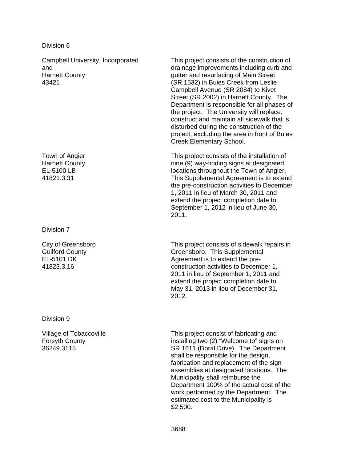Division 6

Campbell University, Incorporated and Harnett County 43421

Town of Angier Harnett County EL-5100 LB 41821.3.31

Division 7

City of Greensboro Guilford County EL-5101 DK 41823.3.16

Division 9

Village of Tobaccoville Forsyth County 36249.3115

This project consists of the construction of drainage improvements including curb and gutter and resurfacing of Main Street (SR 1532) in Buies Creek from Leslie Campbell Avenue (SR 2084) to Kivet Street (SR 2002) in Harnett County. The Department is responsible for all phases of the project. The University will replace, construct and maintain all sidewalk that is disturbed during the construction of the project, excluding the area in front of Buies Creek Elementary School.

This project consists of the installation of nine (9) way-finding signs at designated locations throughout the Town of Angier. This Supplemental Agreement is to extend the pre-construction activities to December 1, 2011 in lieu of March 30, 2011 and extend the project completion date to September 1, 2012 in lieu of June 30, 2011.

This project consists of sidewalk repairs in Greensboro. This Supplemental Agreement is to extend the preconstruction activities to December 1, 2011 in lieu of September 1, 2011 and extend the project completion date to May 31, 2013 in lieu of December 31, 2012.

This project consist of fabricating and installing two (2) "Welcome to" signs on SR 1611 (Doral Drive). The Department shall be responsible for the design, fabrication and replacement of the sign assemblies at designated locations. The Municipality shall reimburse the Department 100% of the actual cost of the work performed by the Department. The estimated cost to the Municipality is \$2,500.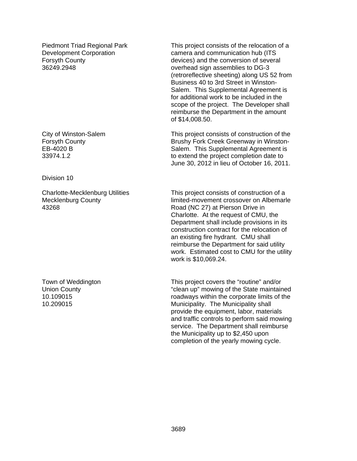Piedmont Triad Regional Park Development Corporation Forsyth County 36249.2948

City of Winston-Salem Forsyth County EB-4020 B 33974.1.2

Division 10

Charlotte-Mecklenburg Utilities Mecklenburg County 43268

Town of Weddington Union County 10.109015 10.209015

This project consists of the relocation of a camera and communication hub (ITS devices) and the conversion of several overhead sign assemblies to DG-3 (retroreflective sheeting) along US 52 from Business 40 to 3rd Street in Winston-Salem. This Supplemental Agreement is for additional work to be included in the scope of the project. The Developer shall reimburse the Department in the amount of \$14,008.50.

This project consists of construction of the Brushy Fork Creek Greenway in Winston-Salem. This Supplemental Agreement is to extend the project completion date to June 30, 2012 in lieu of October 16, 2011.

This project consists of construction of a limited-movement crossover on Albemarle Road (NC 27) at Pierson Drive in Charlotte. At the request of CMU, the Department shall include provisions in its construction contract for the relocation of an existing fire hydrant. CMU shall reimburse the Department for said utility work. Estimated cost to CMU for the utility work is \$10,069.24.

This project covers the "routine" and/or "clean up" mowing of the State maintained roadways within the corporate limits of the Municipality. The Municipality shall provide the equipment, labor, materials and traffic controls to perform said mowing service. The Department shall reimburse the Municipality up to \$2,450 upon completion of the yearly mowing cycle.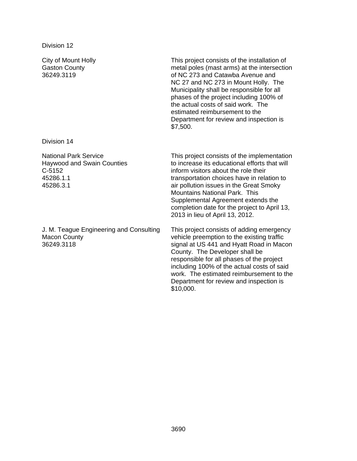Division 14

C-5152 45286.1.1 45286.3.1

National Park Service

Haywood and Swain Counties

City of Mount Holly Gaston County 36249.3119

This project consists of the installation of metal poles (mast arms) at the intersection of NC 273 and Catawba Avenue and NC 27 and NC 273 in Mount Holly. The Municipality shall be responsible for all phases of the project including 100% of the actual costs of said work. The estimated reimbursement to the Department for review and inspection is \$7,500.

This project consists of the implementation to increase its educational efforts that will inform visitors about the role their transportation choices have in relation to air pollution issues in the Great Smoky Mountains National Park. This Supplemental Agreement extends the completion date for the project to April 13, 2013 in lieu of April 13, 2012.

J. M. Teague Engineering and Consulting Macon County 36249.3118

This project consists of adding emergency vehicle preemption to the existing traffic signal at US 441 and Hyatt Road in Macon County. The Developer shall be responsible for all phases of the project including 100% of the actual costs of said work. The estimated reimbursement to the Department for review and inspection is \$10,000.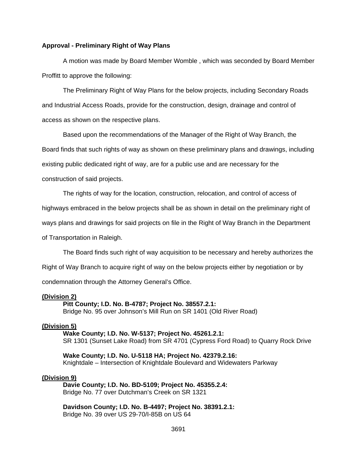#### **Approval - Preliminary Right of Way Plans**

 A motion was made by Board Member Womble , which was seconded by Board Member Proffitt to approve the following:

 The Preliminary Right of Way Plans for the below projects, including Secondary Roads and Industrial Access Roads, provide for the construction, design, drainage and control of access as shown on the respective plans.

Based upon the recommendations of the Manager of the Right of Way Branch, the

Board finds that such rights of way as shown on these preliminary plans and drawings, including

existing public dedicated right of way, are for a public use and are necessary for the

construction of said projects.

The rights of way for the location, construction, relocation, and control of access of

highways embraced in the below projects shall be as shown in detail on the preliminary right of

ways plans and drawings for said projects on file in the Right of Way Branch in the Department

of Transportation in Raleigh.

The Board finds such right of way acquisition to be necessary and hereby authorizes the

Right of Way Branch to acquire right of way on the below projects either by negotiation or by

condemnation through the Attorney General's Office.

#### **(Division 2)**

 **Pitt County; I.D. No. B-4787; Project No. 38557.2.1:** 

Bridge No. 95 over Johnson's Mill Run on SR 1401 (Old River Road)

## **(Division 5)**

 **Wake County; I.D. No. W-5137; Project No. 45261.2.1:**  SR 1301 (Sunset Lake Road) from SR 4701 (Cypress Ford Road) to Quarry Rock Drive

**Wake County; I.D. No. U-5118 HA; Project No. 42379.2.16:**  Knightdale – Intersection of Knightdale Boulevard and Widewaters Parkway

#### **(Division 9)**

 **Davie County; I.D. No. BD-5109; Project No. 45355.2.4:**  Bridge No. 77 over Dutchman's Creek on SR 1321

**Davidson County; I.D. No. B-4497; Project No. 38391.2.1:**  Bridge No. 39 over US 29-70/I-85B on US 64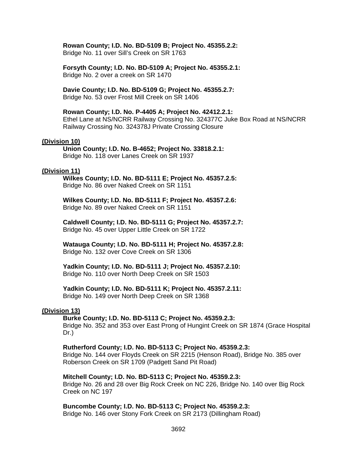## **Rowan County; I.D. No. BD-5109 B; Project No. 45355.2.2:**

Bridge No. 11 over Sill's Creek on SR 1763

**Forsyth County; I.D. No. BD-5109 A; Project No. 45355.2.1:**  Bridge No. 2 over a creek on SR 1470

**Davie County; I.D. No. BD-5109 G; Project No. 45355.2.7:**  Bridge No. 53 over Frost Mill Creek on SR 1406

#### **Rowan County; I.D. No. P-4405 A; Project No. 42412.2.1:**

Ethel Lane at NS/NCRR Railway Crossing No. 324377C Juke Box Road at NS/NCRR Railway Crossing No. 324378J Private Crossing Closure

#### **(Division 10)**

 **Union County; I.D. No. B-4652; Project No. 33818.2.1:**  Bridge No. 118 over Lanes Creek on SR 1937

#### **(Division 11)**

 **Wilkes County; I.D. No. BD-5111 E; Project No. 45357.2.5:**  Bridge No. 86 over Naked Creek on SR 1151

 **Wilkes County; I.D. No. BD-5111 F; Project No. 45357.2.6:**  Bridge No. 89 over Naked Creek on SR 1151

**Caldwell County; I.D. No. BD-5111 G; Project No. 45357.2.7:**  Bridge No. 45 over Upper Little Creek on SR 1722

**Watauga County; I.D. No. BD-5111 H; Project No. 45357.2.8:**  Bridge No. 132 over Cove Creek on SR 1306

**Yadkin County; I.D. No. BD-5111 J; Project No. 45357.2.10:**  Bridge No. 110 over North Deep Creek on SR 1503

#### **Yadkin County; I.D. No. BD-5111 K; Project No. 45357.2.11:**

Bridge No. 149 over North Deep Creek on SR 1368

### **(Division 13)**

**Burke County; I.D. No. BD-5113 C; Project No. 45359.2.3:** 

Bridge No. 352 and 353 over East Prong of Hungint Creek on SR 1874 (Grace Hospital Dr.)

#### **Rutherford County; I.D. No. BD-5113 C; Project No. 45359.2.3:**

Bridge No. 144 over Floyds Creek on SR 2215 (Henson Road), Bridge No. 385 over Roberson Creek on SR 1709 (Padgett Sand Pit Road)

#### **Mitchell County; I.D. No. BD-5113 C; Project No. 45359.2.3:**

Bridge No. 26 and 28 over Big Rock Creek on NC 226, Bridge No. 140 over Big Rock Creek on NC 197

#### **Buncombe County; I.D. No. BD-5113 C; Project No. 45359.2.3:**

Bridge No. 146 over Stony Fork Creek on SR 2173 (Dillingham Road)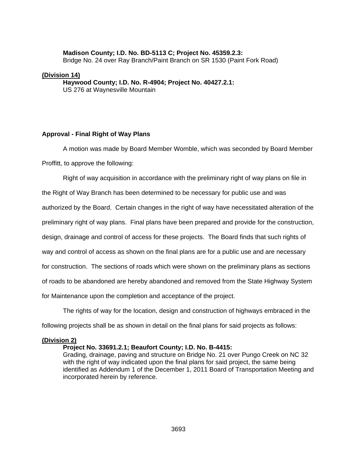#### **Madison County; I.D. No. BD-5113 C; Project No. 45359.2.3:**

Bridge No. 24 over Ray Branch/Paint Branch on SR 1530 (Paint Fork Road)

#### **(Division 14)**

 **Haywood County; I.D. No. R-4904; Project No. 40427.2.1:**  US 276 at Waynesville Mountain

#### **Approval - Final Right of Way Plans**

 A motion was made by Board Member Womble, which was seconded by Board Member Proffitt, to approve the following:

Right of way acquisition in accordance with the preliminary right of way plans on file in the Right of Way Branch has been determined to be necessary for public use and was authorized by the Board. Certain changes in the right of way have necessitated alteration of the preliminary right of way plans. Final plans have been prepared and provide for the construction, design, drainage and control of access for these projects. The Board finds that such rights of way and control of access as shown on the final plans are for a public use and are necessary for construction. The sections of roads which were shown on the preliminary plans as sections of roads to be abandoned are hereby abandoned and removed from the State Highway System for Maintenance upon the completion and acceptance of the project.

 The rights of way for the location, design and construction of highways embraced in the following projects shall be as shown in detail on the final plans for said projects as follows:

#### **(Division 2)**

#### **Project No. 33691.2.1; Beaufort County; I.D. No. B-4415:**

Grading, drainage, paving and structure on Bridge No. 21 over Pungo Creek on NC 32 with the right of way indicated upon the final plans for said project, the same being identified as Addendum 1 of the December 1, 2011 Board of Transportation Meeting and incorporated herein by reference.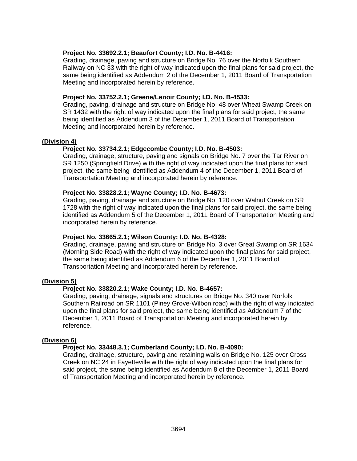### **Project No. 33692.2.1; Beaufort County; I.D. No. B-4416:**

Grading, drainage, paving and structure on Bridge No. 76 over the Norfolk Southern Railway on NC 33 with the right of way indicated upon the final plans for said project, the same being identified as Addendum 2 of the December 1, 2011 Board of Transportation Meeting and incorporated herein by reference.

### **Project No. 33752.2.1; Greene/Lenoir County; I.D. No. B-4533:**

Grading, paving, drainage and structure on Bridge No. 48 over Wheat Swamp Creek on SR 1432 with the right of way indicated upon the final plans for said project, the same being identified as Addendum 3 of the December 1, 2011 Board of Transportation Meeting and incorporated herein by reference.

## **(Division 4)**

## **Project No. 33734.2.1; Edgecombe County; I.D. No. B-4503:**

Grading, drainage, structure, paving and signals on Bridge No. 7 over the Tar River on SR 1250 (Springfield Drive) with the right of way indicated upon the final plans for said project, the same being identified as Addendum 4 of the December 1, 2011 Board of Transportation Meeting and incorporated herein by reference.

## **Project No. 33828.2.1; Wayne County; I.D. No. B-4673:**

Grading, paving, drainage and structure on Bridge No. 120 over Walnut Creek on SR 1728 with the right of way indicated upon the final plans for said project, the same being identified as Addendum 5 of the December 1, 2011 Board of Transportation Meeting and incorporated herein by reference.

#### **Project No. 33665.2.1; Wilson County; I.D. No. B-4328:**

Grading, drainage, paving and structure on Bridge No. 3 over Great Swamp on SR 1634 (Morning Side Road) with the right of way indicated upon the final plans for said project, the same being identified as Addendum 6 of the December 1, 2011 Board of Transportation Meeting and incorporated herein by reference.

## **(Division 5)**

## **Project No. 33820.2.1; Wake County; I.D. No. B-4657:**

Grading, paving, drainage, signals and structures on Bridge No. 340 over Norfolk Southern Railroad on SR 1101 (Piney Grove-Wilbon road) with the right of way indicated upon the final plans for said project, the same being identified as Addendum 7 of the December 1, 2011 Board of Transportation Meeting and incorporated herein by reference.

#### **(Division 6)**

#### **Project No. 33448.3.1; Cumberland County; I.D. No. B-4090:**

Grading, drainage, structure, paving and retaining walls on Bridge No. 125 over Cross Creek on NC 24 in Fayetteville with the right of way indicated upon the final plans for said project, the same being identified as Addendum 8 of the December 1, 2011 Board of Transportation Meeting and incorporated herein by reference.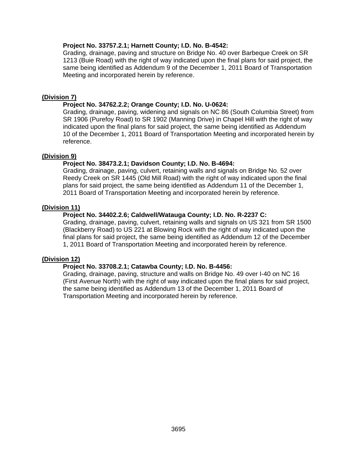## **Project No. 33757.2.1; Harnett County; I.D. No. B-4542:**

Grading, drainage, paving and structure on Bridge No. 40 over Barbeque Creek on SR 1213 (Buie Road) with the right of way indicated upon the final plans for said project, the same being identified as Addendum 9 of the December 1, 2011 Board of Transportation Meeting and incorporated herein by reference.

## **(Division 7)**

## **Project No. 34762.2.2; Orange County; I.D. No. U-0624:**

Grading, drainage, paving, widening and signals on NC 86 (South Columbia Street) from SR 1906 (Purefoy Road) to SR 1902 (Manning Drive) in Chapel Hill with the right of way indicated upon the final plans for said project, the same being identified as Addendum 10 of the December 1, 2011 Board of Transportation Meeting and incorporated herein by reference.

## **(Division 9)**

## **Project No. 38473.2.1; Davidson County; I.D. No. B-4694:**

Grading, drainage, paving, culvert, retaining walls and signals on Bridge No. 52 over Reedy Creek on SR 1445 (Old Mill Road) with the right of way indicated upon the final plans for said project, the same being identified as Addendum 11 of the December 1, 2011 Board of Transportation Meeting and incorporated herein by reference.

## **(Division 11)**

## **Project No. 34402.2.6; Caldwell/Watauga County; I.D. No. R-2237 C:**

Grading, drainage, paving, culvert, retaining walls and signals on US 321 from SR 1500 (Blackberry Road) to US 221 at Blowing Rock with the right of way indicated upon the final plans for said project, the same being identified as Addendum 12 of the December 1, 2011 Board of Transportation Meeting and incorporated herein by reference.

## **(Division 12)**

### **Project No. 33708.2.1; Catawba County; I.D. No. B-4456:**

Grading, drainage, paving, structure and walls on Bridge No. 49 over I-40 on NC 16 (First Avenue North) with the right of way indicated upon the final plans for said project, the same being identified as Addendum 13 of the December 1, 2011 Board of Transportation Meeting and incorporated herein by reference.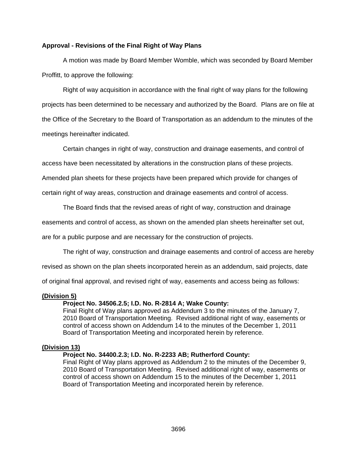## **Approval - Revisions of the Final Right of Way Plans**

 A motion was made by Board Member Womble, which was seconded by Board Member Proffitt, to approve the following:

Right of way acquisition in accordance with the final right of way plans for the following projects has been determined to be necessary and authorized by the Board. Plans are on file at the Office of the Secretary to the Board of Transportation as an addendum to the minutes of the meetings hereinafter indicated.

Certain changes in right of way, construction and drainage easements, and control of

access have been necessitated by alterations in the construction plans of these projects.

Amended plan sheets for these projects have been prepared which provide for changes of

certain right of way areas, construction and drainage easements and control of access.

The Board finds that the revised areas of right of way, construction and drainage

easements and control of access, as shown on the amended plan sheets hereinafter set out,

are for a public purpose and are necessary for the construction of projects.

The right of way, construction and drainage easements and control of access are hereby

revised as shown on the plan sheets incorporated herein as an addendum, said projects, date

of original final approval, and revised right of way, easements and access being as follows:

#### **(Division 5)**

#### **Project No. 34506.2.5; I.D. No. R-2814 A; Wake County:**

Final Right of Way plans approved as Addendum 3 to the minutes of the January 7, 2010 Board of Transportation Meeting. Revised additional right of way, easements or control of access shown on Addendum 14 to the minutes of the December 1, 2011 Board of Transportation Meeting and incorporated herein by reference.

#### **(Division 13)**

#### **Project No. 34400.2.3; I.D. No. R-2233 AB; Rutherford County:**

Final Right of Way plans approved as Addendum 2 to the minutes of the December 9, 2010 Board of Transportation Meeting. Revised additional right of way, easements or control of access shown on Addendum 15 to the minutes of the December 1, 2011 Board of Transportation Meeting and incorporated herein by reference.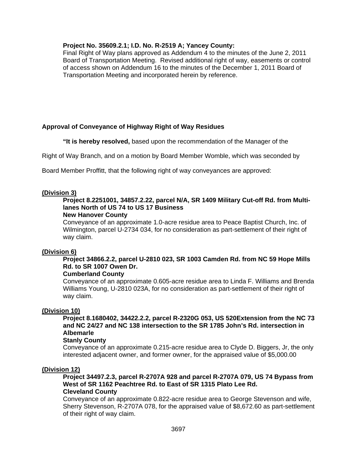## **Project No. 35609.2.1; I.D. No. R-2519 A; Yancey County:**

Final Right of Way plans approved as Addendum 4 to the minutes of the June 2, 2011 Board of Transportation Meeting. Revised additional right of way, easements or control of access shown on Addendum 16 to the minutes of the December 1, 2011 Board of Transportation Meeting and incorporated herein by reference.

## **Approval of Conveyance of Highway Right of Way Residues**

 **"It is hereby resolved,** based upon the recommendation of the Manager of the

Right of Way Branch, and on a motion by Board Member Womble, which was seconded by

Board Member Proffitt, that the following right of way conveyances are approved:

#### **(Division 3)**

## **Project 8.2251001, 34857.2.22, parcel N/A, SR 1409 Military Cut-off Rd. from Multilanes North of US 74 to US 17 Business**

# **New Hanover County**

Conveyance of an approximate 1.0-acre residue area to Peace Baptist Church, Inc. of Wilmington, parcel U-2734 034, for no consideration as part-settlement of their right of way claim.

#### **(Division 6)**

## **Project 34866.2.2, parcel U-2810 023, SR 1003 Camden Rd. from NC 59 Hope Mills Rd. to SR 1007 Owen Dr.**

## **Cumberland County**

Conveyance of an approximate 0.605-acre residue area to Linda F. Williams and Brenda Williams Young, U-2810 023A, for no consideration as part-settlement of their right of way claim.

#### **(Division 10)**

## **Project 8.1680402, 34422.2.2, parcel R-2320G 053, US 520Extension from the NC 73 and NC 24/27 and NC 138 intersection to the SR 1785 John's Rd. intersection in Albemarle**

## **Stanly County**

Conveyance of an approximate 0.215-acre residue area to Clyde D. Biggers, Jr, the only interested adjacent owner, and former owner, for the appraised value of \$5,000.00

#### **(Division 12)**

#### **Project 34497.2.3, parcel R-2707A 928 and parcel R-2707A 079, US 74 Bypass from West of SR 1162 Peachtree Rd. to East of SR 1315 Plato Lee Rd. Cleveland County**

Conveyance of an approximate 0.822-acre residue area to George Stevenson and wife, Sherry Stevenson, R-2707A 078, for the appraised value of \$8,672.60 as part-settlement of their right of way claim.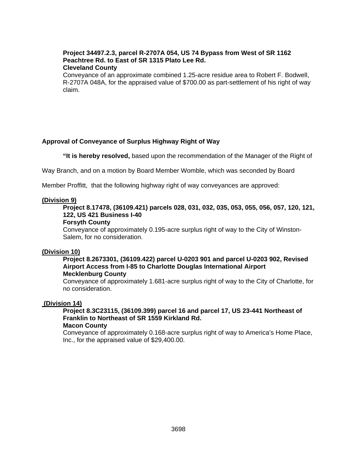#### **Project 34497.2.3, parcel R-2707A 054, US 74 Bypass from West of SR 1162 Peachtree Rd. to East of SR 1315 Plato Lee Rd. Cleveland County**

Conveyance of an approximate combined 1.25-acre residue area to Robert F. Bodwell, R-2707A 048A, for the appraised value of \$700.00 as part-settlement of his right of way claim.

## **Approval of Conveyance of Surplus Highway Right of Way**

 **"It is hereby resolved,** based upon the recommendation of the Manager of the Right of

Way Branch, and on a motion by Board Member Womble, which was seconded by Board

Member Proffitt, that the following highway right of way conveyances are approved:

#### **(Division 9)**

**Project 8.17478, (36109.421) parcels 028, 031, 032, 035, 053, 055, 056, 057, 120, 121, 122, US 421 Business I-40** 

#### **Forsyth County**

Conveyance of approximately 0.195-acre surplus right of way to the City of Winston-Salem, for no consideration.

### **(Division 10)**

#### **Project 8.2673301, (36109.422) parcel U-0203 901 and parcel U-0203 902, Revised Airport Access from I-85 to Charlotte Douglas International Airport Mecklenburg County**

Conveyance of approximately 1.681-acre surplus right of way to the City of Charlotte, for no consideration.

#### **(Division 14)**

#### **Project 8.3C23115, (36109.399) parcel 16 and parcel 17, US 23-441 Northeast of Franklin to Northeast of SR 1559 Kirkland Rd. Macon County**

Conveyance of approximately 0.168-acre surplus right of way to America's Home Place, Inc., for the appraised value of \$29,400.00.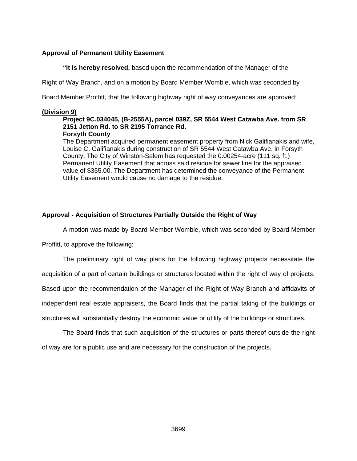## **Approval of Permanent Utility Easement**

 **"It is hereby resolved,** based upon the recommendation of the Manager of the

Right of Way Branch, and on a motion by Board Member Womble, which was seconded by

Board Member Proffitt, that the following highway right of way conveyances are approved:

### **(Division 9)**

## **Project 9C.034045, (B-2555A), parcel 039Z, SR 5544 West Catawba Ave. from SR 2151 Jetton Rd. to SR 2195 Torrance Rd.**

## **Forsyth County**

The Department acquired permanent easement property from Nick Galifianakis and wife, Louise C. Galifianakis during construction of SR 5544 West Catawba Ave. in Forsyth County. The City of Winston-Salem has requested the 0.00254-acre (111 sq. ft.) Permanent Utility Easement that across said residue for sewer line for the appraised value of \$355.00. The Department has determined the conveyance of the Permanent Utility Easement would cause no damage to the residue.

## **Approval - Acquisition of Structures Partially Outside the Right of Way**

A motion was made by Board Member Womble, which was seconded by Board Member

Proffitt, to approve the following:

The preliminary right of way plans for the following highway projects necessitate the

acquisition of a part of certain buildings or structures located within the right of way of projects.

Based upon the recommendation of the Manager of the Right of Way Branch and affidavits of

independent real estate appraisers, the Board finds that the partial taking of the buildings or

structures will substantially destroy the economic value or utility of the buildings or structures.

 The Board finds that such acquisition of the structures or parts thereof outside the right of way are for a public use and are necessary for the construction of the projects.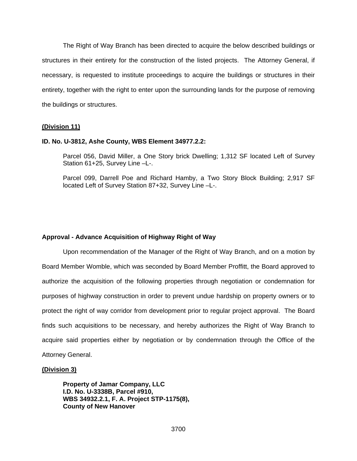The Right of Way Branch has been directed to acquire the below described buildings or structures in their entirety for the construction of the listed projects. The Attorney General, if necessary, is requested to institute proceedings to acquire the buildings or structures in their entirety, together with the right to enter upon the surrounding lands for the purpose of removing the buildings or structures.

#### **(Division 11)**

#### **ID. No. U-3812, Ashe County, WBS Element 34977.2.2:**

Parcel 056, David Miller, a One Story brick Dwelling; 1,312 SF located Left of Survey Station 61+25, Survey Line –L-.

Parcel 099, Darrell Poe and Richard Hamby, a Two Story Block Building; 2,917 SF located Left of Survey Station 87+32, Survey Line –L-.

## **Approval - Advance Acquisition of Highway Right of Way**

 Upon recommendation of the Manager of the Right of Way Branch, and on a motion by Board Member Womble, which was seconded by Board Member Proffitt, the Board approved to authorize the acquisition of the following properties through negotiation or condemnation for purposes of highway construction in order to prevent undue hardship on property owners or to protect the right of way corridor from development prior to regular project approval. The Board finds such acquisitions to be necessary, and hereby authorizes the Right of Way Branch to acquire said properties either by negotiation or by condemnation through the Office of the Attorney General.

#### **(Division 3)**

**Property of Jamar Company, LLC I.D. No. U-3338B, Parcel #910, WBS 34932.2.1, F. A. Project STP-1175(8), County of New Hanover**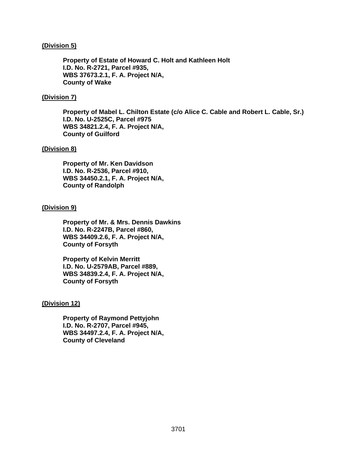### **(Division 5)**

**Property of Estate of Howard C. Holt and Kathleen Holt I.D. No. R-2721, Parcel #935, WBS 37673.2.1, F. A. Project N/A, County of Wake** 

### **(Division 7)**

**Property of Mabel L. Chilton Estate (c/o Alice C. Cable and Robert L. Cable, Sr.) I.D. No. U-2525C, Parcel #975 WBS 34821.2.4, F. A. Project N/A, County of Guilford** 

#### **(Division 8)**

**Property of Mr. Ken Davidson I.D. No. R-2536, Parcel #910, WBS 34450.2.1, F. A. Project N/A, County of Randolph** 

## **(Division 9)**

**Property of Mr. & Mrs. Dennis Dawkins I.D. No. R-2247B, Parcel #860, WBS 34409.2.6, F. A. Project N/A, County of Forsyth** 

**Property of Kelvin Merritt I.D. No. U-2579AB, Parcel #889, WBS 34839.2.4, F. A. Project N/A, County of Forsyth** 

## **(Division 12)**

**Property of Raymond Pettyjohn I.D. No. R-2707, Parcel #945, WBS 34497.2.4, F. A. Project N/A, County of Cleveland**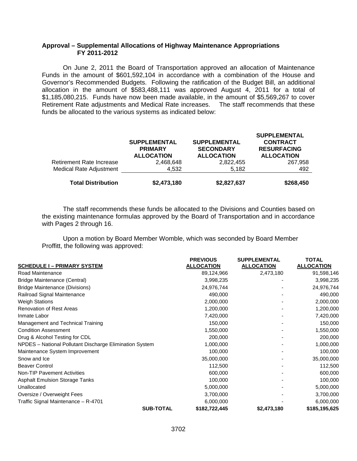## **Approval – Supplemental Allocations of Highway Maintenance Appropriations FY 2011-2012**

On June 2, 2011 the Board of Transportation approved an allocation of Maintenance Funds in the amount of \$601,592,104 in accordance with a combination of the House and Governor's Recommended Budgets. Following the ratification of the Budget Bill, an additional allocation in the amount of \$583,488,111 was approved August 4, 2011 for a total of \$1,185,080,215. Funds have now been made available, in the amount of \$5,569,267 to cover Retirement Rate adjustments and Medical Rate increases. The staff recommends that these funds be allocated to the various systems as indicated below:

|                                 | <b>SUPPLEMENTAL</b><br><b>PRIMARY</b><br><b>ALLOCATION</b> | <b>SUPPLEMENTAL</b><br><b>SECONDARY</b><br><b>ALLOCATION</b> | <b>SUPPLEMENTAL</b><br><b>CONTRACT</b><br><b>RESURFACING</b><br><b>ALLOCATION</b> |
|---------------------------------|------------------------------------------------------------|--------------------------------------------------------------|-----------------------------------------------------------------------------------|
| <b>Retirement Rate Increase</b> | 2,468,648                                                  | 2,822,455                                                    | 267,958                                                                           |
| Medical Rate Adjustment         | 4,532                                                      | 5.182                                                        | 492                                                                               |
| <b>Total Distribution</b>       | \$2,473,180                                                | \$2,827,637                                                  | \$268,450                                                                         |

The staff recommends these funds be allocated to the Divisions and Counties based on the existing maintenance formulas approved by the Board of Transportation and in accordance with Pages 2 through 16.

Upon a motion by Board Member Womble, which was seconded by Board Member Proffitt, the following was approved:

|                                                         | <b>PREVIOUS</b>   | <b>SUPPLEMENTAL</b> | <b>TOTAL</b>      |
|---------------------------------------------------------|-------------------|---------------------|-------------------|
| <b>SCHEDULE I - PRIMARY SYSTEM</b>                      | <b>ALLOCATION</b> | <b>ALLOCATION</b>   | <b>ALLOCATION</b> |
| Road Maintenance                                        | 89,124,966        | 2,473,180           | 91,598,146        |
| Bridge Maintenance (Central)                            | 3,998,235         |                     | 3,998,235         |
| <b>Bridge Maintenance (Divisions)</b>                   | 24,976,744        |                     | 24,976,744        |
| Railroad Signal Maintenance                             | 490,000           |                     | 490,000           |
| <b>Weigh Stations</b>                                   | 2,000,000         |                     | 2,000,000         |
| <b>Renovation of Rest Areas</b>                         | 1,200,000         |                     | 1,200,000         |
| Inmate Labor                                            | 7,420,000         |                     | 7,420,000         |
| Management and Technical Training                       | 150,000           |                     | 150,000           |
| <b>Condition Assessment</b>                             | 1,550,000         |                     | 1,550,000         |
| Drug & Alcohol Testing for CDL                          | 200,000           |                     | 200,000           |
| NPDES - National Pollutant Discharge Elimination System | 1,000,000         |                     | 1,000,000         |
| Maintenance System Improvement                          | 100,000           |                     | 100,000           |
| Snow and Ice                                            | 35,000,000        |                     | 35,000,000        |
| <b>Beaver Control</b>                                   | 112,500           |                     | 112,500           |
| <b>Non-TIP Pavement Activities</b>                      | 600,000           |                     | 600,000           |
| <b>Asphalt Emulsion Storage Tanks</b>                   | 100,000           |                     | 100,000           |
| Unallocated                                             | 5,000,000         |                     | 5,000,000         |
| Oversize / Overweight Fees                              | 3,700,000         |                     | 3,700,000         |
| Traffic Signal Maintenance - R-4701                     | 6,000,000         |                     | 6,000,000         |
| <b>SUB-TOTAL</b>                                        | \$182,722,445     | \$2,473,180         | \$185,195,625     |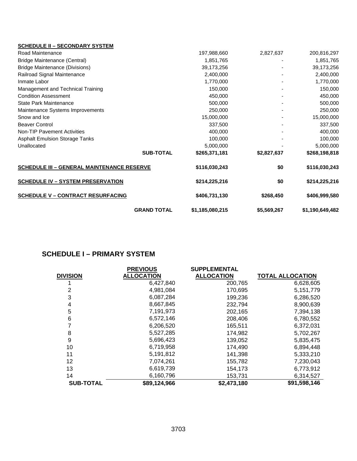| <b>SCHEDULE II - SECONDARY SYSTEM</b>             |                    |                 |             |                 |
|---------------------------------------------------|--------------------|-----------------|-------------|-----------------|
| Road Maintenance                                  |                    | 197,988,660     | 2,827,637   | 200,816,297     |
| <b>Bridge Maintenance (Central)</b>               |                    | 1,851,765       |             | 1,851,765       |
| <b>Bridge Maintenance (Divisions)</b>             |                    | 39,173,256      |             | 39,173,256      |
| Railroad Signal Maintenance                       |                    | 2,400,000       |             | 2,400,000       |
| Inmate Labor                                      |                    | 1,770,000       |             | 1,770,000       |
| Management and Technical Training                 |                    | 150,000         |             | 150,000         |
| <b>Condition Assessment</b>                       |                    | 450,000         |             | 450,000         |
| State Park Maintenance                            |                    | 500,000         |             | 500,000         |
| Maintenance Systems Improvements                  |                    | 250,000         |             | 250,000         |
| Snow and Ice                                      |                    | 15,000,000      |             | 15,000,000      |
| <b>Beaver Control</b>                             |                    | 337,500         |             | 337,500         |
| <b>Non-TIP Pavement Activities</b>                |                    | 400,000         |             | 400,000         |
| <b>Asphalt Emulsion Storage Tanks</b>             |                    | 100,000         |             | 100,000         |
| Unallocated                                       |                    | 5,000,000       |             | 5,000,000       |
|                                                   | <b>SUB-TOTAL</b>   | \$265,371,181   | \$2,827,637 | \$268,198,818   |
| <b>SCHEDULE III - GENERAL MAINTENANCE RESERVE</b> |                    | \$116,030,243   | \$0         | \$116,030,243   |
| <b>SCHEDULE IV - SYSTEM PRESERVATION</b>          |                    | \$214,225,216   | \$0         | \$214,225,216   |
| <b>SCHEDULE V - CONTRACT RESURFACING</b>          |                    | \$406,731,130   | \$268,450   | \$406,999,580   |
|                                                   | <b>GRAND TOTAL</b> | \$1,185,080,215 | \$5,569,267 | \$1,190,649,482 |

## **SCHEDULE I – PRIMARY SYSTEM**

|                  | <b>PREVIOUS</b>   | <b>SUPPLEMENTAL</b> |                         |
|------------------|-------------------|---------------------|-------------------------|
| DIVISION         | <b>ALLOCATION</b> | <b>ALLOCATION</b>   | <b>TOTAL ALLOCATION</b> |
|                  | 6,427,840         | 200,765             | 6,628,605               |
| 2                | 4,981,084         | 170,695             | 5, 151, 779             |
| 3                | 6,087,284         | 199,236             | 6,286,520               |
| 4                | 8,667,845         | 232,794             | 8,900,639               |
| 5                | 7,191,973         | 202,165             | 7,394,138               |
| 6                | 6,572,146         | 208,406             | 6,780,552               |
|                  | 6,206,520         | 165,511             | 6,372,031               |
| 8                | 5,527,285         | 174,982             | 5,702,267               |
| 9                | 5,696,423         | 139,052             | 5,835,475               |
| 10               | 6,719,958         | 174,490             | 6,894,448               |
| 11               | 5,191,812         | 141,398             | 5,333,210               |
| 12               | 7,074,261         | 155,782             | 7,230,043               |
| 13               | 6,619,739         | 154,173             | 6,773,912               |
| 14               | 6,160,796         | 153,731             | 6,314,527               |
| <b>SUB-TOTAL</b> | \$89,124,966      | \$2,473,180         | \$91,598,146            |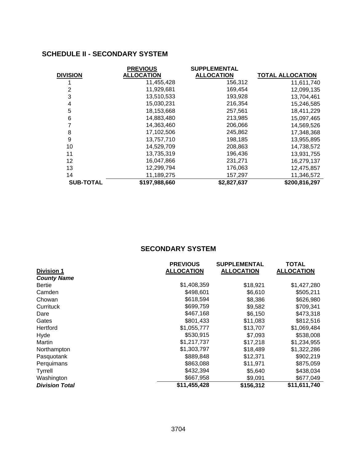## **SCHEDULE II - SECONDARY SYSTEM**

|                  | <b>PREVIOUS</b>   | <b>SUPPLEMENTAL</b> |                         |
|------------------|-------------------|---------------------|-------------------------|
| <b>DIVISION</b>  | <b>ALLOCATION</b> | <b>ALLOCATION</b>   | <b>TOTAL ALLOCATION</b> |
|                  | 11,455,428        | 156,312             | 11,611,740              |
| 2                | 11,929,681        | 169,454             | 12,099,135              |
| 3                | 13,510,533        | 193,928             | 13,704,461              |
| 4                | 15,030,231        | 216,354             | 15,246,585              |
| 5                | 18,153,668        | 257,561             | 18,411,229              |
| 6                | 14,883,480        | 213,985             | 15,097,465              |
|                  | 14,363,460        | 206,066             | 14,569,526              |
| 8                | 17,102,506        | 245,862             | 17,348,368              |
| 9                | 13,757,710        | 198,185             | 13,955,895              |
| 10               | 14,529,709        | 208,863             | 14,738,572              |
| 11               | 13,735,319        | 196,436             | 13,931,755              |
| 12               | 16,047,866        | 231,271             | 16,279,137              |
| 13               | 12,299,794        | 176,063             | 12,475,857              |
| 14               | 11,189,275        | 157,297             | 11,346,572              |
| <b>SUB-TOTAL</b> | \$197,988,660     | \$2,827,637         | \$200,816,297           |

## **SECONDARY SYSTEM**

|                       | <b>PREVIOUS</b>   | <b>SUPPLEMENTAL</b> | <b>TOTAL</b>      |
|-----------------------|-------------------|---------------------|-------------------|
| <b>Division 1</b>     | <b>ALLOCATION</b> | <b>ALLOCATION</b>   | <b>ALLOCATION</b> |
| <b>County Name</b>    |                   |                     |                   |
| <b>Bertie</b>         | \$1,408,359       | \$18,921            | \$1,427,280       |
| Camden                | \$498,601         | \$6,610             | \$505,211         |
| Chowan                | \$618,594         | \$8,386             | \$626,980         |
| Currituck             | \$699,759         | \$9,582             | \$709,341         |
| Dare                  | \$467,168         | \$6,150             | \$473,318         |
| Gates                 | \$801,433         | \$11,083            | \$812,516         |
| Hertford              | \$1,055,777       | \$13,707            | \$1,069,484       |
| Hyde                  | \$530,915         | \$7,093             | \$538,008         |
| Martin                | \$1,217,737       | \$17,218            | \$1,234,955       |
| Northampton           | \$1,303,797       | \$18,489            | \$1,322,286       |
| Pasquotank            | \$889,848         | \$12,371            | \$902,219         |
| Perquimans            | \$863,088         | \$11,971            | \$875,059         |
| Tyrrell               | \$432,394         | \$5,640             | \$438,034         |
| Washington            | \$667,958         | \$9,091             | \$677,049         |
| <b>Division Total</b> | \$11,455,428      | \$156,312           | \$11,611,740      |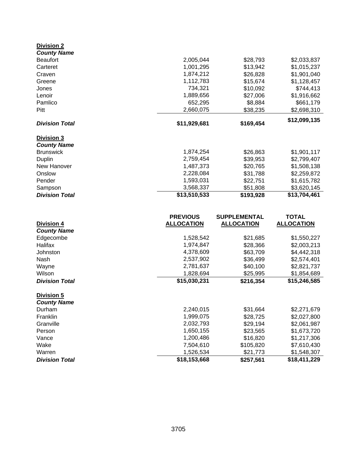| <b>Division 2</b>               |                           |                       |                             |
|---------------------------------|---------------------------|-----------------------|-----------------------------|
| <b>County Name</b>              |                           |                       |                             |
| <b>Beaufort</b>                 | 2,005,044                 | \$28,793              | \$2,033,837                 |
| Carteret                        | 1,001,295                 | \$13,942              | \$1,015,237                 |
| Craven                          | 1,874,212                 | \$26,828              | \$1,901,040                 |
| Greene                          | 1,112,783                 | \$15,674              | \$1,128,457                 |
| Jones                           | 734,321                   | \$10,092              | \$744,413                   |
| Lenoir                          | 1,889,656                 | \$27,006              | \$1,916,662                 |
| Pamlico                         | 652,295                   | \$8,884               | \$661,179                   |
| Pitt                            | 2,660,075                 | \$38,235              | \$2,698,310                 |
| <b>Division Total</b>           | \$11,929,681              | \$169,454             | \$12,099,135                |
| Division 3                      |                           |                       |                             |
| <b>County Name</b>              |                           |                       |                             |
| <b>Brunswick</b>                | 1,874,254                 | \$26,863              | \$1,901,117                 |
| Duplin                          | 2,759,454                 | \$39,953              | \$2,799,407                 |
| New Hanover                     | 1,487,373                 | \$20,765              | \$1,508,138                 |
| Onslow                          | 2,228,084                 | \$31,788              | \$2,259,872                 |
| Pender                          | 1,593,031                 | \$22,751              | \$1,615,782                 |
| Sampson                         | 3,568,337                 | \$51,808              | \$3,620,145                 |
| <b>Division Total</b>           | \$13,510,533              | \$193,928             | \$13,704,461                |
|                                 |                           |                       |                             |
|                                 | <b>PREVIOUS</b>           | <b>SUPPLEMENTAL</b>   | <b>TOTAL</b>                |
| <b>Division 4</b>               | <b>ALLOCATION</b>         | <b>ALLOCATION</b>     | <b>ALLOCATION</b>           |
| <b>County Name</b>              |                           |                       |                             |
| Edgecombe                       | 1,528,542                 | \$21,685              | \$1,550,227                 |
| Halifax                         | 1,974,847                 | \$28,366              | \$2,003,213                 |
| Johnston                        | 4,378,609                 | \$63,709              | \$4,442,318                 |
| Nash                            | 2,537,902                 | \$36,499              | \$2,574,401                 |
| Wayne                           | 2,781,637                 | \$40,100              | \$2,821,737                 |
| Wilson                          | 1,828,694                 | \$25,995              | \$1,854,689                 |
| <b>Division Total</b>           | \$15,030,231              | \$216,354             | \$15,246,585                |
| <b>Division 5</b>               |                           |                       |                             |
| <b>County Name</b>              |                           |                       |                             |
| Durham                          | 2,240,015                 | \$31,664              | \$2,271,679                 |
| Franklin                        | 1,999,075                 | \$28,725              | \$2,027,800                 |
| Granville                       | 2,032,793                 | \$29,194              | \$2,061,987                 |
| Person                          | 1,650,155                 | \$23,565              | \$1,673,720                 |
| Vance                           | 1,200,486                 | \$16,820              | \$1,217,306                 |
| Wake                            |                           |                       |                             |
|                                 | 7,504,610                 | \$105,820             | \$7,610,430                 |
| Warren<br><b>Division Total</b> | 1,526,534<br>\$18,153,668 | \$21,773<br>\$257,561 | \$1,548,307<br>\$18,411,229 |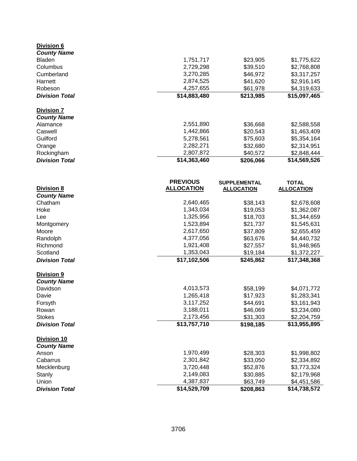| <b>Division 6</b>                        |                        |                      |                            |
|------------------------------------------|------------------------|----------------------|----------------------------|
| <b>County Name</b>                       |                        |                      |                            |
| <b>Bladen</b>                            | 1,751,717              | \$23,905             | \$1,775,622                |
| Columbus                                 | 2,729,298              | \$39,510             | \$2,768,808                |
| Cumberland                               | 3,270,285              | \$46,972             | \$3,317,257                |
| Harnett                                  | 2,874,525              | \$41,620             | \$2,916,145                |
| Robeson                                  | 4,257,655              | \$61,978             | \$4,319,633                |
| <b>Division Total</b>                    | \$14,883,480           | \$213,985            | \$15,097,465               |
| <b>Division 7</b>                        |                        |                      |                            |
| <b>County Name</b>                       |                        |                      |                            |
| Alamance                                 | 2,551,890              | \$36,668             | \$2,588,558                |
| Caswell                                  | 1,442,866              | \$20,543             | \$1,463,409                |
| Guilford                                 | 5,278,561              | \$75,603             | \$5,354,164                |
| Orange                                   | 2,282,271              | \$32,680             | \$2,314,951                |
| Rockingham                               | 2,807,872              | \$40,572             | \$2,848,444                |
| <b>Division Total</b>                    | \$14,363,460           | \$206,066            | \$14,569,526               |
|                                          |                        |                      |                            |
|                                          | <b>PREVIOUS</b>        | <b>SUPPLEMENTAL</b>  | <b>TOTAL</b>               |
| <b>Division 8</b>                        | <b>ALLOCATION</b>      | <b>ALLOCATION</b>    | <b>ALLOCATION</b>          |
| <b>County Name</b><br>Chatham            |                        |                      |                            |
| Hoke                                     | 2,640,465<br>1,343,034 | \$38,143             | \$2,678,608                |
| Lee                                      | 1,325,956              | \$19,053<br>\$18,703 | \$1,362,087<br>\$1,344,659 |
| Montgomery                               | 1,523,894              | \$21,737             | \$1,545,631                |
| Moore                                    | 2,617,650              | \$37,809             | \$2,655,459                |
| Randolph                                 | 4,377,056              | \$63,676             | \$4,440,732                |
| Richmond                                 | 1,921,408              | \$27,557             | \$1,948,965                |
| Scotland                                 | 1,353,043              | \$19,184             | \$1,372,227                |
| <b>Division Total</b>                    | \$17,102,506           | \$245,862            | \$17,348,368               |
|                                          |                        |                      |                            |
| Division 9<br><b>County Name</b>         |                        |                      |                            |
| Davidson                                 | 4,013,573              | \$58,199             | \$4,071,772                |
| Davie                                    | 1,265,418              | \$17,923             | \$1,283,341                |
| Forsyth                                  | 3,117,252              | \$44,691             | \$3,161,943                |
| Rowan                                    | 3,188,011              | \$46,069             | \$3,234,080                |
| <b>Stokes</b>                            | 2,173,456              | \$31,303             | \$2,204,759                |
| <b>Division Total</b>                    | \$13,757,710           | \$198,185            | \$13,955,895               |
|                                          |                        |                      |                            |
| <b>Division 10</b><br><b>County Name</b> |                        |                      |                            |
| Anson                                    | 1,970,499              | \$28,303             | \$1,998,802                |
| Cabarrus                                 | 2,301,842              | \$33,050             | \$2,334,892                |
| Mecklenburg                              | 3,720,448              | \$52,876             | \$3,773,324                |
| Stanly                                   | 2,149,083              | \$30,885             | \$2,179,968                |
| Union                                    | 4,387,837              | \$63,749             | \$4,451,586                |
| <b>Division Total</b>                    | \$14,529,709           | \$208,863            | \$14,738,572               |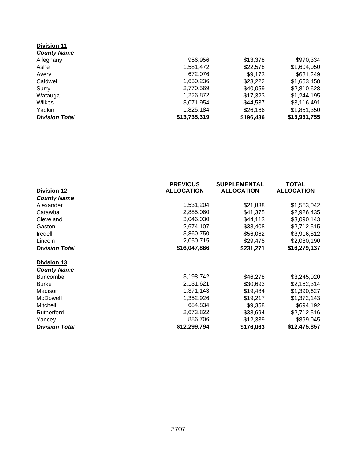| <b>Division 11</b><br><b>County Name</b> |              |           |              |
|------------------------------------------|--------------|-----------|--------------|
| Alleghany                                | 956,956      | \$13,378  | \$970,334    |
| Ashe                                     | 1,581,472    | \$22,578  | \$1,604,050  |
| Avery                                    | 672,076      | \$9,173   | \$681,249    |
| Caldwell                                 | 1,630,236    | \$23,222  | \$1,653,458  |
| Surry                                    | 2,770,569    | \$40,059  | \$2,810,628  |
| Watauga                                  | 1,226,872    | \$17,323  | \$1,244,195  |
| Wilkes                                   | 3,071,954    | \$44,537  | \$3,116,491  |
| Yadkin                                   | 1,825,184    | \$26,166  | \$1,851,350  |
| <b>Division Total</b>                    | \$13,735,319 | \$196,436 | \$13,931,755 |

|                       | <b>PREVIOUS</b>   | <b>SUPPLEMENTAL</b> | TOTAL             |
|-----------------------|-------------------|---------------------|-------------------|
| <b>Division 12</b>    | <b>ALLOCATION</b> | <b>ALLOCATION</b>   | <b>ALLOCATION</b> |
| <b>County Name</b>    |                   |                     |                   |
| Alexander             | 1,531,204         | \$21,838            | \$1,553,042       |
| Catawba               | 2,885,060         | \$41,375            | \$2,926,435       |
| Cleveland             | 3,046,030         | \$44,113            | \$3,090,143       |
| Gaston                | 2,674,107         | \$38,408            | \$2,712,515       |
| Iredell               | 3,860,750         | \$56,062            | \$3,916,812       |
| Lincoln               | 2,050,715         | \$29,475            | \$2,080,190       |
| <b>Division Total</b> | \$16,047,866      | \$231,271           | \$16,279,137      |
| <b>Division 13</b>    |                   |                     |                   |
| <b>County Name</b>    |                   |                     |                   |
| <b>Buncombe</b>       | 3,198,742         | \$46,278            | \$3,245,020       |
| <b>Burke</b>          | 2,131,621         | \$30,693            | \$2,162,314       |
| Madison               | 1,371,143         | \$19,484            | \$1,390,627       |
| McDowell              | 1,352,926         | \$19,217            | \$1,372,143       |
| Mitchell              | 684,834           | \$9,358             | \$694,192         |
| Rutherford            | 2,673,822         | \$38,694            | \$2,712,516       |
| Yancey                | 886,706           | \$12,339            | \$899,045         |
| <b>Division Total</b> | \$12,299,794      | \$176,063           | \$12,475,857      |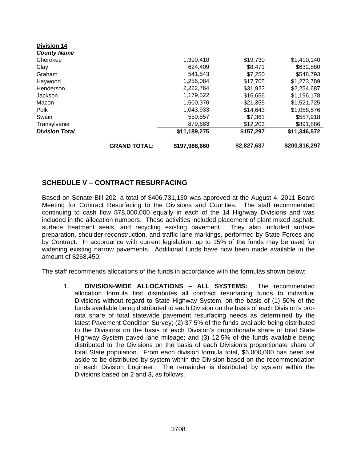|                       | <b>GRAND TOTAL:</b> | \$197,988,660 | \$2,827,637 | \$200,816,297 |
|-----------------------|---------------------|---------------|-------------|---------------|
| <b>Division Total</b> |                     | \$11,189,275  | \$157,297   | \$11,346,572  |
| Transylvania          |                     | 879,683       | \$12,203    | \$891,886     |
| Swain                 |                     | 550,557       | \$7,361     | \$557,918     |
| Polk                  |                     | 1,043,933     | \$14.643    | \$1,058,576   |
| Macon                 |                     | 1,500,370     | \$21,355    | \$1,521,725   |
| <b>Jackson</b>        |                     | 1,179,522     | \$16,656    | \$1,196,178   |
| Henderson             |                     | 2,222,764     | \$31.923    | \$2,254,687   |
| Haywood               |                     | 1,256,084     | \$17,705    | \$1,273,789   |
| Graham                |                     | 541,543       | \$7,250     | \$548,793     |
| Clay                  |                     | 624,409       | \$8.471     | \$632,880     |
| Cherokee              |                     | 1,390,410     | \$19,730    | \$1,410,140   |
| <b>County Name</b>    |                     |               |             |               |
| <b>DIVISION 14</b>    |                     |               |             |               |

## **SCHEDULE V – CONTRACT RESURFACING**

**Division 14** 

Based on Senate Bill 202, a total of \$406,731,130 was approved at the August 4, 2011 Board Meeting for Contract Resurfacing to the Divisions and Counties. The staff recommended continuing to cash flow \$78,000,000 equally in each of the 14 Highway Divisions and was included in the allocation numbers. These activities included placement of plant mixed asphalt, surface treatment seals, and recycling existing pavement. They also included surface preparation, shoulder reconstruction, and traffic lane markings, performed by State Forces and by Contract. In accordance with current legislation, up to 15% of the funds may be used for widening existing narrow pavements. Additional funds have now been made available in the amount of \$268,450.

The staff recommends allocations of the funds in accordance with the formulas shown below:

1. **DIVISION-WIDE ALLOCATIONS – ALL SYSTEMS:** The recommended allocation formula first distributes all contract resurfacing funds to individual Divisions without regard to State Highway System, on the basis of (1) 50% of the funds available being distributed to each Division on the basis of each Division's prorata share of total statewide pavement resurfacing needs as determined by the latest Pavement Condition Survey; (2) 37.5% of the funds available being distributed to the Divisions on the basis of each Division's proportionate share of total State Highway System paved lane mileage; and (3) 12.5% of the funds available being distributed to the Divisions on the basis of each Division's proportionate share of total State population. From each division formula total, \$6,000,000 has been set aside to be distributed by system within the Division based on the recommendation of each Division Engineer. The remainder is distributed by system within the Divisions based on 2 and 3, as follows.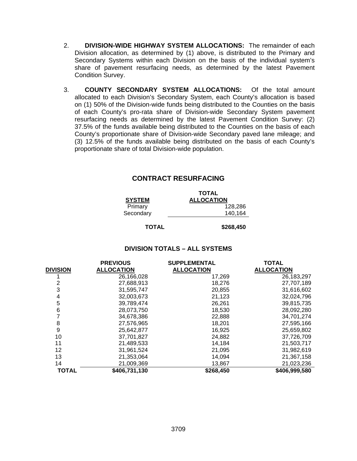- 2. **DIVISION-WIDE HIGHWAY SYSTEM ALLOCATIONS:** The remainder of each Division allocation, as determined by (1) above, is distributed to the Primary and Secondary Systems within each Division on the basis of the individual system's share of pavement resurfacing needs, as determined by the latest Pavement Condition Survey.
- 3. **COUNTY SECONDARY SYSTEM ALLOCATIONS:** Of the total amount allocated to each Division's Secondary System, each County's allocation is based on (1) 50% of the Division-wide funds being distributed to the Counties on the basis of each County's pro-rata share of Division-wide Secondary System pavement resurfacing needs as determined by the latest Pavement Condition Survey: (2) 37.5% of the funds available being distributed to the Counties on the basis of each County's proportionate share of Division-wide Secondary paved lane mileage; and (3) 12.5% of the funds available being distributed on the basis of each County's proportionate share of total Division-wide population.

## **CONTRACT RESURFACING**

|               | <b>TOTAL</b>      |
|---------------|-------------------|
| <b>SYSTEM</b> | <b>ALLOCATION</b> |
| Primary       | 128,286           |
| Secondary     | 140,164           |
|               |                   |

## **TOTAL \$268,450**

#### **DIVISION TOTALS – ALL SYSTEMS**

|                 | <b>PREVIOUS</b>   | <b>SUPPLEMENTAL</b> | <b>TOTAL</b>      |
|-----------------|-------------------|---------------------|-------------------|
| <b>DIVISION</b> | <b>ALLOCATION</b> | <b>ALLOCATION</b>   | <b>ALLOCATION</b> |
|                 | 26,166,028        | 17,269              | 26, 183, 297      |
|                 | 27,688,913        | 18,276              | 27,707,189        |
| 3               | 31,595,747        | 20,855              | 31,616,602        |
| 4               | 32,003,673        | 21,123              | 32,024,796        |
| 5               | 39,789,474        | 26,261              | 39,815,735        |
| 6               | 28,073,750        | 18,530              | 28,092,280        |
|                 | 34,678,386        | 22,888              | 34,701,274        |
| 8               | 27,576,965        | 18,201              | 27,595,166        |
| 9               | 25,642,877        | 16,925              | 25,659,802        |
| 10              | 37,701,827        | 24,882              | 37,726,709        |
| 11              | 21,489,533        | 14,184              | 21,503,717        |
| 12              | 31,961,524        | 21,095              | 31,982,619        |
| 13              | 21,353,064        | 14,094              | 21,367,158        |
| 14              | 21,009,369        | 13,867              | 21,023,236        |
| <b>TOTAL</b>    | \$406,731,130     | \$268,450           | \$406,999,580     |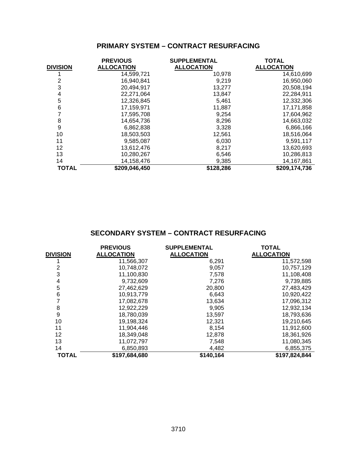## **PRIMARY SYSTEM – CONTRACT RESURFACING**

|                 | <b>PREVIOUS</b>   | <b>SUPPLEMENTAL</b> | <b>TOTAL</b>      |
|-----------------|-------------------|---------------------|-------------------|
| <b>DIVISION</b> | <b>ALLOCATION</b> | <b>ALLOCATION</b>   | <b>ALLOCATION</b> |
|                 | 14,599,721        | 10,978              | 14,610,699        |
| 2               | 16,940,841        | 9,219               | 16,950,060        |
| 3               | 20,494,917        | 13,277              | 20,508,194        |
| 4               | 22,271,064        | 13,847              | 22,284,911        |
| 5               | 12,326,845        | 5,461               | 12,332,306        |
| 6               | 17,159,971        | 11,887              | 17,171,858        |
|                 | 17,595,708        | 9,254               | 17,604,962        |
| 8               | 14,654,736        | 8,296               | 14,663,032        |
| 9               | 6,862,838         | 3,328               | 6,866,166         |
| 10              | 18,503,503        | 12,561              | 18,516,064        |
| 11              | 9,585,087         | 6,030               | 9,591,117         |
| 12              | 13,612,476        | 8,217               | 13,620,693        |
| 13              | 10,280,267        | 6,546               | 10,286,813        |
| 14              | 14,158,476        | 9,385               | 14,167,861        |
| <b>TOTAL</b>    | \$209,046,450     | \$128,286           | \$209,174,736     |

|                 | <b>PREVIOUS</b>   | <b>SUPPLEMENTAL</b> | <b>TOTAL</b>      |
|-----------------|-------------------|---------------------|-------------------|
| <b>DIVISION</b> | <b>ALLOCATION</b> | <b>ALLOCATION</b>   | <b>ALLOCATION</b> |
|                 | 11,566,307        | 6,291               | 11,572,598        |
| 2               | 10,748,072        | 9,057               | 10,757,129        |
| 3               | 11.100.830        | 7,578               | 11,108,408        |
| 4               | 9,732,609         | 7,276               | 9,739,885         |
| 5               | 27,462,629        | 20,800              | 27,483,429        |
| 6               | 10,913,779        | 6,643               | 10,920,422        |
|                 | 17,082,678        | 13,634              | 17,096,312        |
| 8               | 12,922,229        | 9,905               | 12,932,134        |
| 9               | 18,780,039        | 13,597              | 18,793,636        |
| 10              | 19,198,324        | 12,321              | 19,210,645        |
| 11              | 11,904,446        | 8,154               | 11,912,600        |
| 12              | 18,349,048        | 12,878              | 18,361,926        |
| 13              | 11,072,797        | 7,548               | 11,080,345        |
| 14              | 6,850,893         | 4,482               | 6,855,375         |
| <b>TOTAL</b>    | \$197,684,680     | \$140,164           | \$197,824,844     |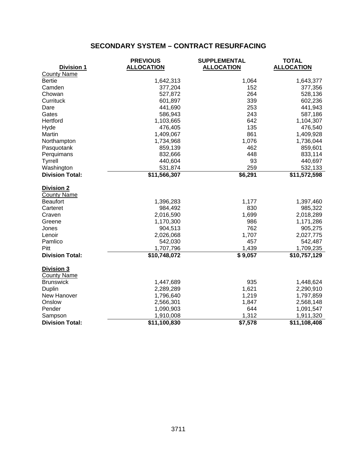|                        | <b>PREVIOUS</b>          | <b>SUPPLEMENTAL</b> | <b>TOTAL</b>      |
|------------------------|--------------------------|---------------------|-------------------|
| <b>Division 1</b>      | <b>ALLOCATION</b>        | <b>ALLOCATION</b>   | <b>ALLOCATION</b> |
| <b>County Name</b>     |                          |                     |                   |
| <b>Bertie</b>          | 1,642,313                | 1,064               | 1,643,377         |
| Camden                 | 377,204                  | 152                 | 377,356           |
| Chowan                 | 527,872                  | 264                 | 528,136           |
| Currituck              | 601,897                  | 339                 | 602,236           |
| Dare                   | 441,690                  | 253                 | 441,943           |
| Gates                  | 586,943                  | 243                 | 587,186           |
| Hertford               | 1,103,665                | 642                 | 1,104,307         |
| Hyde                   | 476,405                  | 135                 | 476,540           |
| Martin                 | 1,409,067                | 861                 | 1,409,928         |
| Northampton            | 1,734,968                | 1,076               | 1,736,044         |
| Pasquotank             | 859,139                  | 462                 | 859,601           |
| Perquimans             | 832,666                  | 448                 | 833,114           |
| <b>Tyrrell</b>         | 440,604                  | 93                  | 440,697           |
| Washington             | 531,874                  | 259                 | 532,133           |
| <b>Division Total:</b> | $\overline{$}11,566,307$ | \$6,291             | \$11,572,598      |
| <b>Division 2</b>      |                          |                     |                   |
| <b>County Name</b>     |                          |                     |                   |
| <b>Beaufort</b>        | 1,396,283                | 1,177               | 1,397,460         |
| Carteret               | 984,492                  | 830                 | 985,322           |
| Craven                 | 2,016,590                | 1,699               | 2,018,289         |
| Greene                 | 1,170,300                | 986                 | 1,171,286         |
| Jones                  | 904,513                  | 762                 | 905,275           |
| Lenoir                 | 2,026,068                | 1,707               | 2,027,775         |
| Pamlico                | 542,030                  | 457                 | 542,487           |
| Pitt                   | 1,707,796                | 1,439               | 1,709,235         |
| <b>Division Total:</b> | \$10,748,072             | \$9,057             | \$10,757,129      |
| Division 3             |                          |                     |                   |
| <b>County Name</b>     |                          |                     |                   |
| <b>Brunswick</b>       | 1,447,689                | 935                 | 1,448,624         |
| Duplin                 | 2,289,289                | 1,621               | 2,290,910         |
| New Hanover            | 1,796,640                | 1,219               | 1,797,859         |
| Onslow                 | 2,566,301                | 1,847               | 2,568,148         |
| Pender                 | 1,090,903                | 644                 | 1,091,547         |
| Sampson                | 1,910,008                | 1,312               | 1,911,320         |
| <b>Division Total:</b> | \$11,100,830             | \$7,578             | \$11,108,408      |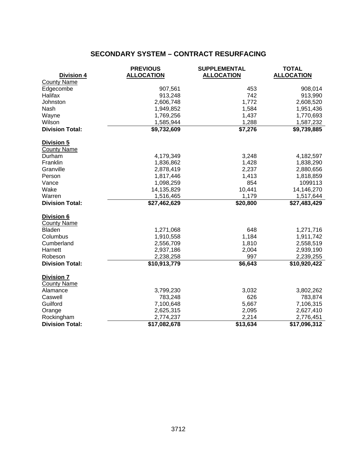|                        | <b>PREVIOUS</b>   | <b>SUPPLEMENTAL</b> | <b>TOTAL</b>      |
|------------------------|-------------------|---------------------|-------------------|
| Division 4             | <b>ALLOCATION</b> | <b>ALLOCATION</b>   | <b>ALLOCATION</b> |
| <b>County Name</b>     |                   |                     |                   |
| Edgecombe              | 907,561           | 453                 | 908,014           |
| Halifax                | 913,248           | 742                 | 913,990           |
| Johnston               | 2,606,748         | 1,772               | 2,608,520         |
| Nash                   | 1,949,852         | 1,584               | 1,951,436         |
| Wayne                  | 1,769,256         | 1,437               | 1,770,693         |
| Wilson                 | 1,585,944         | 1,288               | 1,587,232         |
| <b>Division Total:</b> | \$9,732,609       | \$7,276             | \$9,739,885       |
| Division 5             |                   |                     |                   |
| <b>County Name</b>     |                   |                     |                   |
| Durham                 | 4,179,349         | 3,248               | 4,182,597         |
| Franklin               | 1,836,862         | 1,428               | 1,838,290         |
| Granville              | 2,878,419         | 2,237               | 2,880,656         |
| Person                 | 1,817,446         | 1,413               | 1,818,859         |
| Vance                  | 1,098,259         | 854                 | 1099113           |
| Wake                   | 14,135,829        | 10,441              | 14,146,270        |
| Warren                 | 1,516,465         | 1,179               | 1,517,644         |
| <b>Division Total:</b> | \$27,462,629      | \$20,800            | \$27,483,429      |
| Division 6             |                   |                     |                   |
| <b>County Name</b>     |                   |                     |                   |
| <b>Bladen</b>          | 1,271,068         | 648                 | 1,271,716         |
| Columbus               | 1,910,558         | 1,184               | 1,911,742         |
| Cumberland             | 2,556,709         | 1,810               | 2,558,519         |
| Harnett                | 2,937,186         | 2,004               | 2,939,190         |
| Robeson                | 2,238,258         | 997                 | 2,239,255         |
| <b>Division Total:</b> | \$10,913,779      | \$6,643             | \$10,920,422      |
| <b>Division 7</b>      |                   |                     |                   |
| <b>County Name</b>     |                   |                     |                   |
| Alamance               | 3,799,230         | 3,032               | 3,802,262         |
| Caswell                | 783,248           | 626                 | 783,874           |
| Guilford               | 7,100,648         | 5,667               | 7,106,315         |
| Orange                 | 2,625,315         | 2,095               | 2,627,410         |
| Rockingham             | 2,774,237         | 2,214               | 2,776,451         |
| <b>Division Total:</b> | \$17,082,678      | \$13,634            | \$17,096,312      |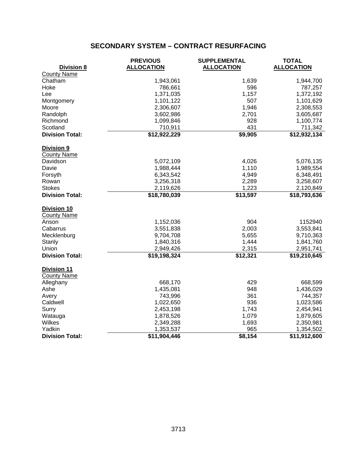|                        | <b>PREVIOUS</b>   | <b>SUPPLEMENTAL</b> | <b>TOTAL</b>      |
|------------------------|-------------------|---------------------|-------------------|
| <b>Division 8</b>      | <b>ALLOCATION</b> | <b>ALLOCATION</b>   | <b>ALLOCATION</b> |
| <b>County Name</b>     |                   |                     |                   |
| Chatham                | 1,943,061         | 1,639               | 1,944,700         |
| Hoke                   | 786,661           | 596                 | 787,257           |
| Lee                    | 1,371,035         | 1,157               | 1,372,192         |
| Montgomery             | 1,101,122         | 507                 | 1,101,629         |
| Moore                  | 2,306,607         | 1,946               | 2,308,553         |
| Randolph               | 3,602,986         | 2,701               | 3,605,687         |
| Richmond               | 1,099,846         | 928                 | 1,100,774         |
| Scotland               | 710,911           | 431                 | 711,342           |
| <b>Division Total:</b> | \$12,922,229      | \$9,905             | \$12,932,134      |
| Division 9             |                   |                     |                   |
| <b>County Name</b>     |                   |                     |                   |
| Davidson               | 5,072,109         | 4,026               | 5,076,135         |
| Davie                  | 1,988,444         | 1,110               | 1,989,554         |
| Forsyth                | 6,343,542         | 4,949               | 6,348,491         |
| Rowan                  | 3,256,318         | 2,289               | 3,258,607         |
| <b>Stokes</b>          | 2,119,626         | 1,223               | 2,120,849         |
| <b>Division Total:</b> | \$18,780,039      | \$13,597            | \$18,793,636      |
| Division 10            |                   |                     |                   |
| <b>County Name</b>     |                   |                     |                   |
| Anson                  | 1,152,036         | 904                 | 1152940           |
| Cabarrus               | 3,551,838         | 2,003               | 3,553,841         |
| Mecklenburg            | 9,704,708         | 5,655               | 9,710,363         |
| Stanly                 | 1,840,316         | 1,444               | 1,841,760         |
| Union                  | 2,949,426         | 2,315               | 2,951,741         |
| <b>Division Total:</b> | \$19,198,324      | \$12,321            | \$19,210,645      |
| <b>Division 11</b>     |                   |                     |                   |
| <b>County Name</b>     |                   |                     |                   |
| Alleghany              | 668,170           | 429                 | 668,599           |
| Ashe                   | 1,435,081         | 948                 | 1,436,029         |
| Avery                  | 743,996           | 361                 | 744,357           |
| Caldwell               | 1,022,650         | 936                 | 1,023,586         |
| Surry                  | 2,453,198         | 1,743               | 2,454,941         |
| Watauga                | 1,878,526         | 1,079               | 1,879,605         |
| Wilkes                 | 2,349,288         | 1,693               | 2,350,981         |
| Yadkin                 | 1,353,537         | 965                 | 1,354,502         |
| <b>Division Total:</b> | \$11,904,446      | \$8,154             | \$11,912,600      |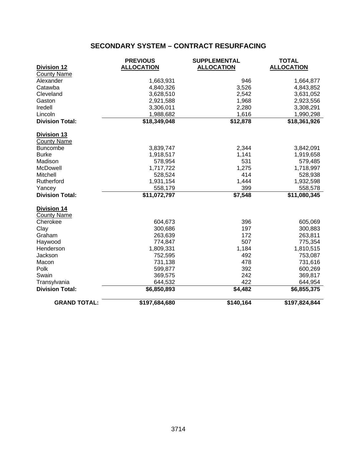|                        | <b>PREVIOUS</b>   | <b>SUPPLEMENTAL</b> | <b>TOTAL</b>      |
|------------------------|-------------------|---------------------|-------------------|
| <b>Division 12</b>     | <b>ALLOCATION</b> | <b>ALLOCATION</b>   | <b>ALLOCATION</b> |
| <b>County Name</b>     |                   |                     |                   |
| Alexander              | 1,663,931         | 946                 | 1,664,877         |
| Catawba                | 4,840,326         | 3,526               | 4,843,852         |
| Cleveland              | 3,628,510         | 2,542               | 3,631,052         |
| Gaston                 | 2,921,588         | 1,968               | 2,923,556         |
| Iredell                | 3,306,011         | 2,280               | 3,308,291         |
| Lincoln                | 1,988,682         | 1,616               | 1,990,298         |
| <b>Division Total:</b> | \$18,349,048      | \$12,878            | \$18,361,926      |
| <b>Division 13</b>     |                   |                     |                   |
| <b>County Name</b>     |                   |                     |                   |
| <b>Buncombe</b>        | 3,839,747         | 2,344               | 3,842,091         |
| <b>Burke</b>           | 1,918,517         | 1,141               | 1,919,658         |
| Madison                | 578,954           | 531                 | 579,485           |
| <b>McDowell</b>        | 1,717,722         | 1,275               | 1,718,997         |
| Mitchell               | 528,524           | 414                 | 528,938           |
| Rutherford             | 1,931,154         | 1,444               | 1,932,598         |
| Yancey                 | 558,179           | 399                 | 558,578           |
| <b>Division Total:</b> | \$11,072,797      | \$7,548             | \$11,080,345      |
| <b>Division 14</b>     |                   |                     |                   |
| <b>County Name</b>     |                   |                     |                   |
| Cherokee               | 604,673           | 396                 | 605,069           |
| Clay                   | 300,686           | 197                 | 300,883           |
| Graham                 | 263,639           | 172                 | 263,811           |
| Haywood                | 774,847           | 507                 | 775,354           |
| Henderson              | 1,809,331         | 1,184               | 1,810,515         |
| Jackson                | 752,595           | 492                 | 753,087           |
| Macon                  | 731,138           | 478                 | 731,616           |
| Polk                   | 599,877           | 392                 | 600,269           |
| Swain                  | 369,575           | 242                 | 369,817           |
| Transylvania           | 644,532           | 422                 | 644,954           |
| <b>Division Total:</b> | \$6,850,893       | \$4,482             | \$6,855,375       |
| <b>GRAND TOTAL:</b>    | \$197,684,680     | \$140,164           | \$197,824,844     |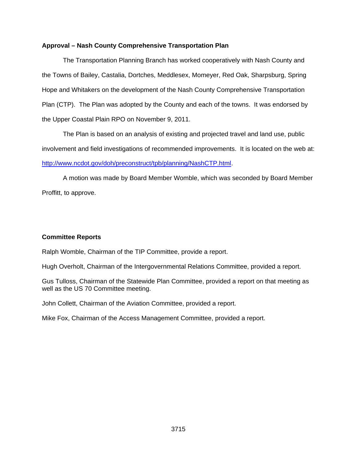## **Approval – Nash County Comprehensive Transportation Plan**

The Transportation Planning Branch has worked cooperatively with Nash County and the Towns of Bailey, Castalia, Dortches, Meddlesex, Momeyer, Red Oak, Sharpsburg, Spring Hope and Whitakers on the development of the Nash County Comprehensive Transportation Plan (CTP). The Plan was adopted by the County and each of the towns. It was endorsed by the Upper Coastal Plain RPO on November 9, 2011.

 The Plan is based on an analysis of existing and projected travel and land use, public involvement and field investigations of recommended improvements. It is located on the web at: http://www.ncdot.gov/doh/preconstruct/tpb/planning/NashCTP.html.

 A motion was made by Board Member Womble, which was seconded by Board Member Proffitt, to approve.

## **Committee Reports**

Ralph Womble, Chairman of the TIP Committee, provide a report.

Hugh Overholt, Chairman of the Intergovernmental Relations Committee, provided a report.

Gus Tulloss, Chairman of the Statewide Plan Committee, provided a report on that meeting as well as the US 70 Committee meeting.

John Collett, Chairman of the Aviation Committee, provided a report.

Mike Fox, Chairman of the Access Management Committee, provided a report.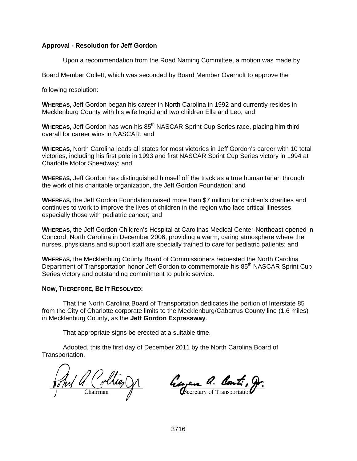## **Approval - Resolution for Jeff Gordon**

Upon a recommendation from the Road Naming Committee, a motion was made by

Board Member Collett, which was seconded by Board Member Overholt to approve the

following resolution:

**WHEREAS,** Jeff Gordon began his career in North Carolina in 1992 and currently resides in Mecklenburg County with his wife Ingrid and two children Ella and Leo; and

**WHEREAS, Jeff Gordon has won his 85<sup>th</sup> NASCAR Sprint Cup Series race, placing him third** overall for career wins in NASCAR; and

**WHEREAS,** North Carolina leads all states for most victories in Jeff Gordon's career with 10 total victories, including his first pole in 1993 and first NASCAR Sprint Cup Series victory in 1994 at Charlotte Motor Speedway; and

**WHEREAS,** Jeff Gordon has distinguished himself off the track as a true humanitarian through the work of his charitable organization, the Jeff Gordon Foundation; and

**WHEREAS,** the Jeff Gordon Foundation raised more than \$7 million for children's charities and continues to work to improve the lives of children in the region who face critical illnesses especially those with pediatric cancer; and

**WHEREAS,** the Jeff Gordon Children's Hospital at Carolinas Medical Center-Northeast opened in Concord, North Carolina in December 2006, providing a warm, caring atmosphere where the nurses, physicians and support staff are specially trained to care for pediatric patients; and

**WHEREAS,** the Mecklenburg County Board of Commissioners requested the North Carolina Department of Transportation honor Jeff Gordon to commemorate his 85<sup>th</sup> NASCAR Sprint Cup Series victory and outstanding commitment to public service.

## **NOW, THEREFORE, BE IT RESOLVED:**

That the North Carolina Board of Transportation dedicates the portion of Interstate 85 from the City of Charlotte corporate limits to the Mecklenburg/Cabarrus County line (1.6 miles) in Mecklenburg County, as the **Jeff Gordon Expressway**.

That appropriate signs be erected at a suitable time.

Auf a. Collie, C.

Georgene a. Cont., gr.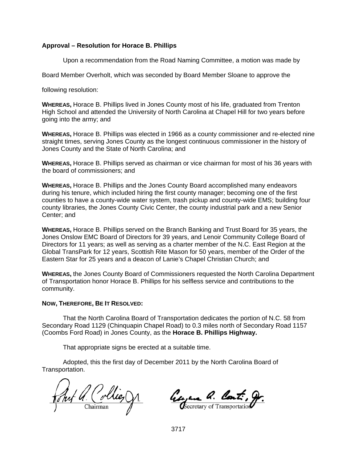## **Approval – Resolution for Horace B. Phillips**

Upon a recommendation from the Road Naming Committee, a motion was made by

Board Member Overholt, which was seconded by Board Member Sloane to approve the

following resolution:

**WHEREAS,** Horace B. Phillips lived in Jones County most of his life, graduated from Trenton High School and attended the University of North Carolina at Chapel Hill for two years before going into the army; and

**WHEREAS,** Horace B. Phillips was elected in 1966 as a county commissioner and re-elected nine straight times, serving Jones County as the longest continuous commissioner in the history of Jones County and the State of North Carolina; and

**WHEREAS,** Horace B. Phillips served as chairman or vice chairman for most of his 36 years with the board of commissioners; and

**WHEREAS,** Horace B. Phillips and the Jones County Board accomplished many endeavors during his tenure, which included hiring the first county manager; becoming one of the first counties to have a county-wide water system, trash pickup and county-wide EMS; building four county libraries, the Jones County Civic Center, the county industrial park and a new Senior Center; and

**WHEREAS,** Horace B. Phillips served on the Branch Banking and Trust Board for 35 years, the Jones Onslow EMC Board of Directors for 39 years, and Lenoir Community College Board of Directors for 11 years; as well as serving as a charter member of the N.C. East Region at the Global TransPark for 12 years, Scottish Rite Mason for 50 years, member of the Order of the Eastern Star for 25 years and a deacon of Lanie's Chapel Christian Church; and

**WHEREAS,** the Jones County Board of Commissioners requested the North Carolina Department of Transportation honor Horace B. Phillips for his selfless service and contributions to the community.

#### **NOW, THEREFORE, BE IT RESOLVED:**

That the North Carolina Board of Transportation dedicates the portion of N.C. 58 from Secondary Road 1129 (Chinquapin Chapel Road) to 0.3 miles north of Secondary Road 1157 (Coombs Ford Road) in Jones County, as the **Horace B. Phillips Highway.** 

That appropriate signs be erected at a suitable time.

Auf A. Collie, V1

Georgene Q. Cont. gr.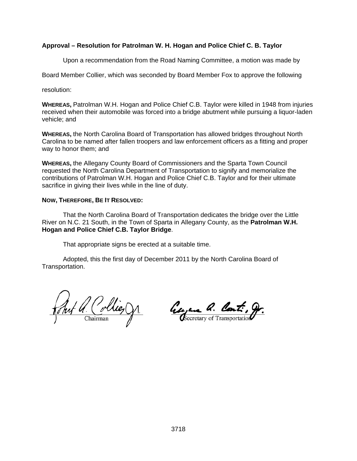## **Approval – Resolution for Patrolman W. H. Hogan and Police Chief C. B. Taylor**

Upon a recommendation from the Road Naming Committee, a motion was made by

Board Member Collier, which was seconded by Board Member Fox to approve the following

resolution:

**WHEREAS,** Patrolman W.H. Hogan and Police Chief C.B. Taylor were killed in 1948 from injuries received when their automobile was forced into a bridge abutment while pursuing a liquor-laden vehicle; and

**WHEREAS,** the North Carolina Board of Transportation has allowed bridges throughout North Carolina to be named after fallen troopers and law enforcement officers as a fitting and proper way to honor them; and

**WHEREAS,** the Allegany County Board of Commissioners and the Sparta Town Council requested the North Carolina Department of Transportation to signify and memorialize the contributions of Patrolman W.H. Hogan and Police Chief C.B. Taylor and for their ultimate sacrifice in giving their lives while in the line of duty.

#### **NOW, THEREFORE, BE IT RESOLVED:**

That the North Carolina Board of Transportation dedicates the bridge over the Little River on N.C. 21 South, in the Town of Sparta in Allegany County, as the **Patrolman W.H. Hogan and Police Chief C.B. Taylor Bridge**.

That appropriate signs be erected at a suitable time.

 $40$  Collieg V1.

Georgene a. Cont., gr.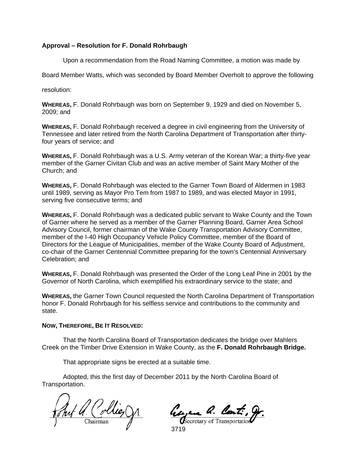## **Approval – Resolution for F. Donald Rohrbaugh**

Upon a recommendation from the Road Naming Committee, a motion was made by

Board Member Watts, which was seconded by Board Member Overholt to approve the following

resolution:

**WHEREAS,** F. Donald Rohrbaugh was born on September 9, 1929 and died on November 5, 2009; and

**WHEREAS,** F. Donald Rohrbaugh received a degree in civil engineering from the University of Tennessee and later retired from the North Carolina Department of Transportation after thirtyfour years of service; and

**WHEREAS,** F. Donald Rohrbaugh was a U.S. Army veteran of the Korean War; a thirty-five year member of the Garner Civitan Club and was an active member of Saint Mary Mother of the Church; and

**WHEREAS,** F. Donald Rohrbaugh was elected to the Garner Town Board of Aldermen in 1983 until 1989, serving as Mayor Pro Tem from 1987 to 1989, and was elected Mayor in 1991, serving five consecutive terms; and

**WHEREAS,** F. Donald Rohrbaugh was a dedicated public servant to Wake County and the Town of Garner where he served as a member of the Garner Planning Board, Garner Area School Advisory Council, former chairman of the Wake County Transportation Advisory Committee, member of the I-40 High Occupancy Vehicle Policy Committee, member of the Board of Directors for the League of Municipalities, member of the Wake County Board of Adjustment, co-chair of the Garner Centennial Committee preparing for the town's Centennial Anniversary Celebration; and

**WHEREAS,** F. Donald Rohrbaugh was presented the Order of the Long Leaf Pine in 2001 by the Governor of North Carolina, which exemplified his extraordinary service to the state; and

**WHEREAS,** the Garner Town Council requested the North Carolina Department of Transportation honor F. Donald Rohrbaugh for his selfless service and contributions to the community and state.

#### **NOW, THEREFORE, BE IT RESOLVED:**

That the North Carolina Board of Transportation dedicates the bridge over Mahlers Creek on the Timber Drive Extension in Wake County, as the **F. Donald Rohrbaugh Bridge.** 

That appropriate signs be erected at a suitable time.

Jul Q. Collies

Georgene Q. Cont.

3719